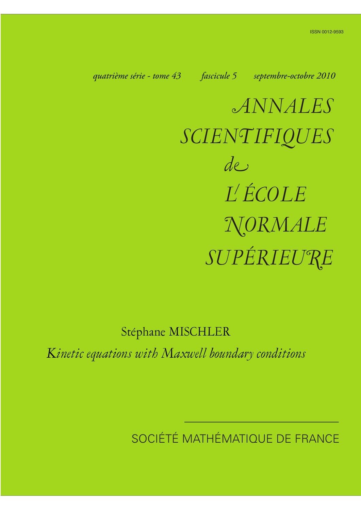*quatrième série - tome 43 fascicule 5 septembre-octobre 2010*

*ANNALES SCIENTIFIQUES SUPÉRIEURE de L ÉCOLE NORMALE*

Stéphane MISCHLER

*Kinetic equations with Maxwell boundary conditions*

SOCIÉTÉ MATHÉMATIQUE DE FRANCE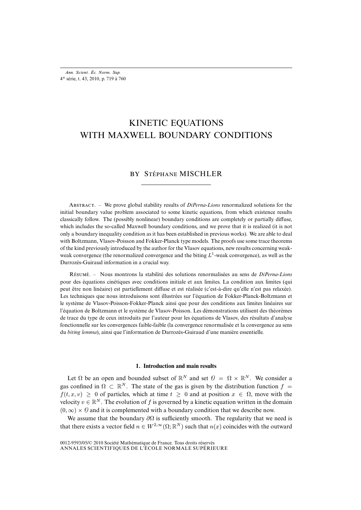# KINETIC EQUATIONS WITH MAXWELL BOUNDARY CONDITIONS

# BY STÉPHANE MISCHLER

ABSTRACT. – We prove global stability results of *DiPerna-Lions* renormalized solutions for the initial boundary value problem associated to some kinetic equations, from which existence results classically follow. The (possibly nonlinear) boundary conditions are completely or partially diffuse, which includes the so-called Maxwell boundary conditions, and we prove that it is realized (it is not only a boundary inequality condition as it has been established in previous works). We are able to deal with Boltzmann, Vlasov-Poisson and Fokker-Planck type models. The proofs use some trace theorems of the kind previously introduced by the author for the Vlasov equations, new results concerning weakweak convergence (the renormalized convergence and the biting  $L<sup>1</sup>$ -weak convergence), as well as the Darrozès-Guiraud information in a crucial way.

R. – Nous montrons la stabilité des solutions renormalisées au sens de *DiPerna-Lions* pour des équations cinétiques avec conditions initiale et aux limites. La condition aux limites (qui peut être non linéaire) est partiellement diffuse et est réalisée (c'est-à-dire qu'elle n'est pas relaxée). Les techniques que nous introduisons sont illustrées sur l'équation de Fokker-Planck-Boltzmann et le système de Vlasov-Poisson-Fokker-Planck ainsi que pour des conditions aux limites linéaires sur l'équation de Boltzmann et le système de Vlasov-Poisson. Les démonstrations utilisent des théorèmes de trace du type de ceux introduits par l'auteur pour les équations de Vlasov, des résultats d'analyse fonctionnelle sur les convergences faible-faible (la convergence renormalisée et la convergence au sens du *biting lemma*), ainsi que l'information de Darrozès-Guiraud d'une manière essentielle.

#### **1. Introduction and main results**

Let  $\Omega$  be an open and bounded subset of  $\mathbb{R}^N$  and set  $\Omega = \Omega \times \mathbb{R}^N$ . We consider a gas confined in  $\Omega \subset \mathbb{R}^N$ . The state of the gas is given by the distribution function  $f =$  $f(t, x, v) \ge 0$  of particles, which at time  $t \ge 0$  and at position  $x \in \Omega$ , move with the velocity  $v \in \mathbb{R}^N$ . The evolution of f is governed by a kinetic equation written in the domain  $(0, \infty) \times \mathcal{O}$  and it is complemented with a boundary condition that we describe now.

We assume that the boundary  $\partial\Omega$  is sufficiently smooth. The regularity that we need is that there exists a vector field  $n \in W^{2,\infty}(\Omega;\mathbb{R}^N)$  such that  $n(x)$  coincides with the outward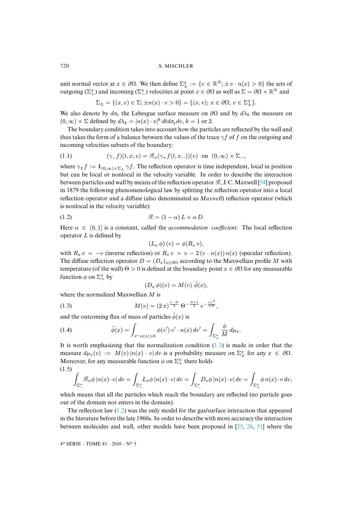unit normal vector at  $x \in \partial \Omega$ . We then define  $\Sigma_{\pm}^x := \{v \in \mathbb{R}^N; \pm v \cdot n(x) > 0\}$  the sets of outgoing ( $\Sigma^x_+$ ) and incoming ( $\Sigma^x_-$ ) velocities at point  $x \in \partial\Omega$  as well as  $\Sigma = \partial\Omega \times \mathbb{R}^N$  and

<span id="page-2-0"></span>
$$
\Sigma_{\pm} = \{(x,v) \in \Sigma; \pm n(x) \cdot v > 0\} = \{(x,v); \, x \in \partial\Omega, \, v \in \Sigma_{\pm}^x\}.
$$

We also denote by  $d\sigma_x$  the Lebesgue surface measure on  $\partial\Omega$  and by  $d\lambda_k$  the measure on  $(0, \infty) \times \Sigma$  defined by  $d\lambda_k = |n(x) \cdot v|^k dt d\sigma_x dv$ ,  $k = 1$  or 2.

The boundary condition takes into account how the particles are reflected by the wall and thus takes the form of a balance between the values of the trace  $\gamma f$  of f on the outgoing and incoming velocities subsets of the boundary:

(1.1) 
$$
(\gamma_{-}f)(t,x,v) = \mathcal{R}_{x}(\gamma_{+}f(t,x,.))(v) \text{ on } (0,\infty) \times \Sigma_{-},
$$

where  $\gamma_{\pm}f := \mathbf{1}_{(0,\infty)\times\Sigma_{\pm}} \gamma f$ . The reflection operator is time independent, local in position but can be local or nonlocal in the velocity variable. In order to describe the interaction between particles and wall by means of the reflection operator  $\mathcal{R}$ , J.C. Maxwell [54] proposed in 1879 the following phenomenological law by splitting the reflection operator into a local reflection operator and a diffuse (also denominated as *Maxwell*) reflection operator (which is nonlocal in the velocity variable):

$$
\mathcal{R} = (1 - \alpha) L + \alpha D.
$$

Here  $\alpha \in (0,1]$  is a constant, called the *accommodation coefficient*. The local reflection operator  $L$  is defined by

<span id="page-2-1"></span>
$$
(L_x \phi)(v) = \phi(R_x v),
$$

with  $R_x v = -v$  (inverse reflection) or  $R_x v = v - 2(v \cdot n(x)) n(x)$  (specular reflection). The diffuse reflection operator  $D = (D_x)_{x \in \partial \Omega}$  according to the Maxwellian profile M with temperature (of the wall)  $\Theta > 0$  is defined at the boundary point  $x \in \partial \Omega$  for any measurable function  $\phi$  on  $\Sigma_{+}^{x}$  by

$$
(D_x \phi)(v) = M(v) \tilde{\phi}(x),
$$

where the normalized Maxwellian M is

(1.3) 
$$
M(v) = (2\pi)^{\frac{1-N}{2}} \Theta^{-\frac{N+1}{2}} e^{-\frac{|v|^2}{2\Theta}},
$$

and the outcoming flux of mass of particles  $\tilde{\phi}(x)$  is

(1.4) 
$$
\tilde{\phi}(x) = \int_{v' \cdot n(x) > 0} \phi(v') v' \cdot n(x) dv' = \int_{\Sigma_{+}^{x}} \frac{\phi}{M} d\mu_{x}.
$$

<span id="page-2-2"></span>It is worth emphasizing that the normalization condition  $(1.3)$  is made in order that the measure  $d\mu_x(v) := M(v) |n(x) \cdot v| dv$  is a probability measure on  $\Sigma^x_{\pm}$  for any  $x \in \partial \Omega$ . Moreover, for any measurable function  $\phi$  on  $\Sigma^x_+$  there holds (1.5)

$$
\int_{\Sigma_{-}^{x}} \mathcal{R}_{x} \phi \left| n(x) \cdot v \right| dv = \int_{\Sigma_{-}^{x}} L_{x} \phi \left| n(x) \cdot v \right| dv = \int_{\Sigma_{-}^{x}} D_{x} \phi \left| n(x) \cdot v \right| dv = \int_{\Sigma_{+}^{x}} \phi \left| n(x) \cdot v \right| dv,
$$

which means that all the particles which reach the boundary are reflected (no particle goes out of the domain nor enters in the domain).

The reflection law  $(1.2)$  was the only model for the gas/surface interaction that appeared in the literature before the late 1960s. In order to describe with more accuracy the interaction between molecules and wall, other models have been proposed in [25, 26, 51] where the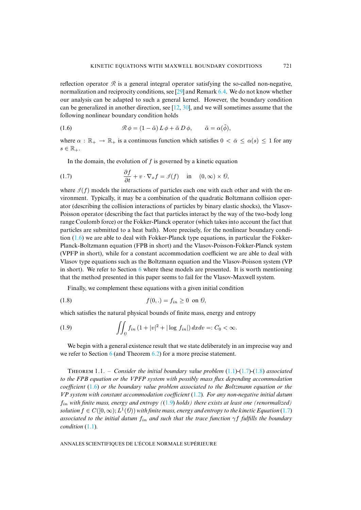<span id="page-3-0"></span>reflection [ope](#page-39-0)[rato](#page-40-1)r  $\Re$  is a general integral operator satisfying the so-called non-negative, normalization and reciprocity conditions, see  $[29]$  and Remark 6.4. We do not know whether our analysis can be adapted to such a general kernel. However, the boundary condition can be generalized in another direction, see  $[12, 30]$ , and we will sometimes assume that the following nonlinear boundary condition holds

(1.6) 
$$
\mathcal{R} \phi = (1 - \tilde{\alpha}) L \phi + \tilde{\alpha} D \phi, \qquad \tilde{\alpha} = \alpha(\tilde{\phi}),
$$

where  $\alpha : \mathbb{R}_+ \to \mathbb{R}_+$  is a continuous function which satisfies  $0 < \bar{\alpha} \leq \alpha(s) \leq 1$  for any  $s \in \mathbb{R}_+$ .

<span id="page-3-1"></span>In the domain, the evolution of  $f$  is governed by a kinetic equation

(1.7) 
$$
\frac{\partial f}{\partial t} + v \cdot \nabla_x f = \mathcal{J}(f) \quad \text{in} \quad (0, \infty) \times \mathcal{O},
$$

where  $\mathcal{I}(f)$  models the interactions of particles each one with each other and with the environment. Typically, it may be a combination of the quadratic Boltzmann collision operator (describing the collision interactions of particles by binary elastic shocks), the Vlasov-Poiss[on o](#page-3-0)perator (describing the fact that particles interact by the way of the two-body long range Coulomb force) or the Fokker-Planck operator (which takes into account the fact that particles are submitted to a heat bath). More precisely, for the nonlinear boundary condition  $(1.6)$  we are able to deal with Fokker-Planck type equations, in particular the Fokker-Planck-Boltzmann equation ([FP](#page-32-0)B in short) and the Vlasov-Poisson-Fokker-Planck system (VPFP in short), while for a constant accommodation coefficient we are able to deal with Vlasov type equations such as the Boltzmann equation and the Vlasov-Poisson system (VP in short). We refer to Section 6 where these models are presented. It is worth mentioning that the method presented in this paper seems to fail for the Vlasov-Maxwell system.

<span id="page-3-3"></span><span id="page-3-2"></span>Finally, we complement these equations with a given initial condition

$$
(1.8) \t f(0,.) = f_{in} \ge 0 \text{ on } \theta,
$$

which satisfies the natural physical bounds of finite mass, energy and entropy

(1.9) 
$$
\iint_{\partial} f_{in} (1+|v|^2+|\log f_{in}|) dx dv =: C_0 < \infty.
$$

<span id="page-3-4"></span>We begin with a general existence result that we state deliberate[ly in](#page-2-0) [an im](#page-3-1)[prec](#page-3-2)ise way and we refer to Section  $6$  (and Theorem  $6.2$ ) for a more precise statement.

T 1.1. – *Consider the initial boundary v[alue](#page-2-1) problem* (1.1)*-*(1.7)*-*(1.8) *associated to the FPB equation or the VPFP syste[m wit](#page-3-3)h possibly mass flux depending accommodation coefficient* (1.6) *or the boundary value problem associated to the Boltzmann equation o[r the](#page-3-1) VP system with constant accommodation coefficient* (1.2)*. For any non-negative initial datum* fin *with fi[nite](#page-2-0) mass, energy and entropy (*(1.9) *holds) there exists at least one (renormalized)* solution  $f\in C([0,\infty);L^1(\theta))$  with finite mass, energy and entropy to the kinetic Equation (1.7) *associated to the initial datum*  $f_{in}$  *and such that the trace function*  $\gamma f$  *fulfills the boundary condition* (1.1)*.*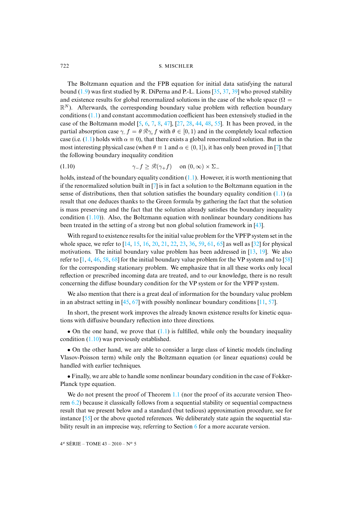The Boltzmann equation and the FPB equation for initial data satisfying the natural bound  $(1.9)$  was first studied by R. DiPerna and P.-L. Lions  $[35, 37, 39]$  who proved stability and existence results for globa[l r](#page-39-1)[en](#page-39-2)[or](#page-39-3)[ma](#page-39-4)[lize](#page-41-0)d [sol](#page-40-2)[utio](#page-40-3)[ns i](#page-41-1)[n th](#page-41-2)[e ca](#page-41-3)se of the whole space ( $\Omega$  =  $\mathbb{R}^N$ ). Afterwards, the corresponding boundary value problem with reflection boundary conditio[ns \(1](#page-2-0).1) and constant accommodation coefficient has been extensively studied in the case of the Boltzmann model  $[5, 6, 7, 8, 47]$ ,  $[27, 28, 44, 48, 55]$ . It has been proved[, in](#page-39-3) the partial absorption case  $\gamma f = \theta \mathcal{R} \gamma f$  with  $\theta \in [0, 1)$  and in the completely local reflection case (i.e. (1.1) holds with  $\alpha \equiv 0$ ), that there exists a global renormalized solution. But in the most interesting physical case (when  $\theta \equiv 1$  and  $\alpha \in (0, 1]$ ), it has only been proved in [7] that the following boundary inequality condition

<span id="page-4-1"></span>(1.10) 
$$
\gamma_{-} f \geq \mathcal{R}(\gamma_{+} f) \quad \text{on } (0, \infty) \times \Sigma_{-}
$$

holds, instead of the boundary equality condition  $(1,1)$ . However, it is worth mentioning that if the renormalized solution built in [7] is in fact a solution to the Boltzmann equation in the sense of di[stribu](#page-4-1)tions, then that solution satisfies the boundary equality condition  $(1.1)$  (a result that one deduces thanks to the Green formula by gathering the fact t[hat t](#page-41-4)he solution is mass preserving and the fact that the solution already satisfies the boundary inequality c[on](#page-40-6)dition  $(1.10)$ ). Also, [the](#page-39-5) [Bo](#page-39-6)l[tzm](#page-39-7)[an](#page-39-8)[n eq](#page-40-4)[uat](#page-40-5)ion [wit](#page-40-7)[h n](#page-41-5)[onli](#page-42-0)[near](#page-42-1) boundary [co](#page-40-8)nditions has been treated in the setting of a strong but non global solution framework i[n \[4](#page-39-9)[3\].](#page-39-10)

With [re](#page-38-0)[ga](#page-39-11)[rd t](#page-41-6)[o ex](#page-41-7)[iste](#page-42-2)nce results for [the](#page-41-7) initial value problem for the VPFP system set in the whole space, we refer to [14, 15, 16, 20, 21, 22, 23, 36, 59, 61, 65] as well as [32] for physical motivations. The initial boundary value problem has been addressed in [13, 19]. We also refer to  $[1, 4, 46, 58, 68]$  for the initial boundary value problem for the VP system and to  $[58]$ for the corresponding stationary problem. We emphasize that in all these works only local reflection or prescribed [inco](#page-41-8)[min](#page-42-3)g data are treated, and to our knowledge, the[re i](#page-39-12)[s no](#page-41-9) result concerning the diffuse boundary condition for the VP system or for the VPFP system.

We also mention that there is a great deal of information for the boundary value problem in an abstract setting in  $[45, 67]$  with possibly nonlinear boundary conditions  $[11, 57]$ .

In short[, the](#page-4-1) present work improves [the](#page-2-0) already known existence results for kinetic equations with diffusive boundary reflection into three directions.

• On the one hand, we prove that  $(1.1)$  is fulfilled, while only the boundary inequality condition (1.10) was previously established.

• On the other hand, we are able to consider a large class of kinetic models (including Vlasov-Poisson term) while only the Boltzmann equation (or linear equations) could be handled with earlier techniques.

• [Fin](#page-4-0)ally, we are able to handle some non[linea](#page-3-4)r boundary condition in the case of Fokker-Planck type equation.

<span id="page-4-0"></span>We do [no](#page-41-3)t present the proof of Theorem 1.1 (nor the proof of its accurate version Theorem 6.2) because it classically follows from a sequen[tia](#page-32-0)l stability or sequential compactness result that we present below and a standard (but tedious) approximation procedure, see for instance [55] or the above quoted references. We deliberately state again the sequential stability result in an imprecise way, referring to Section 6 for a more accurate version.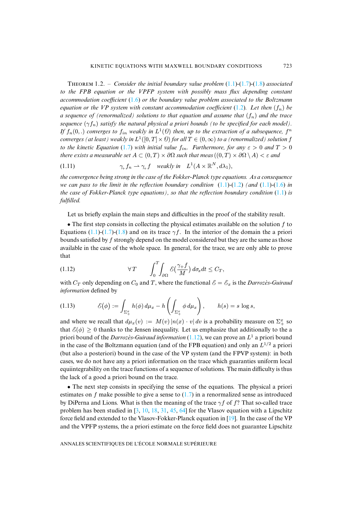T 1.2. – *Consider the initial boundary value problem* (1.1)*-*[\(1](#page-2-1).7)*-*(1.8) *associated to the FPB equation or the VPFP system with possibly mass flux depending constant accommodation coefficient* (1.6) *or the boundary value problem associated to the Boltzmann equation or the VP system with constant accommodation coefficient*  $(1.2)$ *. Let then*  $(f_n)$  *be a sequence of (renormalized) solutions to that equation and assume that*  $(f_n)$  *and the trace sequence*  $(\gamma f_n)$  *satisfy t[he n](#page-3-1)atural physical a priori bounds (to be specified for each model).* If  $f_n(0,.)$  *converges to*  $f_{in}$  *weakly in*  $L^1(\theta)$  *then, up to the extraction of a subsequence,*  $f^n$ *converges (at least) weakly in*  $L^1([0,T] \times \emptyset)$  *for all*  $T \in (0,\infty)$  *to a (renormalized) solution f to the kinetic Equation* (1.7) *with initial value*  $f_{in}$ *. Furthermore, for any*  $\varepsilon > 0$  *and*  $T > 0$ *there exists a measurable set*  $A \subset (0,T) \times \partial\Omega$  *such that meas*  $((0,T) \times \partial\Omega \setminus A) < \varepsilon$  *a[nd](#page-3-0)* 

<span id="page-5-0"></span>(1.11) 
$$
\gamma_+ f_n \rightharpoonup \gamma_+ f \quad \text{weakly in} \quad L^1(A \times \mathbb{R}^N, d\lambda_1),
$$

*the convergence being strong in the case of the Fokker-Planck type equations. As a consequence we can pass to the limit in the reflection boundary condition* (1.1)*-*(1.2) *(and* (1.1)*-*(1.6) *in the case of Fokker-Planck type equations), so that the reflection boundary condition* (1.1) *is fulfilled.*

Let us b[riefly](#page-2-0) [expl](#page-3-1)a[in th](#page-3-2)e main steps and difficulties in the proof of the stability result.

• The first step consists in collecting the physical estimates available on the solution  $f$  to Equations (1.1)-(1.7)-(1.8) and on its trace  $\gamma f$ . In the interior of the domain the a priori bounds satisfied by f strongly depend on the model considered but they are the same as those available in the case of the whole space. In general, for the trace, we are only able to prove that

(1.12) 
$$
\forall T \qquad \int_0^T \int_{\partial \Omega} \mathcal{E} \left( \frac{\gamma + f}{M} \right) d\sigma_x dt \leq C_T,
$$

<span id="page-5-1"></span>with  $C_T$  only depending on  $C_0$  and T, where the functional  $\mathcal{E} = \mathcal{E}_x$  is the *Darrozès-Guiraud information* defined by

(1.13) 
$$
\mathcal{E}(\phi) := \int_{\Sigma^x_+} h(\phi) d\mu_x - h\left(\int_{\Sigma^x_+} \phi d\mu_x\right), \qquad h(s) = s \log s,
$$

and where we recall that  $d\mu_x(v) := M(v) |n(x) \cdot v| dv$  is a probability measure on  $\Sigma^x_+$  so that  $\mathcal{E}(\phi) \geq 0$  thanks to the Jensen inequality. Let us emphasize that additionally to the a priori bound of the *Darrozès-Guiraud information* (1.12), we can prove an L <sup>1</sup> a priori bound in the case of the Boltzmann equation (and of the FPB equation) and only an  $L^{1/2}$  a priori (but also a posteriori) bound in the case of the VP system (and the FPVP system): in both cases, we do not have any a priori information on the trace which guaranties uniform local equiintegrability on the trace functions of a sequ[ence](#page-3-1) of solutions. The main difficulty is thus the lack of a good a priori bound on the trace.

• The next step consists i[n s](#page-38-1)[pec](#page-39-13)[ifyi](#page-39-14)[ng t](#page-40-9)[he s](#page-41-8)[ens](#page-42-4)e of the equations. The physical a priori estimates on f make possible to give a sense to  $(1.7)$  in a renorm[alize](#page-39-10)d sense as introduced by DiPerna and Lions. What is then the meaning of the trace  $\gamma f$  of f? That so-called trace problem has been studied in [3, 10, 18, 31, 45, 64] for the Vlasov equation with a Lipschitz force field and extended to the Vlasov-Fokker-Planck equation in [19]. In the case of the VP and the VPFP systems, the a priori estimate on the force field does not guarantee Lipschitz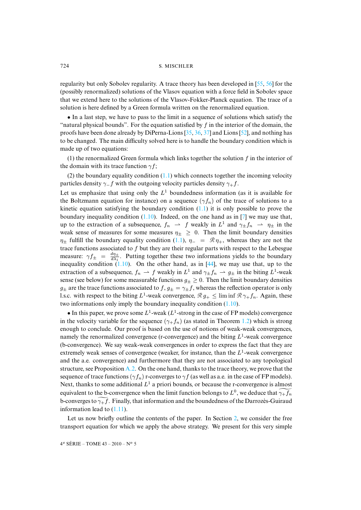regularity but only Sobolev regularity. A trace theory has been developed in [55, 56] for the (possibly renormalized) solutions of the Vlasov equation with a force field in Sobolev space that we extend here to the solutions of the Vlasov-Fokker-Planck equation. The trace of a solution is here defined by a Green formula writt[en](#page-40-10) [on t](#page-40-7)[he r](#page-40-11)enormaliz[ed e](#page-41-10)quation.

• In a last step, we have to pass to the limit in a sequence of solutions which satisfy the "natural physical bounds". For the equation satisfied by  $f$  in the interior of the domain, the proofs have been done already by DiPerna-Lions [35, 36, 37] and Lions [52], and nothing has to be changed. The main difficulty solved here is to handle the boundary condition which is made up of two equations:

(1) the renormalized Green formula [whic](#page-2-0)h links together the solution  $f$  in the interior of the domain with its trace function  $\gamma f$ ;

(2) the boundary equality condition  $(1.1)$  which connects together the incoming velocity parti[cles d](#page-2-0)ensity  $\gamma$ −f with the outgoing velocity particles density  $\gamma$ +f.

Let us emphasize that using o[nly th](#page-4-1)e  $L<sup>1</sup>$  boundedness information ([as](#page-39-3) it is available for the Boltzmann equation for instance) on a sequence  $(\gamma f_n)$  of the trace of solutions to a kinetic equation satisfying the boundary condition  $(1.1)$  it is only possible to prove the boundary inequality condition  $(1.10)$ . Inde[ed, o](#page-2-0)n the one hand as in [7] we may use that, up to the extraction of a subsequence,  $f_n \rightharpoonup f$  weakly in  $L^1$  and  $\gamma_{\pm} f_n \rightharpoonup \eta_{\pm}$  in the weak sense of measures for some measures  $\eta_{\pm} \geq 0$ . Then the limit boundary densities  $\eta_{\pm}$  fulfill the bounda[ry eq](#page-4-1)uality condition (1.1),  $\eta_{-} = \mathcal{R} \eta_{+}$  $\eta_{-} = \mathcal{R} \eta_{+}$  $\eta_{-} = \mathcal{R} \eta_{+}$ , whereas they are not the trace functions associated to  $f$  but they are their regular parts with respect to the Lebesgue measure:  $\gamma f_{\pm} = \frac{d\eta_{\pm}}{d\lambda_1}$  $\frac{d\eta_{\pm}}{d\lambda_1}$ . Putting together these two informations yields to the boundary inequality condition  $(1.10)$ . On the other hand, as in  $[44]$ , we may use that, up to the extraction of a subsequence,  $f_n \rightharpoonup f$  weakly in  $L^1$  and  $\gamma_{\pm} f_n \rightharpoonup g_{\pm}$  in the biting  $L^1$ -weak sense (see below) for some measurable functions  $g_{\pm} \geq 0$ . Then t[he lim](#page-4-1)it boundary densities  $g_{\pm}$  are the trace functions associated to  $f, g_{\pm} = \gamma_{\pm} f$ , whereas the reflection operator is only l.s.c. with respect to the biting  $L^1$ -weak convergence,  $\mathcal{R} g_+ \leq \liminf \mathcal{R} \gamma_+ f_n$  $\mathcal{R} g_+ \leq \liminf \mathcal{R} \gamma_+ f_n$  $\mathcal{R} g_+ \leq \liminf \mathcal{R} \gamma_+ f_n$ . Again, these two informations only imply the boundary inequality condition (1.10).

• In this paper, we prove some  $L^1$ -weak ( $L^1$ -strong in the case of FP models) convergence in the velocity variable for the sequence  $(\gamma_+ f_n)$  (as stated in Theorem 1.2) which is strong enough to conclude. Our proof is based on the use of notions of weak-weak convergences, namely the renormalized convergence (r-convergence) and the biting  $L^1$ -weak convergence (b-convergence). We say [weak](#page-4-0)-weak convergences in order to express the fact that they are extremely weak senses of convergence (weaker, for instance, than the  $L^1$ -weak convergence and the a.e. convergence) and furthermore that they are not associated to any topological structure, see Proposition  $A_2$ . On the one hand, thanks to the trace theory, we prove that the sequence of trace functions ( $\gamma f_n$ ) r-converges to  $\gamma f$  (as well as a.e. in the case of FP models). Next, thanks to som[e add](#page-5-0)itional  $L^1$  a priori bounds, or because the r-convergence is almost equivalent to the b-convergence when the limit function belongs to  $L^0$ [,](#page-7-0) we deduce that  $\gamma_+\bar{f}_n$ b-converges to  $\widetilde{\gamma_{+}f}$ . Finally, that information and the boundedness of the Darrozès-Guiraud information lead to (1.11).

Let us now briefly outline the contents of the paper. In Section 2, we consider the free transport equation for which we apply the above strategy. We present for this very simple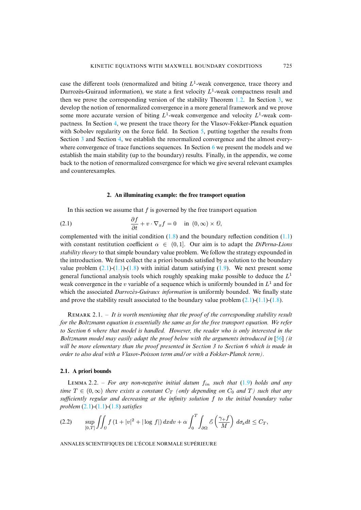case the different tools (renormalized and biting  $L^1$ -weak convergence, trace theory and Darrozès-Guiraud information), we state a first velocity  $L<sup>1</sup>$ -weak compactness result and then we prove the c[or](#page-21-0)responding version of the stability Theorem 1.2. In Section 3, we develop the notion of renormalized convergence in a m[or](#page-27-0)e general framework and we prove some [mor](#page-15-0)e accurate [ver](#page-21-0)sion of biting  $L^1$ -weak convergence and velocity  $L^1$ -weak compactness. In Section 4, we present the trace theory for the [Vl](#page-32-0)asov-Fokker-Planck equation with Sobolev regularity on the force field. In Section 5, putting together the results from Section 3 and Section 4, we establish the renormalized convergence and the almost everywhere convergence of trace functions sequences. In Section 6 we present the models and we establish the main stability (up to the boundary) results. Finally, in the appendix, we come back to the notion of renormalized convergence for which we give several relevant examples and counterexamples.

# <span id="page-7-1"></span>**2. An illuminating example: the free transport equation**

<span id="page-7-0"></span>In this section we assume that  $f$  is gov[erned](#page-3-2) by the free transport equation

(2.1) 
$$
\frac{\partial f}{\partial t} + v \cdot \nabla_x f = 0 \quad \text{in } (0, \infty) \times \mathcal{O},
$$

complemented with the initial condition  $(1.8)$  and the boundary reflection condition  $(1.1)$ with constant r[estit](#page-7-1)u[tion](#page-2-0) [coe](#page-3-2)fficient  $\alpha \in (0,1]$ . Our aim is [to](#page-3-3) adapt the *DiPerna-Lions stability theory* to that simple boundary value problem. We follow the strategy expounded in the introduction. We first collect the a priori bounds satisfied by a solution to the boundary value problem  $(2.1)$ - $(1.1)$ - $(1.8)$  with initial datum satisfying  $(1.9)$ . We next present some general functional analysis tools which roughly speaking make possibl[e to](#page-7-1) [dedu](#page-2-0)c[e th](#page-3-2)e  $L^1$ weak convergence in the v variable of a sequence which is uniformly bounded in  $L^1$  and for which the associated *Darrozès-Guiraux information* is uniformly bounded. We finally state and prove the stability result associated to the boundary value problem  $(2.1)-(1.1)-(1.8)$ .

REMARK 2.1. – *It is worth mentioning that the proof of the corresponding stabilit[y re](#page-41-11)sult for the Boltzmann equation is essentially the same as for the free transport equation. We refer to Section 6 where that model is handled. However, the reader who is only interested in the Boltzmann model may easily adapt the proof below with the arguments introduced in* [56] *(it will be more elementary than the proof presented in Section 3 to Section 6 which is made in order to also deal with a Vlasov-Poisson term and/or with a Fokker-Plan[ck te](#page-3-3)rm).*

#### **2.1. A priori bounds**

<span id="page-7-2"></span>LEMMA [2.](#page-7-1)2[. –](#page-2-0) [For a](#page-3-2)ny non-negative initial datum  $f_{in}$  such that  $(1.9)$  holds and any *time*  $T \in (0, \infty)$  *there exists a constant*  $C_T$  *(only depending on*  $C_0$  *and*  $T$ *) such that any sufficiently regular and decreasing at the infinity solution* f *to the initial boundary value problem* (2.1)*-*(1.1)*-*(1.8) *satisfies*

$$
(2.2) \qquad \sup_{[0,T]} \iint_{\Theta} f\left(1+|v|^2+|\log f|\right) dxdv + \alpha \int_0^T \int_{\partial\Omega} \mathcal{E}\left(\frac{\gamma+f}{M}\right) d\sigma_x dt \leq C_T,
$$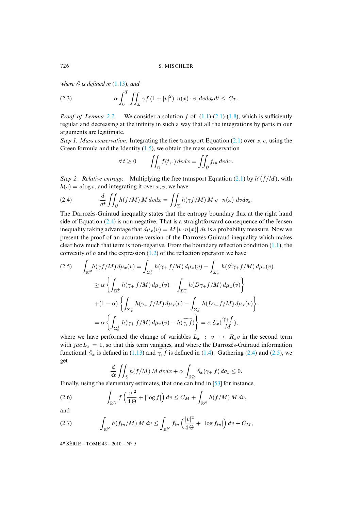<span id="page-8-1"></span>*where*  $\mathcal{E}$  *is defined in* (1.13)*, and* 

(2.3) 
$$
\alpha \int_0^T \iint_{\Sigma} \gamma f (1+|v|^2) |n(x) \cdot v| dv d\sigma_x dt \leq C_T.
$$

*Proof of Lemma 2.2.* We consider a solution f of  $(1.1)-(2.1)-(1.8)$ , which is sufficiently regular and decreasing at the in[finity](#page-2-2) in such a way that all the integrations by parts in our arguments are legitimate.

*Step 1. Mass conservation.* Integrating the free transport Equation (2.1) over  $x, v$ , using the Green formula and the Identity  $(1.5)$ , we obtain the mass conservation

<span id="page-8-0"></span>
$$
\forall t \ge 0 \qquad \iint_{\Theta} f(t,.) \, dvdx = \iint_{\Theta} f_{in} \, dvdx.
$$

Step 2. Relative entropy. Multiplying the free transport Equation (2.1) by  $h'(f/M)$ , with  $h(s) = s \log s$ , and integrating it over x, v, we have

(2.4) 
$$
\frac{d}{dt} \iint_{\mathcal{D}} h(f/M) M dv dx = \iint_{\Sigma} h(\gamma f/M) M v \cdot n(x) dv d\sigma_x.
$$

The Darrozès-Guiraud inequality states that the entropy boundary flux at the right hand side of Equation (2.4) is non-negative. That is a straightforward consequence of t[he Je](#page-2-0)nsen inequality taking advantage that  $d\mu_x(v) = M |v \cdot n(x)| dv$  is a probability measure. Now we present the proof of an accurate version of the Darrozès-Guiraud inequality which makes clear how much that term is non-negative. From the boundary reflection condition (1.1), the convexity of h and the expression  $(1.2)$  of the reflection operator, we have

<span id="page-8-2"></span>
$$
(2.5) \qquad \int_{\mathbb{R}^N} h(\gamma f/M) \, d\mu_x(v) = \int_{\Sigma_x^+} h(\gamma + f/M) \, d\mu_x(v) - \int_{\Sigma_x^-} h(\mathcal{R}\gamma + f/M) \, d\mu_x(v)
$$

$$
\geq \alpha \left\{ \int_{\Sigma_x^+} h(\gamma + f/M) \, d\mu_x(v) - \int_{\Sigma_x^-} h(D\gamma + f/M) \, d\mu_x(v) \right\}
$$

$$
+ (1 - \alpha) \left\{ \int_{\Sigma_x^+} h(\gamma + f/M) \, d\mu_x(v) - \int_{\Sigma_x^-} h(L\gamma + f/M) \, d\mu_x(v) \right\}
$$

$$
= \alpha \left\{ \int_{\Sigma_x^+} h(\gamma + f/M) \, d\mu_x(v) - h(\widetilde{\gamma}_+ f) \right\} = \alpha \, \mathcal{E}_x\left(\frac{\gamma + f}{M}\right),
$$

where we have performed the change of variables  $L_x : v \mapsto R_xv$  in the second term with  $\int a c L_x = 1$ , so that this term vanishes, and where the Darrozès-Guiraud information functional  $\mathcal{E}_x$  is defined in (1.13) and  $\gamma$  f is defined in (1.4). Gathering (2.4) and (2.5), we get

<span id="page-8-3"></span>
$$
\frac{d}{dt} \iint_{\Theta} h(f/M) M dv dx + \alpha \int_{\partial \Omega} \mathcal{E}_x(\gamma + f) d\sigma_x \leq 0.
$$

Finally, using the elementary estimates, that one can find in [53] for instance,

(2.6) 
$$
\int_{\mathbb{R}^N} f\left(\frac{|v|^2}{4\,\Theta} + |\log f|\right) dv \leq C_M + \int_{\mathbb{R}^N} h(f/M) \, M \, dv,
$$

and

$$
(2.7) \qquad \qquad \int_{\mathbb{R}^N} h(f_{in}/M) \, M \, dv \leq \int_{\mathbb{R}^N} f_{in} \left( \frac{|v|^2}{4 \, \Theta} + |\log f_{in}|\right) dv + C_M,
$$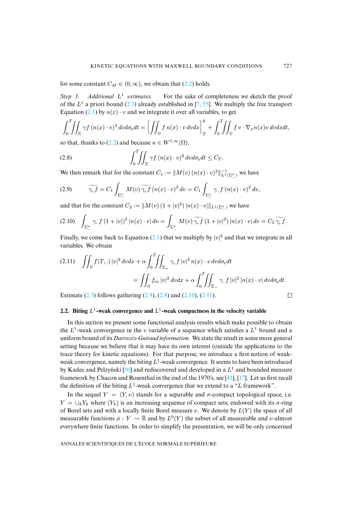for some c[onst](#page-7-1)ant  $C_M \in (0, \infty)$  $C_M \in (0, \infty)$  $C_M \in (0, \infty)$ , we obtain that (2.2) [ho](#page-39-3)[lds.](#page-41-3)

*Step 3. Additional* L 1 For the sake of completeness we sketch the proof of the  $L^1$  a priori bound (2.3) already established in [7, 55]. We multiply the free transport Equation (2.1) by  $n(x) \cdot v$  and we integrate it over all variables, to get

<span id="page-9-1"></span>
$$
\int_0^T \iint_{\Sigma} \gamma f(n(x) \cdot v)^2 dv d\sigma_x dt = \left[ \iint_{\Theta} f n(x) \cdot v dv dx \right]_T^0 + \int_0^T \iint_{\Theta} f v \cdot \nabla_x n(x) v dv dx dt,
$$

so that, thanks to (2.2) and because  $n \in W^{1,\infty}(\Omega)$ ,

(2.8) 
$$
\int_0^T \!\!\! \int_{\Sigma} \gamma f (n(x) \cdot v)^2 dv d\sigma_x dt \leq C_T.
$$

<span id="page-9-0"></span>We then remark that for the constant  $C_1 := ||M(v) (n(x) \cdot v)^2||_{L^1(\Sigma_{-}^x)}^{-1}$  we have

$$
(2.9) \qquad \widetilde{\gamma_+ f} = C_1 \int_{\Sigma_-^x} M(v) \widetilde{\gamma_+ f} \left( n(x) \cdot v \right)^2 dv = C_1 \int_{\Sigma_-^x} \gamma_- f \left( n(x) \cdot v \right)^2 dv,
$$

and that for the constant  $C_2 := \|M(v) \left(1 + |v|^2\right) |n(x) \cdot v| \|_{L^1(\Sigma_-^x)}$  we have

$$
(2.10) \quad \int_{\Sigma_{-}^{x}} \gamma_{-} f (1+|v|)^{2} |n(x) \cdot v| \, dv = \int_{\Sigma_{-}^{x}} M(v) \, \widetilde{\gamma_{+} f} (1+|v|^{2}) |n(x) \cdot v| \, dv = C_{2} \, \widetilde{\gamma_{+} f}.
$$

<span id="page-9-2"></span>Finally, we come back to Equation (2.1) that we multiply by  $|v|^2$  and that we integrate in all variables. We obtain

$$
(2.11) \quad \iint_{\theta} f(T,.) \, |v|^2 \, dvdx + \alpha \int_0^T \!\!\! \iint_{\Sigma_+} \gamma_+ f \, |v|^2 \, n(x) \cdot v \, dvd\sigma_x dt
$$

$$
= \iint_{\theta} f_{in} \, |v|^2 \, dvdx + \alpha \int_0^T \!\!\! \iint_{\Sigma_-} \gamma_- f \, |v|^2 \, |n(x) \cdot v| \, dvd\sigma_x dt.
$$

Estimate  $(2.3)$  follows gathering  $(2.9)$ ,  $(2.8)$  and  $(2.10)$ ,  $(2.11)$ .

2.2. Biting 
$$
L^1
$$
-weak convergence and  $L^1$ -weak compactness in the velocity variable

In this section we present some functional analysis results which make possible to obtain the  $L^1$ -weak convergence in the v variable of a sequence which satisfies a  $L^1$  bound and a uniform bound of its *Darrozès-Guiraud information*. We state the result in some more general setting because we belie[ve th](#page-41-12)at it may have its own interest (outside the applications to the trace theory for kinetic equations). For that purpose, we introd[uce](#page-41-13) a [firs](#page-39-15)t notion of weakweak convergence, namely the biting  $L^1$ -weak convergence. It seems to have been introduced by Kadec and Pelzyński [50] and rediscovered and developed in a  $L^1$  and bounded measure framework by Chacon and Rosenthal in the end of the 1970's, see [41], [17]. Let us first recall the definition of the biting  $L^1$ -weak convergence that we extend to a "L framework".

In the sequel  $Y = (Y, \nu)$  stands for a separable and  $\sigma$ -compact topological space, i.e.  $Y = \bigcup_k Y_k$  where  $(Y_k)$  is an increasing sequence of compact sets, endowed with its  $\sigma$ -ring of Borel sets and with a locally finite Borel measure  $\nu$ . We denote by  $L(Y)$  the space of all measurable functions  $\phi: Y \to \bar{\mathbb{R}}$  and by  $L^0(Y)$  the subset of all measurable and *v*-almost everywhere finite functions. In order to simplify the presentation, we will be only concerned

ANNALES SCIENTIFIQUES DE L'ÉCOLE NORMALE SUPÉRIEURE

 $\Box$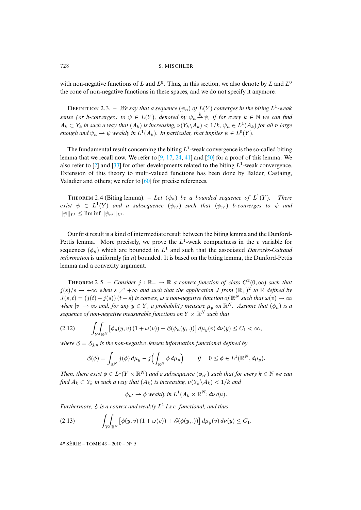with non-negative functions of L and  $L^0$ . Thus, in this section, we also denote by L and  $L^0$ the cone of non-negative functions in these spaces, and we do not specify it anymore.

DEFINITION 2.3. – We say that a sequence  $(\psi_n)$  of  $L(Y)$  converges in the biting  $L^1$ -weak *sense (or b-converges) to*  $\psi \in L(Y)$ , denoted by  $\psi_n \stackrel{b}{\rightharpoonup} \psi$ , if for every  $k \in \mathbb{N}$  we can find  $A_k \subset Y_k$  *in such a way that*  $(A_k)$  *is increasing,*  $\nu(Y_k \backslash A_k) < 1/k$ ,  $\psi_n \in L^1(A_k)$  *for all n large enough and*  $\psi_n \rightharpoonup \psi$  *weakly in*  $L^1(A_k)$ *. [In](#page-39-16) [par](#page-39-15)[ticu](#page-40-12)[lar,](#page-41-13) that [imp](#page-41-12)lies*  $\psi \in L^0(Y)$ *.* 

<span id="page-10-0"></span>The fundamental result concerning the biting  $L^1$ -weak convergence is the so-called biting lemma that we recall now. We re[fer](#page-41-14) to  $[9, 17, 24, 41]$  and  $[50]$  for a proof of this lemma. We also refer to [2] and [33] for other developments related to the biting  $L^1$ -weak convergence. Extension of this theory to multi-valued functions has been done by Balder, Castaing, Valadier and others; we refer to [60] for precise references.

THEOREM 2.4 (Biting lemma). – Let  $(\psi_n)$  be a bounded sequence of  $L^1$ (Y )*. There exist*  $\psi \in L^1(Y)$  *and a subsequence*  $(\psi_{n'})$  *such that*  $(\psi_{n'})$  *b*-converges to  $\psi$  *and*  $\|\psi\|_{L^1} \leq \liminf \|\psi_{n'}\|_{L^1}$ .

<span id="page-10-2"></span>Our first result is a kind of intermediate result between the biting lemma and the Dunford-Pettis lemma. More precisely, we prove the  $L^1$ -weak compactness in the v variable for sequences  $(\phi_n)$  which are bounded in  $L^1$  and such that the associated *Darrozès-Guiraud information* is uniformly (in n) bounded. It is based on the biting lemma, the Dunford-Pettis lemma and a convexity argument.

<span id="page-10-1"></span>**THEOREM** 2.5. – *Consider*  $j : \mathbb{R}_+ \to \mathbb{R}$  a convex function of class  $C^2(0, \infty)$  such that  $j(s)/s \to +\infty$  when  $s \nearrow +\infty$  and such that the application J from  $(\mathbb{R}_{+})^2$  to  $\mathbb R$  defined by  $J(s,t) = (j(t) - j(s))$   $(t - s)$  *is convex,*  $\omega$  *a non-negative function of*  $\mathbb{R}^N$  *such that*  $\omega(v) \to \infty$ *when*  $|v| \to \infty$  *and, for any*  $y \in Y$ *, a probability measure*  $\mu_y$  *on*  $\mathbb{R}^N$ *. Assume that*  $(\phi_n)$  *is a* sequence of non-negative measurable functions on  $Y \times \mathbb{R}^N$  such that

$$
(2.12) \qquad \int_Y \int_{\mathbb{R}^N} \left[ \phi_n(y,v) \left( 1 + \omega(v) \right) + \mathcal{E}(\phi_n(y,.)) \right] d\mu_y(v) \, dv(y) \le C_1 < \infty,
$$

*where*  $\mathcal{E} = \mathcal{E}_{j,y}$  *is the non-negative Jensen information functional defined by* 

$$
\mathcal{E}(\phi) = \int_{\mathbb{R}^N} j(\phi) d\mu_y - j \Bigl( \int_{\mathbb{R}^N} \phi d\mu_y \Bigr) \qquad \text{if} \quad 0 \le \phi \in L^1(\mathbb{R}^N, d\mu_y).
$$

*Then, there exist*  $\phi \in L^1(Y \times \mathbb{R}^N)$  *and a subsequence*  $(\phi_{n'})$  *such that for every*  $k \in \mathbb{N}$  *we can find*  $A_k \subset Y_k$  *in such a way that*  $(A_k)$  *is increasing,*  $\nu(Y_k \setminus A_k) < 1/k$  *and* 

$$
\phi_{n'} \to \phi
$$
 weakly in  $L^1(A_k \times \mathbb{R}^N; d\nu d\mu)$ .

*Furthermore,* E *is a convex and weakly* L 1 *l.s.c. functional, and thus*

$$
(2.13) \qquad \qquad \int_Y \int_{\mathbb{R}^N} \left[ \phi(y,v) \left( 1 + \omega(v) \right) + \mathcal{E}(\phi(y,.)) \right] d\mu_y(v) \, d\nu(y) \leq C_1.
$$

<span id="page-10-3"></span>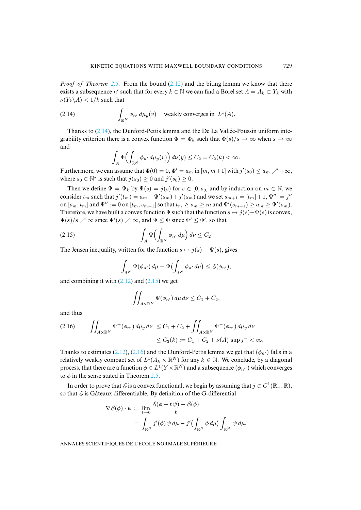*Proof of Theorem 2.5.* From the bound (2.12) and the biting lemma we know that there exists a subsequence n' such that for every  $k \in \mathbb{N}$  we can find a Borel set  $A = A_k \subset Y_k$  with  $\nu(Y_k\backslash A) < 1/k$  such that

(2.14) 
$$
\int_{\mathbb{R}^N} \phi_{n'} d\mu_y(v) \quad \text{weakly converges in } L^1(A).
$$

Thanks to  $(2.14)$ , the Dunford-Pettis lemma and the De La Vallée-Poussin uniform integrability criterion there is a convex function  $\Phi = \Phi_k$  such that  $\Phi(s)/s \to \infty$  when  $s \to \infty$ and

$$
\int_A \Phi\Bigl(\int_{\mathbb{R}^N} \phi_{n'} d\mu_y(v)\Bigr) d\nu(y) \leq C_2 = C_2(k) < \infty.
$$

Furthermore, we can assume that  $\Phi(0) = 0$ ,  $\Phi' = a_m$  in  $[m, m+1]$  with  $j'(s_0) \le a_m$   $\nearrow +\infty$ , where  $s_0 \in \mathbb{N}^*$  is such that  $j(s_0) \ge 0$  and  $j'(s_0) \ge 0$ .

Then we define  $\Psi = \Psi_k$  by  $\Psi(s) = j(s)$  for  $s \in [0, s_0]$  and by induction on  $m \in \mathbb{N}$ , we consider  $t_m$  such that  $j'(t_m) = a_m - \Psi'(s_m) + j'(s_m)$  and we set  $s_{m+1} = [t_m] + 1$ ,  $\Psi'' := j''$ on  $[s_m, t_m]$  and  $\Psi'':= 0$  on  $[t_m, s_{m+1}]$  so that  $t_m \ge s_m \ge m$  and  $\Psi'(s_{m+1}) \ge a_m \ge \Psi'(s_m)$ . Therefore, we have built a convex function  $\Psi$  such that the function  $s \mapsto j(s)-\Psi(s)$  is convex,  $\Psi(s)/s \nearrow \infty$  since  $\Psi'(s) \nearrow \infty$ , and  $\Psi \leq \Phi$  since  $\Psi' \leq \Phi'$ , so that

$$
(2.15) \qquad \qquad \int_A \Psi \Bigl( \int_{\mathbb{R}^N} \phi_{n'} d\mu \Bigr) d\nu \le C_2.
$$

The Jensen inequality, written for the function  $s \mapsto j(s) - \Psi(s)$ , gives

$$
\int_{\mathbb{R}^N} \Psi(\phi_{n'}) d\mu - \Psi(\int_{\mathbb{R}^N} \phi_{n'} d\mu) \leq \mathcal{E}(\phi_{n'}),
$$

and combining it with  $(2.12)$  and  $(2.15)$  we get

$$
\iint_{A\times\mathbb{R}^N}\Psi(\phi_{n'})\,d\mu\,d\nu\leq C_1+C_2,
$$

<span id="page-11-0"></span>and thus

$$
(2.16) \qquad \iint_{A \times \mathbb{R}^N} \Psi^+(\phi_{n'}) \, d\mu_y \, d\nu \le C_1 + C_2 + \iint_{A \times \mathbb{R}^N} \Psi^-(\phi_{n'}) \, d\mu_y \, d\nu \le C_3(k) := C_1 + C_2 + \nu(A) \sup j^- < \infty.
$$

Thanks to estimates (2.12), (2.16) a[nd t](#page-10-2)he Dunford-Pettis lemma we get that  $(\phi_{n})$  falls in a relatively weakly compact set of  $L^1(A_k \times \mathbb{R}^N)$  for any  $k \in \mathbb{N}$ . We conclude, by a diagonal process, that there are a function  $\phi \in L^1(Y \times \mathbb{R}^N)$  and a subsequence  $(\phi_{n''})$  which converges to  $\phi$  in the sense stated in Theorem 2.5.

In order to prove that  $\mathscr E$  is a convex functional, we begin by assuming that  $j \in C^1(\mathbb R_+, \mathbb R)$ , so that  $\mathcal E$  is Gâteaux differentiable. By definition of the G-differential

$$
\nabla \mathcal{E}(\phi) \cdot \psi := \lim_{t \to 0} \frac{\mathcal{E}(\phi + t\,\psi) - \mathcal{E}(\phi)}{t}
$$
  
= 
$$
\int_{\mathbb{R}^N} j'(\phi) \,\psi \,d\mu - j'(\int_{\mathbb{R}^N} \phi \,d\mu) \int_{\mathbb{R}^N} \psi \,d\mu,
$$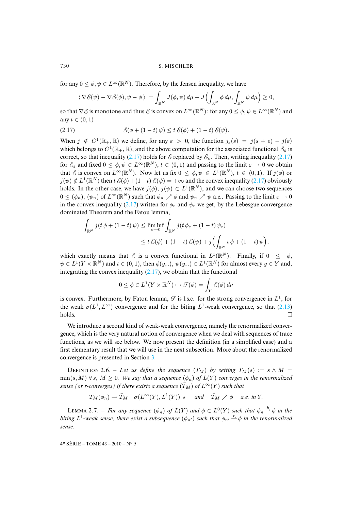for any  $0 \leq \phi, \psi \in L^{\infty}(\mathbb{R}^N)$ . Therefore, by the Jensen inequality, we have

<span id="page-12-0"></span>
$$
\langle \nabla \mathcal{E}(\psi) - \nabla \mathcal{E}(\phi), \psi - \phi \rangle = \int_{\mathbb{R}^N} J(\phi, \psi) \, d\mu - J\Bigl(\int_{\mathbb{R}^N} \phi \, d\mu, \int_{\mathbb{R}^N} \psi \, d\mu\Bigr) \geq 0,
$$

so that  $\nabla E$  is monotone and thus  $E$  is convex on  $L^\infty(\mathbb{R}^N)$ : for any  $0\leq\phi,\psi\in L^\infty(\mathbb{R}^N)$  and any  $t \in (0, 1)$ 

(2.17) 
$$
\mathcal{E}(\phi + (1-t)\,\psi) \leq t\,\mathcal{E}(\phi) + (1-t)\,\mathcal{E}(\psi).
$$

When  $j \notin C^1(\mathbb{R}_+, \mathbb{R})$  we define, for any  $\varepsilon > 0$ , the function  $j_{\varepsilon}(s) = j(s + \varepsilon) - j(\varepsilon)$ which belongs to  $C^1(\mathbb{R}_+, \mathbb{R})$ , and the above computation for the associated functional  $\mathcal{E}_{\varepsilon}$  is correct, so that i[nequa](#page-12-0)lity (2.17) holds for  $\mathcal E$  replaced by  $\mathcal E_{\varepsilon}$ . Then, writing inequality (2.17) for  $\mathcal{E}_{\varepsilon}$  and fixed  $0 \leq \phi, \psi \in L^{\infty}(\mathbb{R}^{N}), t \in (0, 1)$  and passing to the limit  $\varepsilon \to 0$  we obtain that E is convex on  $L^{\infty}(\mathbb{R}^N)$ . Now let us fix  $0 \leq \phi, \psi \in L^1(\mathbb{R}^N)$ ,  $t \in (0,1)$ . If  $j(\phi)$  or  $j(\psi) \notin L^1(\mathbb{R}^N)$  then  $t \mathcal{E}(\phi) + (1-t) \mathcal{E}(\psi) = +\infty$  and the convex inequality (2.17) obviously holds. In the other case, we have  $j(\phi)$ ,  $j(\psi) \in L^1(\mathbb{R}^N)$ , and we can choose two sequences  $0 \leq (\phi_n)$ ,  $(\psi_n)$  of  $L^{\infty}(\mathbb{R}^N)$  such that  $\phi_n \nearrow \phi$  and  $\psi_n \nearrow \psi$  a.e.. Passing to the limit  $\varepsilon \to 0$ in the convex inequality (2.17) written for  $\phi_{\varepsilon}$  and  $\psi_{\varepsilon}$  we get, by the Lebesgue convergence dominated Theorem and the Fatou lemma,

$$
\int_{\mathbb{R}^N} j(t \, \phi + (1-t) \, \psi) \le \liminf_{\varepsilon \to 0} \int_{\mathbb{R}^N} j(t \, \phi_{\varepsilon} + (1-t) \, \psi_{\varepsilon})
$$
\n
$$
\le t \, \mathcal{E}(\phi) + (1-t) \, \mathcal{E}(\psi) + j \Big( \int_{\mathbb{R}^N} t \, \phi + (1-t) \, \psi \Big),
$$

which exactly means that  $\mathscr E$  is a convex functional in  $L^1(\mathbb R^N)$ . Finally, if  $0 \leq \phi$ ,  $\psi \in L^1(Y \times \mathbb{R}^N)$  and  $t \in (0,1)$ , then  $\phi(y,.)$ ,  $\psi(y,.) \in L^1(\mathbb{R}^N)$  for almost every  $y \in Y$  and, integrating the convex inequality  $(2.17)$ , we obtain that the functional

$$
0 \le \phi \in L^1(Y \times \mathbb{R}^N) \mapsto \mathcal{F}(\phi) = \int_Y \mathcal{E}(\phi) d\nu
$$

is convex. Furthermore, by Fatou lemma,  $\mathcal{F}$  is l.s.c. for the strong convergence in  $L^1$ , for the weak  $\sigma(L^1, L^{\infty})$  convergence and for the biting  $L^1$ -weak convergence, so that (2.13) holds.  $\Box$ 

<span id="page-12-2"></span>We introduce a second kind of weak-weak convergence, namely the renormalized convergence, which is the very natural not[ion](#page-15-0) of convergence when we deal with sequences of trace functions, as we will see below. We now present the definition (in a simplified case) and a first elementary result that we will use in the next subsection. More about the renormalized convergence is presented in Section 3.

<span id="page-12-1"></span>DEFINITION 2.6. – Let us define the sequence  $(T_M)$  by setting  $T_M(s) := s \wedge M =$  $\min(s, M)$   $\forall s, M \geq 0$ *. We say that a sequence*  $(\phi_n)$  *of*  $L(Y)$  *converges in the renormalized sense (or r-converges) if there exists a sequence*  $(\bar{T}_M)$  *of*  $L^{\infty}(Y)$  *such that* 

$$
T_M(\phi_n) \rightharpoonup \bar{T}_M
$$
  $\sigma(L^{\infty}(Y), L^1(Y)) \rightharpoonup$  and  $\bar{T}_M \nearrow \phi$  a.e. in Y.

LEMMA 2.7. – *For any sequence*  $(\phi_n)$  *of*  $L(Y)$  *and*  $\phi \in L^0(Y)$  *such that*  $\phi_n \stackrel{b}{\to} \phi$  *in the biting*  $L^1$ -weak sense, there exist a subsequence  $(\phi_{n'})$  such that  $\phi_{n'} \stackrel{r}{\rightarrow} \phi$  in the renormalized *sense.*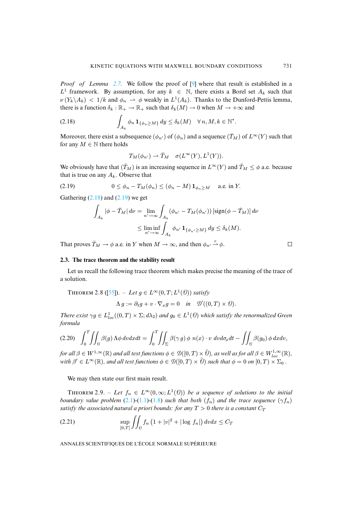<span id="page-13-0"></span>*Proof of Lemma 2.7.* We follow the proof of [9] where that result is established in a  $L^1$  framework. By assumption, for any  $k \in \mathbb{N}$ , there exists a Borel set  $A_k$  such that  $\nu(Y_k \backslash A_k) < 1/k$  and  $\phi_n \rightharpoonup \phi$  weakly in  $L^1(A_k)$ . Thanks to the Dunford-Pettis lemma, there is a function  $\delta_k : \mathbb{R}_+ \to \mathbb{R}_+$  such that  $\delta_k(M) \to 0$  when  $M \to +\infty$  and

(2.18) 
$$
\int_{A_k} \phi_n \mathbf{1}_{\{\phi_n \geq M\}} dy \leq \delta_k(M) \quad \forall n, M, k \in \mathbb{N}^*.
$$

Moreover, there exist a subsequence  $(\phi_{n'})$  of  $(\phi_n)$  and a sequence  $(\bar{T}_M)$  of  $L^{\infty}(Y)$  such that for any  $M \in \mathbb{N}$  there holds

<span id="page-13-1"></span>
$$
T_M(\phi_{n'}) \rightharpoonup \bar{T}_M \quad \sigma(L^{\infty}(Y), L^1(Y)).
$$

We obviously have that  $(T_M)$  is an increasing sequence in  $L^{\infty}(Y)$  and  $\overline{T}_M \leq \phi$  a.e. because that is true [on an](#page-13-0)y  $A_k$ [. Obs](#page-13-1)erve that

$$
(2.19) \t 0 \le \phi_n - T_M(\phi_n) \le (\phi_n - M) \mathbf{1}_{\phi_n \ge M} \t a.e. \text{ in } Y.
$$

Gathering  $(2.18)$  and  $(2.19)$  we get

$$
\int_{A_k} |\phi - \bar{T}_M| d\nu = \lim_{n' \to \infty} \int_{A_k} (\phi_{n'} - T_M(\phi_{n'})) [\text{sign}(\phi - \bar{T}_M)] d\nu
$$
  

$$
\leq \liminf_{n' \to \infty} \int_{A_k} \phi_{n'} \mathbf{1}_{\{\phi_{n'} \geq M\}} d\mathbf{y} \leq \delta_k(M).
$$

That proves  $\bar{T}_M \to \phi$  a.e. in Y when  $M \to \infty$ , and then  $\phi_{n'} \stackrel{r}{\to} \phi$ .

# <span id="page-13-3"></span>**2.3. The trace theorem and the stability result**

Let us recall the [fol](#page-41-3)lowing trace theorem which makes precise the meaning of the trace of a solution.

THEOREM 2.8 ([55]). 
$$
-
$$
 Let  $g \in L^{\infty}(0,T;L^{1}(\mathcal{O}))$  satisfy

$$
\Lambda g := \partial_t g + v \cdot \nabla_x g = 0 \quad \text{in} \quad \mathcal{D}'((0,T) \times \mathcal{O}).
$$

*There exist*  $\gamma g \in L^1_{loc}((0,T) \times \Sigma; d\lambda_2)$  *and*  $g_0 \in L^1(\mathcal{D})$  *which satisfy the renormalized Green formula*

$$
(2.20)\quad \int_0^T \iint_{\partial} \beta(g) \Lambda \phi \, dv dx dt = \int_0^T \iint_{\Sigma} \beta(\gamma g) \phi \, n(x) \cdot v \, dv d\sigma_x dt - \iint_{\partial} \beta(g_0) \phi \, dx dv,
$$

<span id="page-13-4"></span> $f$ or all  $\beta\in W^{1,\infty}(\mathbb R)$  and all test functions  $\phi\in \mathcal D([0,T)\times\bar{\varrho})$ , as well as for all  $\beta\in W^{1,\infty}_{loc}(\mathbb R)$ , *with*  $\beta' \in L^{\infty}(\mathbb{R})$ *, and all test functions*  $\phi \in \mathcal{D}([0,T) \times \overline{0})$  *such that*  $\phi = 0$  *on*  $[0,T) \times \Sigma_0$ .

<span id="page-13-2"></span>We may then state our [firs](#page-7-1)t [main](#page-2-0) [resu](#page-3-2)lt.

THEOREM 2.9. – Let  $f_n \in L^{\infty}(0,\infty; L^1(\mathcal{O}))$  be a sequence of solutions to the initial *boundary value problem* (2.1)-(1.1)-(1.8) *such that both*  $(f_n)$  *and the trace sequence*  $(\gamma f_n)$ *satisfy the associated natural a priori bounds: for any*  $T > 0$  *there is a constant*  $C_T$ 

(2.21) 
$$
\sup_{[0,T]} \iint_{\theta} f_n (1+|v|^2 + |\log f_n|) dv dx \leq C_T
$$

ANNALES SCIENTIFIQUES DE L'ÉCOLE NORMALE SUPÉRIEURE

 $\Box$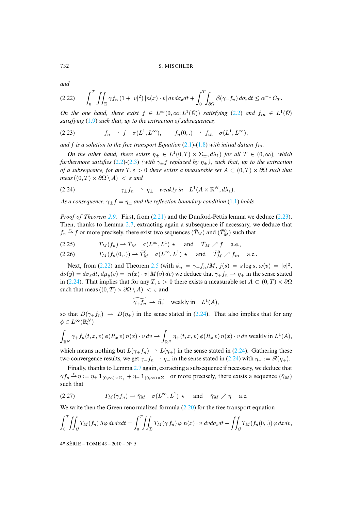*and*

$$
(2.22) \qquad \int_0^T \iint_{\Sigma} \gamma f_n \left(1+|v|^2\right) |n(x)\cdot v| \, dv \, d\sigma_x \, dt + \int_0^T \int_{\partial \Omega} \mathcal{E}(\gamma + f_n) \, d\sigma_x \, dt \leq \alpha^{-1} \, C_T.
$$

*On the one hand, there exist*  $f \in L^{\infty}(0, \infty; L^{1}(\mathcal{O}))$  *satisfying* (2.2) *and*  $f_{in} \in L^{1}(\mathcal{O})$ *satisfying* (1.9) *such that, up to the extraction of s[ubse](#page-7-1)q[uen](#page-3-2)ces,*

$$
(2.23) \t f_n \rightharpoonup f \quad \sigma(L^1, L^\infty), \t f_n(0,.) \rightharpoonup f_{in} \quad \sigma(L^1, L^\infty),
$$

*and*  $f$  *is a solution to the free transport Equation* (2.1)-(1.8) *with initial datum*  $f_{in}$ *.* 

*On the other hand, there exists*  $\eta_{\pm} \in L^1(0,T) \times \Sigma_{\pm}$ ,  $d\lambda_1$  *for all*  $T \in (0,\infty)$ *, which furthermore satisfies* (2.2)-(2.3) *(with*  $\gamma_{\pm}f$  *replaced by*  $\eta_{\pm}$ *), such that, up to the extraction of a subsequence, for any*  $T, \varepsilon > 0$  *there exists a measurable set*  $A \subset (0, T) \times \partial \Omega$  *such that meas*  $((0, T) \times \partial \Omega \setminus A) < \varepsilon$  *and* 

<span id="page-14-1"></span>(2.24) 
$$
\gamma_{\pm} f_n \rightharpoonup \eta_{\pm} \quad weakly \text{ in } \quad L^1(A \times \mathbb{R}^N, d\lambda_1).
$$

*As a consequence,*  $\gamma_{\pm} f = \eta_{\pm}$  *and the reflection boundary condition* (1.1) *holds.* 

*Proof of Theorem 2.9.* First, from (2.21) and the Dunford-Pettis lemma we deduce (2.23). Then, thanks to Lemma 2.7, extracting again a subsequence if necessary, we deduce that  $f_n \overset{r}{\rightharpoonup} f$  or more precisely, there exist two sequences  $(\bar{T}_M)$  and  $(\bar{T}_M^0)$  such that

$$
(2.25) \tT_M(f_n) \rightharpoonup \bar{T}_M \quad \sigma(L^{\infty}, L^1) \star \quad \text{and} \quad \bar{T}_M \nearrow f \quad \text{a.e.,}
$$

$$
(2.26) \t\t T_M(f_n(0,.)) \rightharpoonup \bar{T}_M^0 \quad \sigma(L^\infty,L^1) \rightharpoonup \text{ and } \bar{T}_M^0 \nearrow f_{in} \quad \text{a.e.}.
$$

Next, from (2.22) and Theorem 2.5 (with  $\phi_n = \gamma + f_n/M$ ,  $j(s) = s \log s$ ,  $\omega(v) = |v|^2$ ,  $d\nu(y) = d\sigma_x dt$ ,  $d\mu_y(v) = |n(x) \cdot v| M(v) dv$  we deduce that  $\gamma_+ f_n \rightharpoonup \eta_+$  in the sense stated in (2.24). That implies that for any  $T, \varepsilon > 0$  there exists a measurable set  $A \subset (0,T) \times \partial \Omega$ such that meas  $((0, T) \times \partial \Omega \setminus A) < \varepsilon$  and

$$
\widetilde{\gamma_+ f_n} \rightharpoonup \widetilde{\eta_+} \quad \text{weakly in} \quad L^1(A),
$$

so that  $D(\gamma + f_n) \rightharpoonup D(\eta_+)$  in the sense stated in (2.24). That also implies that for any  $\phi \in L^\infty(\mathbb{R}^N_v)$ 

$$
\int_{\mathbb{R}^N} \gamma_+ f_n(t, x, v) \, \phi(R_x \, v) \, n(x) \cdot v \, dv \rightharpoonup \int_{\mathbb{R}^N} \eta_+(t, x, v) \, \phi(R_x \, v) \, n(x) \cdot v \, dv \, \text{weakly in } L^1(A),
$$

which means nothing but  $L(\gamma_+ f_n) \rightharpoonup L(\eta_+)$  in the sense stated in (2.24). Gathering these two convergence results, we get  $\gamma_{-}f_n \rightharpoonup \eta_{-}$  in the sense stated in (2.24) with  $\eta_{-} := \mathcal{R}(\eta_{+})$ .

Finally, thanks to Lemma 2.7 again, extracting a subsequence if necessary, we deduce that  $\gamma f_n \overset{r}{\rightarrow} \eta := \eta_+ \mathbf{1}_{(0,\infty)\times\Sigma_+} + \eta_- \mathbf{1}_{(0,\infty)\times\Sigma_-}$  or more precisely, there exists a sequence  $(\bar{\gamma}_M)$ such that

(2.27) 
$$
T_M(\gamma f_n) \to \bar{\gamma}_M \quad \sigma(L^{\infty}, L^1) \star \quad \text{and} \quad \bar{\gamma}_M \nearrow \eta \quad \text{a.e.}
$$

We write then the Green renormalized formula  $(2.20)$  for the free transport equation

$$
\int_0^T \iint_{\Theta} T_M(f_n) \Lambda \varphi \, dv dx dt = \int_0^T \iint_{\Sigma} T_M(\gamma f_n) \varphi \, n(x) \cdot v \, dv d\sigma_x dt - \iint_{\Theta} T_M(f_n(0,.)) \varphi \, dx dv,
$$

<span id="page-14-0"></span>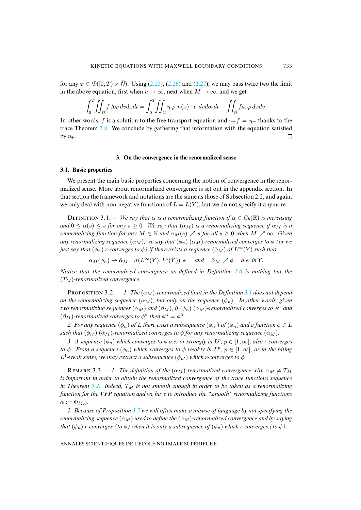for any  $\varphi \in \mathcal{D}([0,T) \times \overline{\theta})$ . Using (2.25), (2.26) and (2.27), we may pass twice two the limit in the above equation, first when  $n \to \infty$ , next when  $M \to \infty$ , and we get

$$
\int_0^T \iint_{\mathcal{D}} f \Lambda \varphi \, dv dx dt = \int_0^T \iint_{\Sigma} \eta \varphi \, n(x) \cdot v \, dv d\sigma_x dt - \iint_{\mathcal{D}} f_{in} \varphi \, dx dv.
$$

<span id="page-15-0"></span>In other words, f is a solution to the free transport equation and  $\gamma_{\pm} f = \eta_{\pm}$  thanks to the trace Theorem 2.8. We conclude by gathering that information with the equation satisfied by  $\eta_+$ .  $\Box$ 

# **3. On the convergence in the renormalized sense**

# **3.1. Basic properties**

We present the main basic properties concerning the notion of convergence in the renormalized sense. More about renormalized convergence is set out in the appendix section. In that section the framework and notations are the same as those of Subsection 2.2, and again, we only deal with non-negative functions of  $L = L(Y)$ , but we do not specify it anymore.

DEFINITION 3.1. – *We say that*  $\alpha$  *is a renormalizing function if*  $\alpha \in C_b(\mathbb{R})$  *is increasing and*  $0 \le \alpha(s) \le s$  *for any*  $s \ge 0$ *. We say that*  $(\alpha_M)$  *is a renormalizing sequence if*  $\alpha_M$  *is a renormalizing function for any*  $M \in \mathbb{N}$  *and*  $\alpha_M(s) \nearrow s$  *for all*  $s \geq 0$  *when*  $M \nearrow \infty$ *. Given any renormalizing sequence*  $(\alpha_M)$ *, we say that*  $(\phi_n)$   $(\alpha_M)$ *-renormalized converges to*  $\phi$  *(or we just say that*  $(\phi_n)$  *r-converges to*  $\phi$ *) if there exists a sequence*  $(\bar{\alpha}_M)$  *of*  $L^{\infty}(Y)$  $L^{\infty}(Y)$  *such that* 

 $\alpha_M(\phi_n) \rightharpoonup \bar{\alpha}_M \quad \sigma(L^{\infty}(Y), L^1(Y)) \rightharpoonup \text{ and } \quad \bar{\alpha}_M \nearrow \phi \quad \text{a.e. in } Y.$ 

*Notice that the renormalized convergence as defined in Definition 2.6 [is n](#page-3-4)othing but the*  $(T_M)$ -renormalized convergence.

PROPOSITION 3.2. – *1. The*  $(\alpha_M)$ -renormalized limit in the Definition 3.1 does not depend *on the renormalizing sequence*  $(\alpha_M)$ *, but only on the sequence*  $(\phi_n)$ *. In other words, given two renormalizing sequences*  $(\alpha_M)$  *and*  $(\beta_M)$ , *if*  $(\phi_n)$   $(\alpha_M)$ -renormalized converges to  $\phi^{\alpha}$  and  $(\beta_M)$ -renormalized converges to  $\phi^{\beta}$  then  $\phi^{\alpha} = \phi^{\beta}$ .

*2. For any sequence*  $(\phi_n)$  *of* L *there exist a subsequence*  $(\phi_{n'})$  *of*  $(\phi_n)$  *and a function*  $\phi \in L$ *such that*  $(\phi_{n'}) (\alpha_M)$ -renormalized converges to  $\phi$  *for any renormalizing sequence*  $(\alpha_M)$ *.* 

*3. A sequence*  $(\phi_n)$  *which converges to*  $\phi$  *a.e. or strongly in*  $L^p$ ,  $p \in [1, \infty]$ *, also r-converges to*  $\phi$ *. From a sequence*  $(\phi_n)$  *which converges to*  $\phi$  *weakly in*  $L^p$ *,*  $p \in [1, \infty]$ *, or in the biting*  $L^1$ -weak se[nse, w](#page-4-0)e may extract a subsequence  $(\phi_{n'})$  which r-converges to  $\phi$ .

REMARK 3.3. – *1. The definition of the*  $(\alpha_M)$ -renormalized convergence with  $\alpha_M \neq T_M$ *is important in order to obtain the renormalized convergence of the trace functions sequence in Theorem 5.2. Indeed,*  $T_M$  *[is](#page-4-0) not smooth enough in order to be taken as a renormalizing function for the VFP equation and we have to introduce the "smooth" renormalizing functions*  $\alpha := \Phi_{M,\theta}.$ 

*2. Because of Proposition 3.2 we will often make a misuse of language by not specifying the renormalizing sequence*  $(\alpha_M)$  *used to define the*  $(\alpha_M)$ *-renormalized convergence and by saying that*  $(\phi_n)$  *r-converges* (to  $\phi$ ) when it is only a subsequence of  $(\phi_n)$  *which r-converges* (to  $\phi$ ).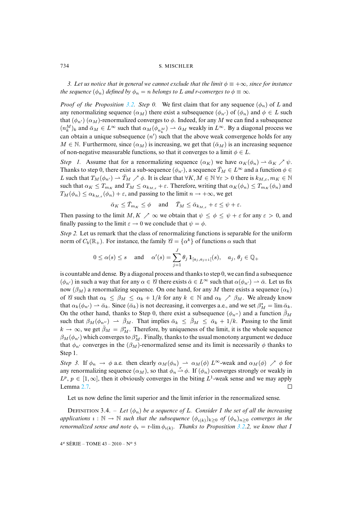*3. Let us notice that in [gene](#page-4-0)ral we cannot exclude that the limit*  $\phi \equiv +\infty$ *, since for instance the sequence*  $(\phi_n)$  *defined by*  $\phi_n = n$  *belongs to* L *and r-converges to*  $\phi \equiv \infty$ *.* 

*Proof of the Proposition* 3.2. Step 0. We first claim that for any sequence  $(\phi_n)$  of L and any renormalizing sequence  $(\alpha_M)$  there exist a subsequence  $(\phi_{n'})$  of  $(\phi_n)$  and  $\phi \in L$  such that  $(\phi_{n}) (\alpha_M)$ -renormalized converges to  $\phi$ . Indeed, for any M we can find a subsequence  $(n_k^M)_k$  and  $\bar{\alpha}_M \in L^{\infty}$  such that  $\alpha_M(\phi_{n_k^M}) \to \bar{\alpha}_M$  weakly in  $L^{\infty}$ . By a diagonal process we can obtain a unique subsequence  $(n')$  such that the above weak convergence holds for any  $M \in \mathbb{N}$ . Furthermore, since  $(\alpha_M)$  is increasing, we get that  $(\bar{\alpha}_M)$  is an increasing sequence of non-negative measurable functions, so that it converges to a limit  $\phi \in L$ .

*Step 1.* Assume that for a renormalizing sequence  $(\alpha_K)$  we have  $\alpha_K(\phi_n) \rightharpoonup \bar{\alpha}_K \nearrow \psi$ . Thanks to step 0, there exist a sub-sequence  $(\phi_{n'})$ , a sequence  $\bar{T}_M \in L^\infty$  and a function  $\phi \in$ L such that  $T_M(\phi_{n'}) \rightharpoonup \bar{T}_M \nearrow \phi$ . It is clear that  $\forall K, M \in \mathbb{N} \ \forall \varepsilon > 0$  there is  $k_{M,\varepsilon}, m_K \in \mathbb{N}$ such that  $\alpha_K \leq T_{m_K}$  and  $T_M \leq \alpha_{k_{M,\varepsilon}} + \varepsilon$ . Therefore, writing that  $\alpha_K(\phi_n) \leq T_{m_K}(\phi_n)$  and  $T_M(\phi_n) \leq \alpha_{k_{M,\varepsilon}}(\phi_n) + \varepsilon$ , and passing to the limit  $n \to +\infty$ , we get

$$
\bar{\alpha}_K \leq \bar{T}_{m_K} \leq \phi \quad \text{ and } \quad \bar{T}_M \leq \bar{\alpha}_{k_{M,\varepsilon}} + \varepsilon \leq \psi + \varepsilon.
$$

Then passing to the limit  $M, K \nearrow \infty$  we obtain that  $\psi \leq \phi \leq \psi + \varepsilon$  for any  $\varepsilon > 0$ , and finally passing to the limit  $\varepsilon \to 0$  we conclude that  $\psi = \phi$ .

*Step 2.* Let us remark that the class of renormalizing functions is separable for the uniform norm of  $C_b(\mathbb{R}_+)$ . For instance, the family  $\mathcal{U} = {\alpha^k}$  of functions  $\alpha$  such that

$$
0 \le \alpha(s) \le s
$$
 and  $\alpha'(s) = \sum_{j=1}^J \theta_j \mathbf{1}_{[a_j, a_{j+1}]}(s), \quad a_j, \theta_j \in \mathbb{Q}_+$ 

is countable and dense. By a diagonal process and thanks to step  $0$ , we can find a subsequence  $(\phi_{n'})$  in such a way that for any  $\alpha \in \mathcal{U}$  there exists  $\bar{\alpha} \in L^{\infty}$  such that  $\alpha(\phi_{n'}) \to \bar{\alpha}$ . Let us fix now  $(\beta_M)$  a renormalizing sequence. On one hand, for any M there exists a sequence  $(\alpha_k)$ of A such that  $\alpha_k \leq \beta_M \leq \alpha_k + 1/k$  for any  $k \in \mathbb{N}$  and  $\alpha_k \nearrow \beta_M$ . We already know that  $\alpha_k(\phi_{n'}) \to \bar{\alpha}_k$ . Since  $(\bar{\alpha}_k)$  is not decreasing, it converges a.e., and we set  $\beta_M^* = \lim \bar{\alpha}_k$ . On the other hand, thanks to Step 0, there exist a subsequence  $(\phi_{n''})$  and a function  $\bar{\beta}_M$ such that  $\beta_M(\phi_{n''}) \rightharpoonup \bar{\beta}_M$ . That implies  $\bar{\alpha}_k \leq \bar{\beta}_M \leq \bar{\alpha}_k + 1/k$ . Passing to the limit  $k \to \infty$ , we get  $\bar{\beta}_M = \beta_M^*$ . Therefore, by uniqueness of the limit, it is the whole sequence  $\beta_M(\phi_{n'})$  which converges to  $\beta^*_M$ . Finally, thanks to the usual monotony argument we deduce that  $\phi_{n'}$  converges in the ( $\beta_M$ )-renormalized sense and its limit is necessarily  $\phi$  thanks to Step 1.

*Step 3.* [If](#page-12-1)  $\phi_n \to \phi$  a.e. then clearly  $\alpha_M(\phi_n) \to \alpha_M(\phi) L^{\infty}$ -weak and  $\alpha_M(\phi) \nearrow \phi$  for any renormalizing sequence  $(\alpha_M)$ , so that  $\phi_n \overset{r}{\rightarrow} \phi$ . If  $(\phi_n)$  converges strongly or weakly in  $L^p$ ,  $p \in [1,\infty]$ , then it obviously converges in the biting  $L^1$ -weak sense and we may apply Lemma 2.7.  $\Box$ 

Let us now define the limit superior and the limit inferior in the re[norm](#page-4-0)alized sense.

**DEFINITION** 3.4. – Let  $(\phi_n)$  be a sequence of L. Consider I the set of all the increasing *applications*  $\imath : \mathbb{N} \to \mathbb{N}$  *such that the subsequence*  $(\phi_{\imath(k)})_{k>0}$  *of*  $(\phi_n)_{n>0}$  *converges in the renormalized sense and note*  $\phi_i = r$ -lim  $\phi_{i(k)}$ . *Thanks to Proposition 3.2.2, we know that* 1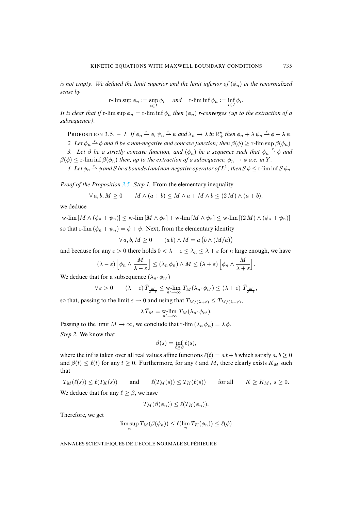*is not empty. We defined the limit superior and the limit inferior of*  $(\phi_n)$  *in the renormalized sense by*

$$
\operatorname{r-lim} \sup \phi_n := \sup_{i \in I} \phi_i \quad \text{ and } \quad \operatorname{r-lim} \inf \phi_n := \inf_{i \in I} \phi_i.
$$

*It is clear that if* r-lim sup  $\phi_n = r$ -lim inf  $\phi_n$  *then*  $(\phi_n)$  *r-converges (up to the extraction of a subsequence).*

PROPOSITION 3.5. – *1.* If  $\phi_n \stackrel{r}{\rightharpoonup} \phi$ ,  $\psi_n \stackrel{r}{\rightharpoonup} \psi$  and  $\lambda_n \to \lambda$  in  $\mathbb{R}^*_+$  then  $\phi_n + \lambda \psi_n \stackrel{r}{\rightharpoonup} \phi + \lambda \psi$ . 2. Let  $\phi_n \stackrel{r}{\rightharpoonup} \phi$  and  $\beta$  *be a non-negative and concave function; then*  $\beta(\phi) \geq r$ *-lim* sup  $\beta(\phi_n)$ *.* 

*3.* Let  $\beta$  be a strictly concave function, and  $(\phi_n)$  be a sequence such that  $\phi_n \stackrel{r}{\rightarrow} \phi$  and  $\beta(\phi) \leq r$ -lim inf  $\beta(\phi_n)$  *t[hen,](#page-10-2) up to the extraction of a subsequence,*  $\phi_n \to \phi$  *a.e. in* Y.

4. Let  $\phi_n \stackrel{r}{\rightharpoonup} \phi$  and  $S$  be a bounded and non-negative operator of  $L^1$  ; then  $S$   $\phi \leq$  r-lim inf  $S$   $\phi_n$ .

*Proof of the Proposition 3.5. Step 1.* From the elementary inequality

$$
\forall a, b, M \ge 0 \qquad M \wedge (a+b) \le M \wedge a + M \wedge b \le (2M) \wedge (a+b),
$$

we deduce

w-lim  $[M \wedge (\phi_n + \psi_n)] \leq$  w-lim  $[M \wedge \phi_n] +$  w-lim  $[M \wedge \psi_n] \leq$  w-lim  $[(2 M) \wedge (\phi_n + \psi_n)]$ so that r-lim  $(\phi_n + \psi_n) = \phi + \psi$ . Next, from the elementary identity

$$
\forall a, b, M \ge 0 \qquad (a b) \wedge M = a (b \wedge (M/a))
$$

and because for any  $\varepsilon > 0$  there holds  $0 < \lambda - \varepsilon \leq \lambda_n \leq \lambda + \varepsilon$  for *n* large enough, we have

$$
(\lambda - \varepsilon) \left[ \phi_n \wedge \frac{M}{\lambda - \varepsilon} \right] \leq (\lambda_n \phi_n) \wedge M \leq (\lambda + \varepsilon) \left[ \phi_n \wedge \frac{M}{\lambda + \varepsilon} \right].
$$

We deduce that for a subsequence  $(\lambda_{n'} \phi_{n'})$ 

$$
\forall \varepsilon > 0 \qquad (\lambda - \varepsilon) \, \overline{T}_{\frac{M}{\lambda - \varepsilon}} \leq \mathop{\text{w-lim}}_{n' \to \infty} T_M(\lambda_{n'} \, \phi_{n'}) \leq (\lambda + \varepsilon) \, \overline{T}_{\frac{M}{\lambda + \varepsilon}},
$$

so that, passing to the limit  $\varepsilon \to 0$  and using that  $T_{M/(\lambda+\varepsilon)} \leq T_{M/(\lambda-\varepsilon)}$ ,

$$
\lambda \bar{T}_M = \mathop{\mathrm{w-lim}}\limits_{n' \to \infty} T_M(\lambda_{n'} \phi_{n'}).
$$

Passing to the limit  $M \to \infty$ , we conclude that r-lim  $(\lambda_n \phi_n) = \lambda \phi$ .

*Step 2.* We know that

$$
\beta(s) = \inf_{\ell \ge \beta} \ell(s),
$$

where the inf is taken over all real values affine functions  $\ell(t) = a t + b$  which satisfy  $a, b \ge 0$ and  $\beta(t) \leq \ell(t)$  for any  $t \geq 0$ . Furthermore, for any  $\ell$  and M, there clearly exists  $K_M$  such that

 $T_M(\ell(s)) \leq \ell(T_K(s))$  and  $\ell(T_M(s)) \leq T_K(\ell(s))$  for all  $K \geq K_M$ ,  $s \geq 0$ . We deduce that for any  $\ell \geq \beta$ , we have

$$
T_M(\beta(\phi_n)) \leq \ell(T_K(\phi_n)).
$$

Therefore, we get

$$
\limsup_n T_M(\beta(\phi_n)) \leq \ell(\lim_n T_K(\phi_n)) \leq \ell(\phi)
$$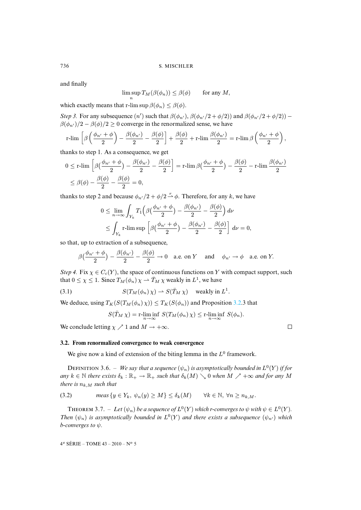and finally

$$
\limsup T_M(\beta(\phi_n)) \le \beta(\phi) \quad \text{for any } M,
$$

which exactly means that r-lim sup  $\beta(\phi_n) < \beta(\phi)$ .

n

*Step 3.* For any subsequence  $(n')$  such that  $\beta(\phi_{n'})$ ,  $\beta(\phi_{n'}/2 + \phi/2)$  and  $\beta(\phi_{n'}/2 + \phi/2)$  –  $\beta(\phi_{n'})/2 - \beta(\phi)/2 \ge 0$  converge in the renormalized sense, we have

$$
\operatorname{r-lim}\,\left[\beta\left(\frac{\phi_{n'}+\phi}{2}\right)-\frac{\beta(\phi_{n'})}{2}-\frac{\beta(\phi)}{2}\right]+\frac{\beta(\phi)}{2}+\operatorname{r-lim}\frac{\beta(\phi_{n'})}{2}=\operatorname{r-lim}\beta\left(\frac{\phi_{n'}+\phi}{2}\right),\right.
$$

thanks to step 1. As a consequence, we get

$$
0 \leq r\text{-lim } \left[ \beta \left( \frac{\phi_{n'} + \phi}{2} \right) - \frac{\beta(\phi_{n'})}{2} - \frac{\beta(\phi)}{2} \right] = r\text{-lim } \beta \left( \frac{\phi_{n'} + \phi}{2} \right) - \frac{\beta(\phi)}{2} - r\text{-lim } \frac{\beta(\phi_{n'})}{2}
$$
  

$$
\leq \beta(\phi) - \frac{\beta(\phi)}{2} - \frac{\beta(\phi)}{2} = 0,
$$

thanks to step 2 and because  $\phi_{n'}/2 + \phi/2 \stackrel{r}{\rightarrow} \phi$ . Therefore, for any k, we have

$$
0 \leq \lim_{n \to \infty} \int_{Y_k} T_1 \left( \beta \left( \frac{\phi_{n'} + \phi}{2} \right) - \frac{\beta(\phi_{n'})}{2} - \frac{\beta(\phi)}{2} \right) d\nu
$$
  

$$
\leq \int_{Y_k} r \cdot \limsup \left[ \beta \left( \frac{\phi_{n'} + \phi}{2} \right) - \frac{\beta(\phi_{n'})}{2} - \frac{\beta(\phi)}{2} \right] d\nu = 0,
$$

so that, up to extraction of a subsequence,

$$
\beta\big(\frac{\phi_{n'}+\phi}{2}\big)-\frac{\beta(\phi_{n'})}{2}-\frac{\beta(\phi)}{2}\to 0\quad\text{a.e. on }Y\quad\text{and}\quad\phi_{n'}\to\phi\quad\text{a.e. on }Y.
$$

*Step 4.* Fix  $\chi \in C_c(Y)$ , the space of continuous functions on Y with compact support, such that  $0 \le \chi \le 1$ . Since  $T_M(\phi_n) \chi \to \bar{T}_M \chi$  weakly in  $L^1$ , we have

(3.1) 
$$
S(T_M(\phi_n)\chi) \rightharpoonup S(\bar{T}_M\chi) \quad \text{weakly in } L^1.
$$

We deduce, using  $T_K(S(T_M(\phi_n)\chi)) \leq T_K(S(\phi_n))$  and Proposition 3.2.3 that

$$
S(\overline{T}_M \chi) = \mathop{\rm r-lim\,inf}_{n \to \infty} S(T_M(\phi_n) \chi) \leq \mathop{\rm r-lim\,inf}_{n \to \infty} S(\phi_n).
$$

We conclude letting  $\chi \nearrow 1$  and  $M \rightarrow +\infty$ .

# **3.2. From renormalized convergence to weak convergence**

<span id="page-18-0"></span>We give now a kind of extension of the biting lemma in the  $L^0$  framework.

DEFINITION 3.6. – We say that a sequence  $(\psi_n)$  is asymptotically bounded in  $L^0(Y)$  if for  $any \ k \in \mathbb{N}$  *there exists*  $\delta_k : \mathbb{R}_+ \to \mathbb{R}_+$  *such that*  $\delta_k(M) \setminus 0$  *when*  $M \nearrow +\infty$  *and for any* M *there is*  $n_{k,M}$  *such that* 

(3.2) 
$$
\text{meas } \{y \in Y_k, \ \psi_n(y) \ge M\} \le \delta_k(M) \qquad \forall k \in \mathbb{N}, \ \forall n \ge n_{k,M}.
$$

**THEOREM** 3.7. – Let  $(\psi_n)$  be a sequence of  $L^0(Y)$  which r-converges to  $\psi$  with  $\psi \in L^0(Y)$ . *Then*  $(\psi_n)$  *is asymptotically bounded in*  $L^0(Y)$  *and there exists a subsequence*  $(\psi_{n'})$  *which b-converges to* ψ*.*

4 <sup>e</sup> SÉRIE – TOME 43 – 2010 – N<sup>o</sup> 5

 $\Box$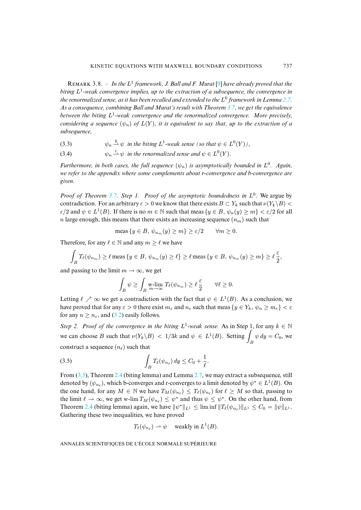REMARK 3.8. - In the L<sup>1</sup> framework, J. Ball and F. Murat [9] h[ave](#page-12-1) already proved that the *biting* L 1 *-weak convergence implies, up to the extraction of a subsequence, the convergence in the renormalized sense, as it has been recalled and extended to the* L 0 *framework in Lemma 2.7. As a consequence, combining Ball and Murat's result with Theorem 3.7, we get the equivalence between the biting* L 1 *-weak convergence and the renormalized convergence. More precisely, considering a sequence*  $(\psi_n)$  *of*  $L(Y)$ *, it is equivalent to say that, up to the extraction of a subsequence,*

- <span id="page-19-1"></span>(3.3)  $\psi_n \stackrel{b}{\rightarrow} \psi$  in the biting  $L^1$ -weak sense (so that  $\psi \in L^0(Y)$ ),
- (3.4)  $\psi_n \stackrel{r}{\rightarrow} \psi$  *in the renormalized sense and*  $\psi \in L^0(Y)$ .

*Furthermore, in both cases, the full sequence*  $(\psi_n)$  *is asymptotically bounded in*  $L^0$ *. Again, we refer to the app[endix](#page-12-1) where some complements about r-convergence and b-convergence are given.*

*Proof of Theorem 3.7. Step 1. Proof of the asymptotic boundedness in*  $L^0$ . We argue by contradiction. For an arbitrary  $\varepsilon > 0$  we know that there exists  $B \subset Y_k$  such that  $\nu(Y_k \setminus B)$  $\varepsilon/2$  and  $\psi \in L^1(B)$ . If there is no  $m \in \mathbb{N}$  such that meas  $\{y \in B, \psi_n(y) \ge m\} < \varepsilon/2$  for all n large enough, this means that there exists an increasing sequence  $(n_m)$  such that

$$
\text{meas}\, \{y \in B, \, \psi_{n_m}(y) \ge m\} \ge \varepsilon/2 \qquad \forall m \ge 0.
$$

Therefore, for any  $\ell \in \mathbb{N}$  and any  $m > \ell$  we have

$$
\int_{B} T_{\ell}(\psi_{n_m}) \geq \ell \operatorname{meas} \{ y \in B, \psi_{n_m}(y) \geq \ell \} \geq \ell \operatorname{meas} \{ y \in B, \psi_{n_m}(y) \geq m \} \geq \ell \frac{\varepsilon}{2},
$$

and passing to the limit  $m \to \infty$ , we get

<span id="page-19-0"></span>
$$
\int_B \psi \ge \int_B \mathop{\text{w-lim}}_{m \to \infty} T_\ell(\psi_{n_m}) \ge \ell \frac{\varepsilon}{2} \qquad \forall \ell \ge 0.
$$

Letting  $\ell \nearrow \infty$  we get a contradiction with the fact that  $\psi \in L^1(B)$ . As a conclusion, we have proved that for any  $\varepsilon > 0$  there exist  $m_{\varepsilon}$  and  $n_{\varepsilon}$  such that meas  $\{y \in Y_k, \psi_n \ge m_{\varepsilon}\} < \varepsilon$ for any  $n \geq n_{\epsilon}$ , and (3.2) easily follows.

*Step 2. Proof of the convergence in the biting*  $L^1$ -weak sense. As in Step 1, for any  $k \in \mathbb{N}$ we can choose B such that  $\nu(Y_k \backslash B) < 1/3k$  and  $\psi \in L^1(B)$ . Setting  $\int_B \psi \, dy = C_0$ , we constr[uct a](#page-19-0) seque[n](#page-10-0)ce  $(n_\ell)$  such that

$$
\int_B T_\ell(\psi_{n_\ell})\,dy \le C_0 + \frac{1}{\ell}.
$$

From  $(3.5)$ , Theorem 2.4 (biting lemma) and Lemma 2.7, we may extract a subsequence, still denoted [by](#page-10-0)  $(\psi_{n_\ell})$ , which b-converges and r-converges to a limit denoted by  $\psi^* \in L^1(B)$ . On the one hand, for any  $M \in \mathbb{N}$  we have  $T_M(\psi_{n_\ell}) \leq T_\ell(\psi_{n_\ell})$  for  $\ell \geq M$  so that, passing to the limit  $\ell \to \infty$ , we get w-lim  $T_M(\psi_{n_\ell}) \leq \psi^*$  and thus  $\psi \leq \psi^*$ . On the other hand, from Theorem 2.4 (biting lemma) again, we have  $\|\psi^*\|_{L^1} \leq \liminf \|T_\ell(\psi_{n_\ell})\|_{L^1} \leq C_0 = \|\psi\|_{L^1}$ . Gathering these two inequalities, we have proved

$$
T_{\ell}(\psi_{n_{\ell}}) \rightharpoonup \psi \quad \text{weakly in } L^1(B).
$$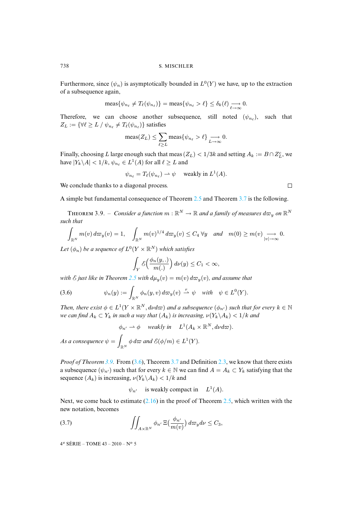Furthermore, since  $(\psi_n)$  is asymptotically bounded in  $L^0(Y)$  we have, up to the extraction of a subsequence again,

$$
\operatorname{meas}\{\psi_{n_\ell} \neq T_\ell(\psi_{n_\ell})\} = \operatorname{meas}\{\psi_{n_\ell} > \ell\} \leq \delta_k(\ell) \xrightarrow[\ell \to \infty]{} 0.
$$

Therefore, we can choose another subsequence, still noted  $(\psi_{n_\ell})$ , such that  $Z_L := \{ \forall \ell \geq L / \psi_{n_\ell} \neq T_\ell(\psi_{n_\ell}) \}$  satisfies

$$
\text{meas}(Z_L) \le \sum_{\ell \ge L} \text{meas}\{\psi_{n_\ell} > \ell\} \xrightarrow[L \to \infty]{} 0.
$$

Finally, choosing L large enough such that meas  $(Z_L) < 1/3k$  and setting  $A_k := B \cap Z_L^c$ , we have  $|Y_k \backslash A| < 1/k$ ,  $\psi_{n_\ell} \in L^1(A)$  for all  $\ell \geq L$  and

$$
\psi_{n_{\ell}} = T_{\ell}(\psi_{n_{\ell}}) \rightharpoonup \psi \quad \text{ weakly in } L^1(A).
$$

We conclude thanks to a diagonal process.

A simple but fundamental consequence of Theorem 2.5 and Theorem 3.7 is the following.

THEOREM 3.9. – *Consider a function*  $m : \mathbb{R}^N \to \mathbb{R}$  and a family of measures  $d\varpi_y$  on  $\mathbb{R}^N$ *such that*

$$
\int_{\mathbb{R}^N} m(v) d\varpi_y(v) = 1, \quad \int_{\mathbb{R}^N} m(v)^{1/4} d\varpi_y(v) \le C_4 \,\forall y \quad and \quad m(0) \ge m(v) \underset{|v| \to \infty}{\longrightarrow} 0.
$$

Let  $(\phi_n)$  be a sequence of  $L^0(Y \times \mathbb{R}^N)$  which satisfies

<span id="page-20-0"></span>
$$
\int_Y \mathcal{E}\Big(\frac{\phi_n(y,.)}{m(.)}\Big) d\nu(y) \le C_1 < \infty,
$$

*with*  $\mathcal{E}$  *just like in Theorem 2.5 with*  $d\mu_y(v) = m(v) d\varpi_y(v)$ *, and assume that* 

(3.6) 
$$
\psi_n(y) := \int_{\mathbb{R}^N} \phi_n(y,v) d\varpi_y(v) \stackrel{r}{\rightharpoonup} \psi \quad \text{with} \quad \psi \in L^0(Y).
$$

*Then, there exist*  $\phi \in L^1(Y \times \mathbb{R}^N, d\nu d\varpi)$  *and a subsequence*  $(\phi_{n'})$  *such that for every*  $k \in \mathbb{N}$ *we can find*  $A_k \subset Y_k$  *in such a way that*  $(A_k)$  *is increasing,*  $\nu(Y_k \backslash A_k) < 1/k$  *and* 

$$
\phi_{n'} \to \phi
$$
 weakly in  $L^1(A_k \times \mathbb{R}^N, d\nu d\varpi)$ .

*As a consequence*  $\psi = \sqrt{\frac{2}{n}}$  $\oint_{\mathbb{R}^N} \phi \, d\varpi$  and  $\mathcal{E}(\phi/m) \in L^1(Y)$ .

*Proof of Theorem 3.9.* From (3.6), Theorem 3.7 and Definition 2.3, we know that there exists a subsequence  $(\psi_{n'})$  such that for every  $k \in \mathbb{N}$  we can find  $A = A_k \subset Y_k$  satisfying that the sequence  $(A_k)$  $(A_k)$  $(A_k)$  is increasing,  $\nu(Y_k\backslash A_k) < 1/k$  and

<span id="page-20-1"></span>
$$
\psi_{n'}
$$
 is weakly compact in  $L^1(A)$ .

Next, we come back to estimate  $(2.16)$  in the proof of Theorem 2.5, which written with the new notation, becomes

(3.7) 
$$
\iint_{A\times\mathbb{R}^N} \phi_{n'} \, \Xi\big(\frac{\phi_{n'}}{m(v)}\big) \, d\varpi_y \, d\nu \leq C_3,
$$

4 <sup>e</sup> SÉRIE – TOME 43 – 2010 – N<sup>o</sup> 5

 $\Box$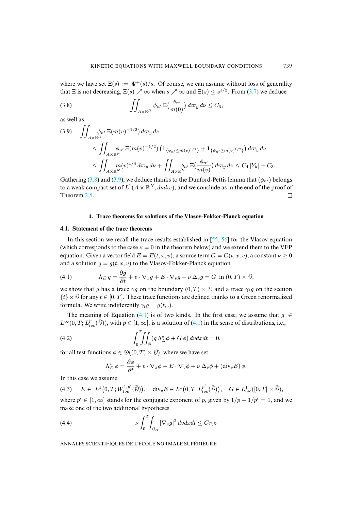where we have set  $\Xi(s) := \Psi^+(s)/s$ . Of course, we can assume without loss of generality that  $\Xi$  is not decreasing,  $\Xi(s) \nearrow \infty$  when  $s \nearrow \infty$  and  $\Xi(s) \leq s^{1/2}$ . From (3.7) we deduce

(3.8) 
$$
\iint_{A\times\mathbb{R}^N} \phi_{n'} \, \Xi\big(\frac{\phi_{n'}}{m(0)}\big) \, d\varpi_y \, d\nu \leq C_3,
$$

<span id="page-21-1"></span>as well as

$$
(3.9) \quad \iint_{A \times \mathbb{R}^N} \phi_{n'} \, \Xi(m(v)^{-1/2}) \, d\varpi_y \, d\nu
$$
  
\n
$$
\leq \iint_{A \times \mathbb{R}^N} \phi_{n'} \, \Xi(m(v)^{-1/2}) \left( \mathbf{1}_{\{\phi_{n'} \leq m(v)^{1/2}\}} + \mathbf{1}_{\{\phi_{n'} \geq m(v)^{1/2}\}} \right) d\varpi_y \, d\nu
$$
  
\n
$$
\leq \iint_{A \times \mathbb{R}^N} m(v)^{1/4} \, d\varpi_y \, d\nu + \iint_{A \times \mathbb{R}^N} \phi_{n'} \, \Xi\left(\frac{\phi_{n'}}{m(v)}\right) d\varpi_y \, d\nu \leq C_4 \, |Y_k| + C_3.
$$

<span id="page-21-0"></span>Gathering (3.8) and (3.9), we deduce thanks to the Dunford-Pettis lemma that  $(\phi_{n\ell})$  belongs to a weak compact set of  $L^1(A \times \mathbb{R}^N, d\nu d\varpi)$ , and we conclude as in the end of the proof of Theorem 2.5.  $\Box$ 

# <span id="page-21-2"></span>**4. Trace theorems for solutions of the Vlasov-Fo[kke](#page-41-3)[r-Pl](#page-41-11)anck equation**

# **4.1. Statement of the trace theorems**

In this section we recall the trace results established in [55, 56] for the Vlasov equation (which corresponds to the case  $\nu = 0$  in the theorem below) and we extend them to the VFP equation. Given a vector field  $E = E(t, x, v)$ , a source term  $G = G(t, x, v)$ , a constant  $v \ge 0$ and a solution  $q = q(t, x, v)$  to the Vlasov-Fokker-Planck equation

(4.1) 
$$
\Lambda_E g = \frac{\partial g}{\partial t} + v \cdot \nabla_x g + E \cdot \nabla_v g - \nu \Delta_v g = G \text{ in } (0, T) \times \mathcal{O},
$$

we show that g has a trace  $\gamma g$  [on](#page-21-2) the boundary  $(0, T) \times \Sigma$  and a trace  $\gamma_t g$  on the section  $\{t\} \times \emptyset$  for any  $t \in [0, T]$ . These trace functions are [defin](#page-21-2)ed thanks to a Green renormalized formula. We write indifferently  $\gamma_t g = g(t,.)$ .

The meaning of Equation (4.1) is of two kinds. In the first case, we assume that  $g \in$  $L^{\infty}(0,T; L^{p}_{loc}(\overline{\hat{\emptyset}}))$ , with  $p \in [1,\infty]$ , is a solution of (4.1) in the sense of distributions, i.e.,

(4.2) 
$$
\int_0^T \!\!\! \int \!\!\! \int_{\varrho} (g \Lambda_E^* \phi + G \phi) dv dx dt = 0,
$$

<span id="page-21-4"></span>for all test functions  $\phi \in \mathcal{D}((0,T) \times \mathcal{O})$ , where we have set

<span id="page-21-5"></span><span id="page-21-3"></span>
$$
\Lambda_E^{\star} \phi = \frac{\partial \phi}{\partial t} + v \cdot \nabla_x \phi + E \cdot \nabla_v \phi + \nu \Delta_v \phi + (\text{div}_v E) \phi.
$$

In this case we assume

$$
(4.3) \quad E \in L^1(0,T;W_{loc}^{1,p'}(\bar{\theta})), \quad \text{div}_v E \in L^1(0,T;L_{loc}^{p'}(\bar{\theta})), \quad G \in L^1_{loc}([0,T] \times \bar{\theta}),
$$

where  $p' \in [1,\infty]$  stands for the conjugate exponent of p, given by  $1/p + 1/p' = 1$ , and we make one of the two additional hypotheses

(4.4) 
$$
\nu \int_0^T \int_{\theta_R} |\nabla_v g|^2 dv dx dt \leq C_{T,R}
$$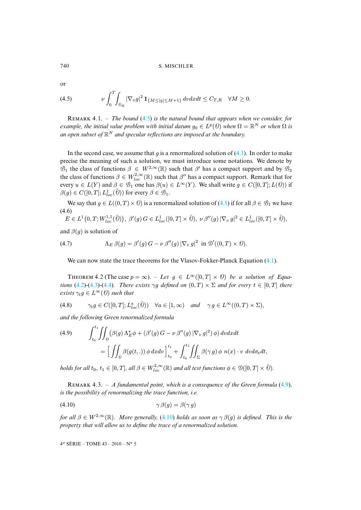or

(4.5) 
$$
\nu \int_0^T \int_{\theta_R} |\nabla_v g|^2 \mathbf{1}_{\{M \le |g| \le M+1\}} dv dx dt \le C_{T,R} \quad \forall M \ge 0.
$$

R 4.1. – *The bound* (4.5) *is the natural bound that appears when we consider, for example, the initial value problem with initial datum*  $g_0 \in L^p(\mathcal{O})$  when  $\Omega = \mathbb{R}^N$  or when  $\Omega$  is an open subset of  $\mathbb{R}^N$  and specular reflections are imposed at the boundary.

In the second case, we assume that  $g$  is a renormalized solution of  $(4.1)$ . In order to make precise the meaning of such a solution, we must introduce some notations. We denote by  $\mathcal{B}_1$  the class of functions  $\beta \in W^{2,\infty}(\mathbb{R})$  such that  $\beta'$  has a compact support and by  $\mathcal{B}_2$ the class of functions  $\beta \in W_{loc}^{2,\infty}(\mathbb{R})$  such that  $\beta''$  has a comp[act s](#page-21-2)upport. Remark that for every  $u \in L(Y)$  and  $\beta \in \mathcal{B}_1$  one has  $\beta(u) \in L^{\infty}(Y)$ . We shall write  $g \in C([0, T]; L(\theta))$  if  $\beta(g) \in C([0, T]; L^1_{loc}(\bar \varrho))$  for every  $\beta \in \mathscr{B}_1$ .

We say that  $g \in L((0,T) \times \mathcal{O})$  is a renormalized solution of  $(4.1)$  if for all  $\beta \in \mathcal{B}_1$  we have (4.6)

<span id="page-22-3"></span>
$$
E \in L^1(0,T; W^{1,1}_{loc}(\bar{\theta})), \ \beta'(g) \ G \in L^1_{loc}([0,T] \times \bar{\theta}), \ \nu \, \beta''(g) \, |\nabla_v \, g|^2 \in L^1_{loc}([0,T] \times \bar{\theta}),
$$

and  $\beta(g)$  is solution of

(4.7) 
$$
\Lambda_E \,\beta(g) = \beta'(g) G - \nu \,\beta''(g) |\nabla_v \, g|^2 \text{ in } \mathcal{D}'((0,T) \times \mathcal{O}).
$$

We [can](#page-21-3) [now](#page-21-4) s[tate](#page-21-5) the trace theorems for the Vlasov-Fokker-Planck Equation (4.1).

THEOREM 4.2 (The case  $p = \infty$ ). – Let  $g \in L^{\infty}([0, T] \times \mathcal{O})$  be a solution of Equa*tions* (4.2)–(4.3)–(4.4)*. There exists*  $\gamma g$  *defined on*  $(0, T) \times \Sigma$  *and for every*  $t \in [0, T]$  *there exists*  $\gamma_t g \in L^\infty(\mathcal{O})$  *such that* 

(4.8) 
$$
\gamma_t g \in C([0,T]; L^a_{loc}(\overline{\theta})) \quad \forall a \in [1,\infty) \quad and \quad \gamma g \in L^\infty((0,T) \times \Sigma),
$$

<span id="page-22-2"></span>*and the following Green renormalized formula*

(4.9) 
$$
\int_{t_0}^{t_1} \iint_{\theta} (\beta(g) \Lambda_E^* \phi + (\beta'(g) G - \nu \beta''(g) |\nabla_v g|^2) \phi) dv dx dt
$$

$$
= \Big[ \iint_{\theta} \beta(g(t,.)) \phi dx dv \Big]_{t_0}^{t_1} + \int_{t_0}^{t_1} \iint_{\Sigma} \beta(\gamma g) \phi \ n(x) \cdot v \ dv d\sigma_x dt,
$$

*holds for all*  $t_0, t_1 \in [0, T]$ *, all*  $\beta \in W^{2, \infty}_{loc}(\mathbb{R})$  *and all test functions*  $\phi \in \mathcal{D}([0, T] \times \overline{0})$ *.* 

<span id="page-22-1"></span>REMARK 4.3. – *A fundamental point, which is a consequence of the Green formula* (4.9), *is the possibility of renormalizing the tra[ce fun](#page-22-1)ction, i.e.*

$$
\gamma \beta(g) = \beta(\gamma g)
$$

*for all*  $\beta \in W^{2,\infty}(\mathbb{R})$ *. More generally,* (4.10) *holds as soon as*  $\gamma \beta(q)$  *is defined. This is the property that will allow us to define the trace of a renormalized solution.*

<span id="page-22-0"></span>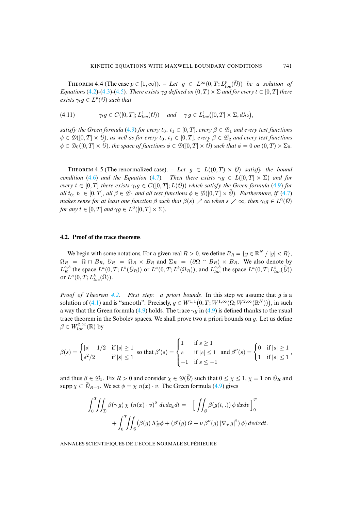THEOREM 4.4 (The case  $p \in [1,\infty)$ ). – Let  $g \in L^{\infty}(0,T; L^{p}_{loc}(\overline{\theta}))$  be a solution of *Equations* (4.2)-(4.3)-(4.5)*. There exists*  $\gamma g$  *defined on*  $(0, T) \times \Sigma$  *and for every*  $t \in [0, T]$  *there*  $exists \gamma_t g \in L^p(\mathcal{O})$  *such t[hat](#page-22-2)* 

$$
(4.11) \qquad \gamma_t g \in C([0,T]; L^1_{loc}(\theta)) \quad \text{and} \quad \gamma g \in L^1_{loc}([0,T] \times \Sigma, d\lambda_2),
$$

*satisfy the Green formula* (4.9) *for every*  $t_0$ ,  $t_1 \in [0, T]$ *, every*  $\beta \in \mathcal{B}_1$  *and every test functions*  $\phi \in \mathcal{D}([0,T] \times \overline{0})$ , as well as for every  $t_0, t_1 \in [0,T]$ , every  $\beta \in \mathcal{B}_2$  and every test functions  $\phi \in \mathcal{D}_0([0,T] \times \overline{0})$ , the space of functions  $\phi \in \mathcal{D}([0,T] \times \overline{0})$  such that  $\phi = 0$  on  $(0,T] \times \Sigma_0$ .

THEOREM 4.5 (The renormalized case). – Let  $g \in L((0,T) \times \mathcal{O})$  *satisfy the b[ound](#page-22-3) condition* (4.6) *and the Equation* (4.7)*. Then there exists*  $\gamma q \in L([0, T] \times \Sigma)$  *and for every*  $t \in [0, T]$  *there exists*  $\gamma_t g \in C([0, T]; L(\theta))$  *which satisfy the Green formula* (4.9) *for all*  $t_0, t_1 \in [0, T]$ *, all*  $\beta \in \mathcal{B}_1$  *and all test functions*  $\phi \in \mathcal{D}([0, T] \times \overline{0})$ *. Furthermore, if* (4.7) *makes sense for at least one function*  $\beta$  *such that*  $\beta(s) \nearrow \infty$  *when*  $s \nearrow \infty$ *, then*  $\gamma_t g \in L^0(\mathcal{O})$ *for any*  $t \in [0, T]$  *and*  $\gamma g \in L^0([0, T] \times \Sigma)$ *.* 

# **4.2. Proof of the trace theorems**

We begin with some notations. For a given real  $R > 0$ , we define  $B_R = \{y \in \mathbb{R}^N / |y| < R\}$ ,  $\Omega_R = \Omega \cap B_R$ ,  $\mathcal{O}_R = \Omega_R \times B_R$  and  $\Sigma_R = (\partial \Omega \cap B_R) \times B_R$ . We also denote by  $L_R^{a,b}$  the space  $L^a(0,T; L^b(\mathcal{O}_R))$  or  $L^a(0,T; L^b(\Omega_R))$ , and  $L_{loc}^{a,b}$  the space  $L^a(0,T; L_{loc}^b(\bar{\theta}))$ or  $L^a(0,T;L^b_{loc}(\bar{\Omega}))$  $L^a(0,T;L^b_{loc}(\bar{\Omega}))$  $L^a(0,T;L^b_{loc}(\bar{\Omega}))$ .

*Proof of Theorem 4.2. First step: a priori bounds.* In this step we assume that g is a solution of (4.1) and is "smooth". Precisely,  $g \in W^{1,1}(0,T;W^{1,\infty}(\Omega;W^{2,\infty}(\mathbb{R}^N)))$ , in such a way that the Green formula (4.9) holds. The trace  $\gamma q$  in (4.9) is defined thanks to the usual trace theorem in the Sobolev spaces. We shall prove two a priori bounds on  $g$ . Let us define  $\beta \in W_{loc}^{2,\infty}(\mathbb{R})$  by

$$
\beta(s) = \begin{cases} |s| - 1/2 & \text{if } |s| \ge 1 \\ s^2/2 & \text{if } |s| \le 1 \end{cases}
$$
 so that  $\beta'(s) = \begin{cases} 1 & \text{if } s \ge 1 \\ s & \text{if } |s| \le 1 \\ -1 & \text{if } s \le -1 \end{cases}$  and  $\beta''(s) = \begin{cases} 0 & \text{if } |s| \ge 1 \\ 1 & \text{if } |s| \le 1 \end{cases}$ ,

and thus  $\beta \in \mathcal{B}_1$ . Fix  $R > 0$  and consider  $\chi \in \mathcal{D}(\overline{0})$  such that  $0 \le \chi \le 1$ ,  $\chi = 1$  on  $\mathcal{O}_R$  and supp  $\chi \subset \overline{\Theta}_{R+1}$ . We set  $\phi = \chi n(x) \cdot v$ . The Green formula (4.9) gives

$$
\int_0^T \iint_{\Sigma} \beta(\gamma g) \chi (n(x) \cdot v)^2 dv d\sigma_x dt = - \Big[ \iint_{\Theta} \beta(g(t,.)) \phi dx dv \Big]_0^T
$$
  
+ 
$$
\int_0^T \iint_{\Theta} (\beta(g) \Lambda_E^* \phi + (\beta'(g) G - \nu \beta''(g) |\nabla_v g|^2) \phi) dv dx dt.
$$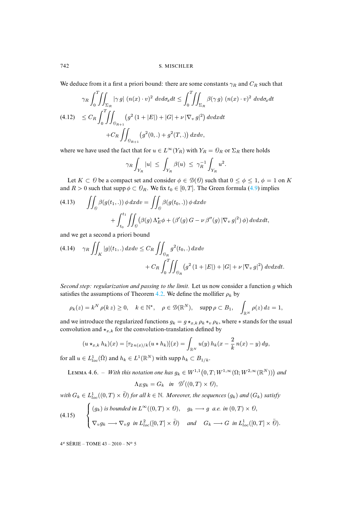<span id="page-24-1"></span>We deduce from it a first a priori bound: there are some constants  $\gamma_R$  and  $C_R$  such that

$$
\gamma_R \int_0^T \!\!\! \int_{\Sigma_R} |\gamma g| \ (n(x) \cdot v)^2 \ dv d\sigma_x dt \le \int_0^T \!\!\! \int_{\Sigma_R} \beta(\gamma g) \ (n(x) \cdot v)^2 \ dv d\sigma_x dt
$$
\n
$$
(4.12) \ \le C_R \int_0^T \!\!\! \int_{\theta_{R+1}} (g^2 (1+|E|) + |G| + \nu \, |\nabla_v g|^2) \ dv dx dt
$$
\n
$$
+ C_R \iint_{\theta_{R+1}} (g^2 (0,.) + g^2 (T,.)) \ dx dv,
$$

where we have used the fact that for  $u \in L^{\infty}(Y_R)$  with  $Y_R = \mathcal{O}_R$  or  $\Sigma_R$  there holds

$$
\gamma_R \int_{Y_R} |u| \le \int_{Y_R} \beta(u) \le \gamma_R^{-1} \int_{Y_R} u^2.
$$

Let  $K \subset \Theta$  be a compact set and consider  $\phi \in \mathcal{D}(\Theta)$  such that  $0 \le \phi \le 1$ ,  $\phi = 1$  on K and  $R > 0$  such that supp  $\phi \subset \mathcal{O}_R$ . We fix  $t_0 \in [0, T]$ . The Green formula (4.9) implies

(4.13) 
$$
\iint_{\theta} \beta(g(t_1, .)) \phi \, dx dv = \iint_{\theta} \beta(g(t_0, .)) \phi \, dx dv + \int_{t_0}^{t_1} \iint_{\theta} (\beta(g) \Lambda_E^* \phi + (\beta'(g) G - \nu \beta''(g) |\nabla_v g|^2) \phi) \, dv dx dt,
$$

and we get a second a priori bound

$$
(4.14) \quad \gamma_R \iint_K |g|(t_1,.) \, dxdv \le C_R \iint_{\theta_R} g^2(t_0,.) \, dxdv + C_R \int_0^T \iint_{\theta_R} (g^2 (1+|E|) + |G| + \nu |\nabla_v g|^2) \, dvdxdt.
$$

*Second step: regularization and passing to the limit.* Let us now consider a function g which satisfies the assumptions of Theorem 4.2. We define the mollifier  $\rho_k$  by

$$
\rho_k(z) = k^N \, \rho(k \, z) \geq 0, \quad k \in \mathbb{N}^\star, \quad \rho \in \mathcal{D}(\mathbb{R}^N), \quad \text{supp}\, \rho \subset B_1, \quad \int_{\mathbb{R}^N} \rho(z) \, dz = 1,
$$

and we introduce the regularized functions  $g_k = g \star_{x,k} \rho_k *_{v} \rho_k$ , where  $*$  stands for the usual convolution and  $\star_{x,k}$  for the convolution-translation defined by

$$
(u\star_{x,k}h_k)(x)=[\tau_{2\,n(x)/k}(u*h_k)](x)=\int_{\mathbb{R}^N}u(y)\,h_k(x-\frac{2}{k}\,n(x)-y)\,dy,
$$

for all  $u \in L^1_{loc}(\bar{\Omega})$  and  $h_k \in L^1(\mathbb{R}^N)$  with supp  $h_k \subset B_{1/k}$ .

<span id="page-24-0"></span>LEMMA 4.6. – *With this notation one has*  $g_k \in W^{1,1}(0,T;W^{1,\infty}(\Omega;W^{2,\infty}(\mathbb{R}^N)))$  and

$$
\Lambda_E g_k = G_k \quad \text{in} \quad \mathcal{D}'((0,T) \times \mathcal{O}),
$$

with  $G_k \in L^1_{loc}((0,T) \times \overline{O})$  for all  $k \in \mathbb{N}$ . Moreover, the sequences  $(g_k)$  and  $(G_k)$  satisfy

(4.15) 
$$
\begin{cases} (g_k) \text{ is bounded in } L^{\infty}((0,T) \times \mathcal{O}), & g_k \longrightarrow g \text{ a.e. in } (0,T) \times \mathcal{O}, \\ \nabla_v g_k \longrightarrow \nabla_v g \text{ in } L^2_{loc}([0,T] \times \bar{\mathcal{O}}) & \text{and} \quad G_k \longrightarrow G \text{ in } L^1_{loc}([0,T] \times \bar{\mathcal{O}}). \end{cases}
$$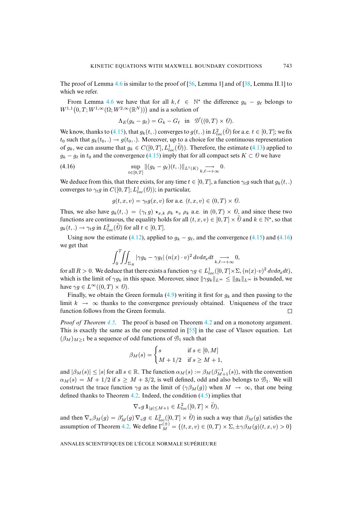The proof of Le[mma](#page-12-2) 4.6 is similar to the proof of [56, Lemma 1] and of [38, Lemma II.1] to which we refer.

From Lemma 4.6 we have that for all  $k, \ell \in \mathbb{N}^*$  the difference  $g_k - g_\ell$  belongs to  $W^{1,1}(0,T;W^{1,\infty}(\Omega;W^{2,\infty}(\mathbb{R}^N)))$  $W^{1,1}(0,T;W^{1,\infty}(\Omega;W^{2,\infty}(\mathbb{R}^N)))$  and is a solution of

<span id="page-25-0"></span>
$$
\Lambda_E(g_k - g_\ell) = G_k - G_\ell \quad \text{in} \quad \mathcal{D}'((0, T) \times \mathcal{O}).
$$

We know, thanks to (4.15), that  $g_k(t,.)$  converges to  $g(t,.)$  in  $L^2_{loc}(\bar{0})$  for a.e.  $t \in [0,T]$ ; we fix  $t_0$  such that  $g_k(t_0,.) \rightarrow g(t_0,.)$ . Moreover, up to a choice for the continuous representation of  $g_k$ , we can assume that  $g_k \in C([0, T], L^1_{loc}(\overline{\theta}))$ . Therefore, the estimate (4.13) applied to  $g_k - g_\ell$  in  $t_0$  and the convergence (4.15) imply that for all compact sets  $K \subset \mathcal{O}$  we have

(4.16) 
$$
\sup_{t\in[0,T]}\|(g_k-g_\ell)(t,.)\|_{L^1(K)}\underset{k,\ell\to+\infty}{\longrightarrow}0.
$$

We deduce from this, that there exists, for any time  $t \in [0, T]$ , a function  $\gamma_t g$  such that  $g_k(t,.)$ converges to  $\gamma_t g$  in  $C([0,T]; L^1_{loc}(\Theta))$ ; in particular,

$$
g(t, x, v) = \gamma_t g(x, v) \text{ for a.e. } (t, x, v) \in (0, T) \times \mathcal{O}.
$$

Thus, we also have  $g_k(t,.) = (\gamma_t g) \star_{x,k} \rho_k \star_v \rho_k$  $g_k(t,.) = (\gamma_t g) \star_{x,k} \rho_k \star_v \rho_k$  $g_k(t,.) = (\gamma_t g) \star_{x,k} \rho_k \star_v \rho_k$  a.e. in  $(0,T) \times \mathcal{O}$ , an[d sinc](#page-24-0)e thes[e two](#page-25-0) functions are continuous, the equality holds for all  $(t, x, v) \in [0, T] \times \overline{O}$  and  $k \in \mathbb{N}^*$ , so that  $g_k(t,.) \rightarrow \gamma_t g$  in  $L^2_{loc}(\overline{\hat{\varrho}})$  for all  $t \in [0,T]$ .

Using now the estimate (4.12), applied to  $g_k - g_\ell$ , and the convergence (4.15) and (4.16) we get that

$$
\int_0^T \!\!\! \int \!\!\! \int_{\Sigma_R} |\gamma g_k - \gamma g_\ell| \, (n(x) \cdot v)^2 \, dv d\sigma_x dt \underset{k,\ell \to +\infty}{\longrightarrow} 0,
$$

for all  $R > 0$ . We deduce that there exists [a fun](#page-22-2)ction  $\gamma g \in L^1_{loc}([0, T] \times \Sigma, (n(x) \cdot v)^2 dv d\sigma_x dt)$ , which is the limit of  $\gamma g_k$  in this space. Moreover, since  $\|\gamma g_k\|_{L^\infty} \le \|g_k\|_{L^\infty}$  is bounded, we have  $\gamma g \in L^{\infty}((0,T) \times \mathcal{O}).$ 

Finally, we obt[ain t](#page-10-2)he Green formula  $(4.9)$  writing it [first](#page-4-0) for  $q_k$  and then passing to the limit  $k \to \infty$  thanks to the convergence previo[usly](#page-41-3) obtained. Uniqueness of the trace function follows from the Green formula.  $\Box$ 

*Proof of Theorem 4.5.* The proof is based on Theorem 4.2 and on a monotony argument. This is exactly the same as the one presented in [55] in the case of Vlasov equation. Let  $(\beta_M)_{M\geq 1}$  be a sequence of odd functions of  $\mathcal{B}_1$  such that

$$
\beta_M(s) = \begin{cases} s & \text{if } s \in [0, M] \\ M + 1/2 & \text{if } s \ge M + 1, \end{cases}
$$

and  $|\beta_M(s)| \le |s|$  for all  $s \in \mathbb{R}$  $s \in \mathbb{R}$  $s \in \mathbb{R}$ . The function  $\alpha_M(s) := \beta_M(\beta_{M+1}^{-1}(s))$ , with the convention  $\alpha_M(s) = M + 1/2$  if  $s \geq M + 3/2$ , is well defined, odd and also belongs to  $\mathcal{B}_1$ . We will construct the trace function  $\gamma g$  as the limit of  $(\gamma \beta_M(q))$  when  $M \to \infty$ , that one being defined thanks to Theo[rem](#page-4-0) 4.2. Indeed, the condition (4.5) implies that

$$
\nabla_v g \mathbf{1}_{|g| \le M+1} \in L^2_{loc}([0,T] \times \overline{\hat{\mathcal{O}}}),
$$

and then  $\nabla_v \beta_M(g) = \beta'_M(g) \nabla_v g \in L^2_{loc}([0,T] \times \overline{Q})$  in such a way that  $\beta_M(g)$  satisfies the assumption of Theorem 4.2. We define  $\Gamma_M^{(\pm)} = \{(t, x, v) \in (0, T) \times \Sigma, \pm \gamma \beta_M(g)(t, x, v) > 0\}$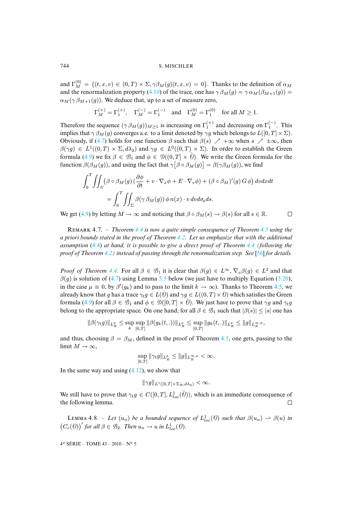and  $\Gamma_M^{(0)} = \{(t, x, v) \in (0, T) \times \Sigma, \gamma \beta_M(g)(t, x, v) = 0\}$ . Thanks to the definition of  $\alpha_M$ and the renormalization property (4.10) of the trace, one has  $\gamma \beta_M(g) = \gamma \alpha_M(\beta_{M+1}(g))$  =  $\alpha_M(\gamma \beta_{M+1}(g))$ . We deduce that, up to a set of measure zero,

$$
\Gamma_M^{(+)} = \Gamma_1^{(+)}, \quad \Gamma_M^{(-)} = \Gamma_1^{(-)} \quad \text{and} \quad \Gamma_M^{(0)} = \Gamma_1^{(0)} \quad \text{for all } M \ge 1.
$$

Therefore the sequence  $(\gamma \beta_M(g))_{M \geq 1}$  is increasing on  $\Gamma_1^{(+)}$  and decreasing on  $\Gamma_1^{(-)}$ . This implies t[hat](#page-22-2)  $\gamma \beta_M(g)$  converges a.e. to a limit denoted by  $\gamma g$  which belongs to  $L([0, T] \times \Sigma)$ . Obviously, if (4.7) holds for one function  $\beta$  such that  $\beta(s) \nearrow +\infty$  when  $s \nearrow \pm\infty$ , then  $\beta(\gamma g) \in L^1((0,T) \times \Sigma, d\lambda_2)$  and  $\gamma g \in L^0((0,T) \times \Sigma)$ . In order to establish the Green formula (4.9) we fix  $\beta \in \mathcal{B}_1$  and  $\phi \in \mathcal{D}((0,T] \times \overline{\theta})$ . We write the Green formula for the function  $\beta(\beta_M(g))$ , and using the fact that  $\gamma[\beta \circ \beta_M(g)] = \beta(\gamma \beta_M(g))$ , we find

$$
\int_0^T \iint_{\theta} (\beta \circ \beta_M(g) (\frac{\partial \phi}{\partial t} + v \cdot \nabla_x \phi + E \cdot \nabla_v \phi) + (\beta \circ \beta_M)'(g) G \phi) dv dx dt
$$
  
= 
$$
\int_0^T \iint_{\Sigma} \beta(\gamma \beta_M(g)) \phi n(x) \cdot v dv d\sigma_x ds.
$$

We get (4.9) by letting  $M \to \infty$  and noticing t[hat](#page-4-0)  $\beta \circ \beta_M(s) \to \beta(s)$  for all  $s \in \mathbb{R}$ .  $\Box$ 

R 4.7. [–](#page-4-0) *Theorem 4.4 is now a quite simple consequence of Theorem [4.](#page-41-11)5 using the a priori bounds stated in the proof of Theorem 4.2. Let us emphasize that with the additional assumption* (4.4) *a[t han](#page-10-0)d, it is possible to give a direct proof of Theorem 4.4 (following the proof of Theorem 4.[2\) in](#page-22-3)stead of passin[g thr](#page-10-2)ough the renormalization step. See* [56] *for [details](#page-30-0).*

*Proof of Theorem 4.4.* For all  $\beta \in \mathcal{B}_1$  it is clear that  $\beta(g) \in L^{\infty}$ ,  $\nabla_v \beta(g) \in L^2$  and that  $\beta(g)$  is s[oluti](#page-22-2)on of (4.7) using Lemma 5.5 below (we just have to multiply Equation (5.20), in the case  $\mu \equiv 0$ , by  $\beta'(g_k)$  and to pass to the limit  $k \to \infty$ ). Thanks to Theorem 4.5, we already know that g has a trace  $\gamma_t g \in L(\mathcal{O})$  and  $\gamma g \in L((0,T) \times \mathcal{O})$  which satisfies the Green formula (4.9) for all  $\beta \in \mathcal{B}_1$  and  $\phi \in \mathcal{D}([0,T] \times \overline{\theta})$ . We just have to prove that  $\gamma g$  and  $\gamma_t g$ belong to the appropriate space. On one hand, for all  $\beta \in \mathcal{B}_1$  s[uch](#page-10-2) that  $|\beta(s)| \leq |s|$  one has

$$
\|\beta(\gamma_t g)\|_{L^p_R} \leq \sup_k \sup_{[0,T]} \|\beta(g_k(t,.))\|_{L^p_R} \leq \sup_{[0,T]} \|g_k(t,.)\|_{L^p_R} \leq \|g\|_{L^{\infty, p}_R},
$$

and thus, choosing  $\beta = \beta_M$ , defined in the proof of Theorem 4.5, one gets, passing to the limit  $M \to \infty$ ,

$$
\sup_{[0,T]} \|\gamma_t g\|_{L^p_R} \le \|g\|_{L^{\infty,p}_R} < \infty.
$$

In the same way and using  $(4.12)$ , we show that

$$
\|\gamma g\|_{L^1([0,T]\times\Sigma_R,d\lambda_2)}<\infty.
$$

We still have to prove that  $\gamma_t g \in C([0,T], L^1_{loc}(\overline{\hat{\theta}}))$ , which is an immediate consequence of the following lemma.

LEMMA 4.8. – Let  $(u_n)$  be a bounded sequence of  $L^1_{loc}(\theta)$  such that  $\beta(u_n) \to \beta(u)$  in  $(C_c(\theta))'$  for all  $\beta \in \mathcal{B}_2$ . Then  $u_n \to u$  in  $L^1_{loc}(\theta)$ .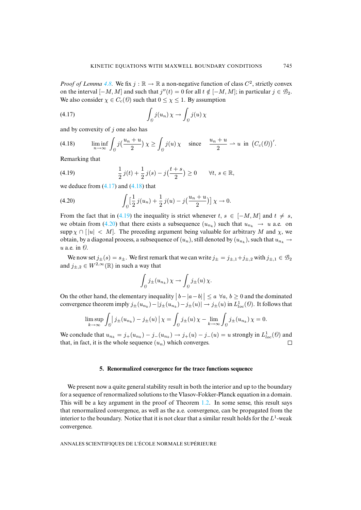*Proof of Lemma 4.8.* We fix  $j : \mathbb{R} \to \mathbb{R}$  a non-negative function of class  $C^2$ , strictly convex on the interval  $[-M, M]$  and such that  $j''(t) = 0$  for all  $t \notin [-M, M]$ ; in particular  $j \in \mathcal{B}_2$ . We also consider  $\chi \in C_c(\mathcal{O})$  such that  $0 \leq \chi \leq 1$ . By assumption

<span id="page-27-1"></span>(4.17) 
$$
\int_{\theta} j(u_n) \chi \to \int_{\theta} j(u) \chi
$$

and by convexity of  $j$  one also has

<span id="page-27-2"></span>(4.18) 
$$
\liminf_{n \to \infty} \int_{\Theta} j\left(\frac{u_n + u}{2}\right) \chi \ge \int_{\Theta} j(u) \chi \text{ since } \frac{u_n + u}{2} \to u \text{ in } \left(C_c(\Theta)\right)'.
$$

Remarking that

(4.19) 
$$
\frac{1}{2}j(t) + \frac{1}{2}j(s) - j(\frac{t+s}{2}) \ge 0 \quad \forall t, s \in \mathbb{R},
$$

we deduce from  $(4.17)$  and  $(4.18)$  that

(4.20) 
$$
\int_{\theta} \left[ \frac{1}{2} j(u_n) + \frac{1}{2} j(u) - j\left(\frac{u_n + u}{2}\right) \right] \chi \to 0.
$$

From the fact that in (4.19) the inequality is strict whenever t,  $s \in [-M, M]$  and  $t \neq s$ , we obtain from (4.20) that there exists a subsequence  $(u_{n_k})$  such that  $u_{n_k} \to u$  a.e. on supp  $\chi \cap [u] < M$ . The preceding argument being valuable for arbitrary M and  $\chi$ , we obtain, by a diagonal process, a subsequence of  $(u_n)$ , still denoted by  $(u_{n_k})$ , such that  $u_{n_k} \to$  $u$  a.e. in  $\mathcal{O}$ .

We now set  $j_{\pm}(s) = s_{\pm}$ . We first remark that we can write  $j_{\pm} = j_{\pm,1} + j_{\pm,2}$  with  $j_{\pm,1} \in \mathcal{B}_2$ and  $j_{\pm,2} \in W^{2,\infty}(\mathbb{R})$  in such a way that

$$
\int_{\theta} j_{\pm}(u_{n_k}) \chi \to \int_{\theta} j_{\pm}(u) \chi.
$$

On the other hand, the elementary inequality  $|b - |a - b| \le a \; \forall a, b \ge 0$  and the dominated convergence theorem imply  $j_{\pm}(u_{n_k})-|j_{\pm}(u_{n_k})-j_{\pm}(u)| \to j_{\pm}(u)$  in  $L^1_{loc}(\mathcal{O})$ . It follows that

$$
\limsup_{k \to \infty} \int_{\theta} |j_{\pm}(u_{n_k}) - j_{\pm}(u)| \chi = \int_{\theta} j_{\pm}(u) \chi - \lim_{k \to \infty} \int_{\theta} j_{\pm}(u_{n_k}) \chi = 0.
$$

<span id="page-27-0"></span>We conclude that  $u_{n_k} = j_+(u_{n_k}) - j_-(u_{n_k}) \rightarrow j_+(u) - j_-(u) = u$  strongly in  $L^1_{loc}(\theta)$  and that, in fact, it is the whole sequence  $(u_n)$  which converges.  $\Box$ 

# **5. Renormalized convergence for the trace functions sequence**

We present now a quite general stability result in both the interior and up to the boundary for a sequence of renormalized solutions to the Vlasov-Fokker-Planck equation in a domain. This will be a key argument in the proof of Theorem 1.2. In some sense, this result says that renormalized convergence, as well as the a.e. convergence, can be propagated from the interior to the boundary. Notice that it is not clear that a similar result holds for the  $L^1$ -weak convergence.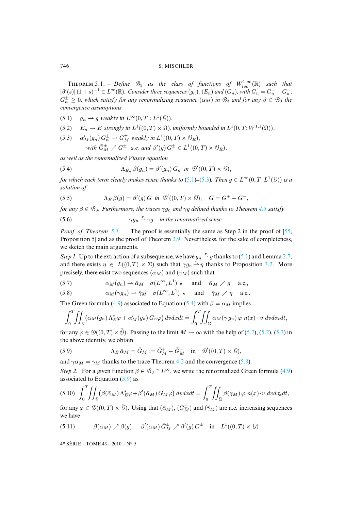<span id="page-28-0"></span>**THEOREM** 5.1. – *Define*  $\mathcal{B}_3$  *as the class of functions of*  $W_{loc}^{1,\infty}(\mathbb{R})$  *such that*  $|\beta'(s)| (1+s)^{-1} \in L^{\infty}(\mathbb{R})$ . Consider three sequences  $(g_n)$ ,  $(E_n)$  and  $(G_n)$ , with  $G_n = G_n^+ - G_n^-$ ,  $G_n^{\pm} \geq 0$ , which satisfy for any renormalizing sequence  $(\alpha_M)$  in  $\mathcal{B}_3$  and for any  $\beta \in \mathcal{B}_3$  the *convergence assumptions*

(5.1)  $g_n \rightharpoonup g$  weakly in  $L^{\infty}(0,T:L^1(\mathcal{O}))$ ,

- (5.2)  $E_n \to E$  strongly in  $L^1((0,T) \times \Omega)$ , uniformly bounded in  $L^1(0,T;W^{1,1}(\Omega))$ ,
- <span id="page-28-1"></span>(5.3)  $\alpha'_M(g_n) G_n^{\pm} \rightharpoonup \bar{G}_M^{\pm}$  weakly in  $L^1((0,T) \times \mathcal{O}_R)$ , with  $\bar{G}_{M}^{\pm} \nearrow G^{\pm}$  *a.e.* and  $\beta'(g) G^{\pm} \in L^{1}((0, T) \times \mathcal{O}_{R}),$

*as well as the renormalized Vlasov equation*

(5.4) 
$$
\Lambda_{E_n} \,\beta(g_n) = \beta'(g_n) \, G_n \text{ in } \mathcal{D}'((0,T) \times \mathcal{O}),
$$

*for which each term clearly makes sense thanks to (5.1)*–(5.3). Then  $g \in L^{\infty}(0,T; L^{1}(\mathcal{O}))$  $g \in L^{\infty}(0,T; L^{1}(\mathcal{O}))$  $g \in L^{\infty}(0,T; L^{1}(\mathcal{O}))$  *is a solution of*

(5.5) 
$$
\Lambda_E \beta(g) = \beta'(g) G \text{ in } \mathcal{D}'((0,T) \times \mathcal{O}), \quad G = G^+ - G^-,
$$

*for an[y](#page-41-3)*  $\beta \in \mathcal{B}_3$ *. Fu[rther](#page-3-4)more, the traces*  $\gamma g_n$  *and*  $\gamma g$  *defined thanks to Theorem* 4.5 *satisfy* 

(5.6) 
$$
\gamma g_n \stackrel{r}{\rightharpoonup} \gamma g \quad \text{in the renormalized sense.}
$$

*Proof of Theorem 5.1.* The proof is essentially the same as Step [2 in](#page-28-0) the proof of [\[55,](#page-12-1) Proposition 5] and as the proof of Theorem 2.9. Nevertheless, for the sake of co[mpl](#page-4-0)eteness, we sketch the main arguments.

<span id="page-28-2"></span>*Step 1.* Up to the extraction of a subsequence, we have  $g_n \stackrel{r}{\rightarrow} g$  thanks to (5.1) and Lemma 2.7, and there exists  $\eta \in L((0,T) \times \Sigma)$  such that  $\gamma g_n \stackrel{r}{\rightharpoonup} \eta$  thanks to Proposition 3.2. More precisely, there exist two sequences ( $\bar{\alpha}_M$ ) and ( $\bar{\gamma}_M$ ) such that

(5.7) 
$$
\alpha_M(g_n) \rightharpoonup \bar{\alpha}_M \quad \sigma(L^{\infty}, L^1) \star \quad \text{and} \quad \bar{\alpha}_M \nearrow g \quad \text{a.e.,}
$$

(5.8) 
$$
\alpha_M(\gamma g_n) \rightharpoonup \bar{\gamma}_M \quad \sigma(L^{\infty}, L^1) \star \quad \text{and} \quad \bar{\gamma}_M \nearrow \eta \quad \text{a.e.}.
$$

The Green formula (4.9) associated to Equation (5.4) with  $\beta = \alpha_M$  impli[es](#page-28-2)

<span id="page-28-3"></span>
$$
\int_0^T \iint_{\partial} (\alpha_M(g_n) \Lambda_E^* \varphi + \alpha'_M(g_n) G_n \varphi) dv dx dt = \int_0^T \iint_{\Sigma} \alpha_M(\gamma g_n) \varphi n(x) \cdot v dv d\sigma_x dt,
$$

for any  $\varphi \in \mathcal{D}((0,T) \times \overline{\theta})$ . Passing to the limit  $M \to \infty$  $M \to \infty$  with the help [of \(5](#page-28-2).7), (5.2), (5.3) in the above identity, we obtain

(5.9) 
$$
\Lambda_E \,\bar{\alpha}_M = \bar{G}_M := \bar{G}_M^+ - \bar{G}_M^- \quad \text{in} \quad \mathcal{D}'((0,T) \times \mathcal{O}),
$$

and  $\gamma \bar{\alpha}_M = \bar{\gamma}_M$  thanks to the trace Theorem 4.2 and the convergence (5.8).

*Step 2.* For a given function  $\beta \in \mathcal{B}_3 \cap L^{\infty}$ , we write the renormalized Green formula (4.9) associated to Equation  $(5.9)$  as

$$
(5.10)\quad \int_0^T \iint_{\mathcal{D}} (\beta(\bar{\alpha}_M) \Lambda_E^* \varphi + \beta'(\bar{\alpha}_M) \bar{G}_M \varphi) dv dx dt = \int_0^T \iint_{\Sigma} \beta(\gamma_M) \varphi \ n(x) \cdot v \ dv d\sigma_x dt,
$$

for any  $\varphi \in \mathcal{D}((0,T) \times \overline{0})$ . Using that  $(\bar{\alpha}_M)$ ,  $(G_M^{\pm})$  and  $(\bar{\gamma}_M)$  are a.e. increasing sequences we have

$$
(5.11) \qquad \beta(\bar{\alpha}_M) \nearrow \beta(g), \quad \beta'(\bar{\alpha}_M) \bar{G}_M^{\pm} \nearrow \beta'(g) G^{\pm} \quad \text{in} \quad L^1((0,T) \times \theta)
$$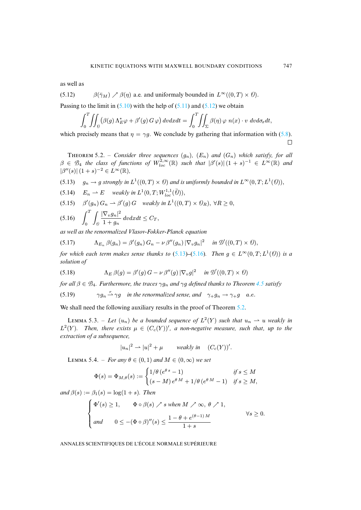as well as

(5.12)  $\beta(\bar{\gamma}_M) \nearrow \beta(\eta)$  a.e. and uniformaly bounded in  $L^{\infty}((0, T) \times \theta)$ .

Passing to the limit in  $(5.10)$  with the help of  $(5.11)$  and  $(5.12)$  we obtain

$$
\int_0^T \iint_{\mathcal{D}} (\beta(g) \Lambda_E^* \varphi + \beta'(g) G \varphi) dv dx dt = \int_0^T \iint_{\Sigma} \beta(\eta) \varphi \ n(x) \cdot v \ dv d\sigma_x dt,
$$

which precisely means that  $\eta = \gamma g$ . We conclude by gathering that information with (5.8).  $\Box$ 

<span id="page-29-0"></span>**THEOREM 5.2.** – *Consider three sequences*  $(g_n)$ ,  $(E_n)$  *and*  $(G_n)$  *which satisfy, for all*  $\beta \in \mathcal{B}_4$  the class of functions of  $W_{loc}^{2,\infty}(\mathbb{R})$  such that  $|\beta'(s)|(1+s)^{-1} \in L^{\infty}(\mathbb{R})$  and  $|\beta''(s)| (1+s)^{-2} \in L^{\infty}(\mathbb{R}),$ 

(5.13)  $g_n \to g$  strongly in  $L^1((0,T) \times \Theta)$  and is uniformly bounded in  $L^{\infty}(0,T; L^1(\Theta))$ ,

<span id="page-29-1"></span>(5.14) 
$$
E_n \rightharpoonup E
$$
 weakly in  $L^1(0,T;W_{loc}^{1,1}(\bar{\theta}))$ ,

(5.15)  $\beta'(g_n) G_n \rightharpoonup \beta'(g) G$  weakly in  $L^1((0,T) \times \mathcal{O}_R)$ ,  $\forall R \geq 0$ ,

<span id="page-29-3"></span>
$$
(5.16)\quad \int_0^T \int_{\theta} \frac{|\nabla_v g_n|^2}{1+g_n} dv dx dt \leq C_T,
$$

*as well as the renormalized Vlasov-Fokker-Pl[anck e](#page-29-0)q[uatio](#page-29-1)n*

<span id="page-29-2"></span>
$$
(5.17) \qquad \Lambda_{E_n} \,\beta(g_n) = \beta'(g_n) \, G_n - \nu \, \beta''(g_n) \, |\nabla_v g_n|^2 \quad \text{in } \mathcal{D}'((0,T) \times \mathcal{O}),
$$

*for which each term makes sense thanks to* (5.13)–(5.16). [T](#page-10-2)hen  $g \in L^{\infty}(0,T; L^{1}(\theta))$  *is a solution of*

<span id="page-29-4"></span>(5.18) 
$$
\Lambda_E \,\beta(g) = \beta'(g) \, G - \nu \, \beta''(g) \, |\nabla_v g|^2 \quad \text{in } \mathcal{D}'((0,T) \times \mathcal{O})
$$

*for all*  $\beta \in \mathcal{B}_4$ *. Furthermore, the traces*  $\gamma g_n$  *and*  $\gamma g$  *defined thanks to [Theo](#page-4-0)rem* 4.5 *satisfy* 

(5.19) 
$$
\gamma g_n \stackrel{r}{\longrightarrow} \gamma g
$$
 in the renormalized sense, and  $\gamma_+ g_n \rightarrow \gamma_+ g$  a.e.

We shall need the following auxiliary results in the proof of Theorem 5.2.

LEMMA 5.3. – Let  $(u_n)$  be a bounded sequence of  $L^2(Y)$  such that  $u_n \rightharpoonup u$  weakly in  $L^2(Y)$ . Then, there exists  $\mu \in (C_c(Y))'$ , a non-negative measure, such that, up to the *extraction of a subsequence,*

$$
|u_n|^2 \rightharpoonup |u|^2 + \mu \qquad weakly in \quad (C_c(Y))'.
$$

LEMMA 5.4. – *For any*  $\theta \in (0,1)$  *and*  $M \in (0,\infty)$  *we set* 

$$
\Phi(s) = \Phi_{M,\theta}(s) := \begin{cases} 1/\theta \left( e^{\theta \, s} - 1 \right) & \text{if } s \le M \\ (s - M) \, e^{\theta \, M} + 1/\theta \left( e^{\theta \, M} - 1 \right) & \text{if } s \ge M, \end{cases}
$$

*and*  $\beta(s) := \beta_1(s) = \log(1+s)$ *. Then* 

$$
\begin{cases} \Phi'(s) \ge 1, & \Phi \circ \beta(s) \nearrow s \text{ when } M \nearrow \infty, \ \theta \nearrow 1, \\ \text{and} & 0 \le -(\Phi \circ \beta)''(s) \le \frac{1 - \theta + e^{(\theta - 1)M}}{1 + s} \end{cases} \qquad \forall s \ge 0.
$$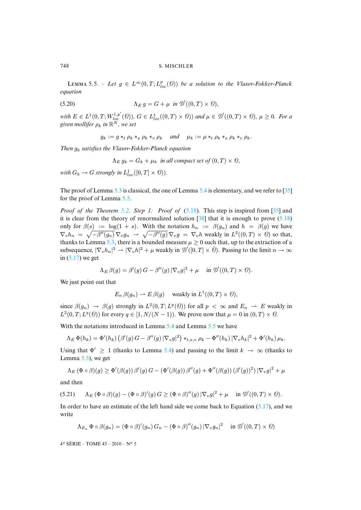LEMMA 5.5. – Let  $g \in L^{\infty}(0,T; L_{loc}^p(\mathcal{O}))$  be a solution to the Vlasov-Fokker-Planck *equation*

(5.20) 
$$
\Lambda_E g = G + \mu \text{ in } \mathcal{D}'((0,T) \times \mathcal{O}),
$$

 $with E \in L^1(0,T;W^{1,p'}_{loc}(\mathcal{O}))$ ,  $G \in L^1_{loc}((0,T) \times \mathcal{O}))$  and  $\mu \in \mathcal{D}'((0,T) \times \mathcal{O})$ ,  $\mu \geq 0$ *. For a*  $g$ iven mollifer  $\rho_k$  in  $\mathbb{R}^N$ , we set

<span id="page-30-0"></span> $g_k := g *_{t} \rho_k *_{x} \rho_k *_{y} \rho_k$  *and*  $\mu_k := \mu *_{t} \rho_k *_{x} \rho_k *_{y} \rho_k$ .

*Then* g<sup>k</sup> *satisfies the Vlasov-Fokker-Planck equation*

 $\Lambda_E g_k = G_k + \mu_k$  *in all compact set of*  $(0, T) \times \mathcal{O}$ ,

*with*  $G_k \to G$  *strongl[y in](#page-10-3)*  $L^1_{loc}([0,T] \times \Theta)$  $L^1_{loc}([0,T] \times \Theta)$ *)*.

The proof of Lemma 5.3 [is c](#page-4-0)lassical, the one of Le[mma](#page-29-2) [5.4](#page-40-13) is elementary, and we ref[er t](#page-40-10)[o \[35\]](#page-29-2) for the proof of Lemma 5.5.

*Proof of the Theorem 5.2. Step 1: Proof of* (5.18)*.* This step is inspired from [35] and it is clear from t[he th](#page-10-3)eory of renormalized solution  $\lceil 38 \rceil$  that it is enough to prove (5.18) only for  $\beta(s) := \log(1 + s)$ . With the notation  $h_n := \beta(g_n)$  and  $h = \beta(g)$  we have  $\nabla_v h_n = \sqrt{-\beta''(g_n)} \, \nabla_v g_n \, \rightharpoonup \, \sqrt{-\beta''(g)} \, \nabla_v g \, = \, \nabla_v h$  $\nabla_v h_n = \sqrt{-\beta''(g_n)} \, \nabla_v g_n \, \rightharpoonup \, \sqrt{-\beta''(g)} \, \nabla_v g \, = \, \nabla_v h$  $\nabla_v h_n = \sqrt{-\beta''(g_n)} \, \nabla_v g_n \, \rightharpoonup \, \sqrt{-\beta''(g)} \, \nabla_v g \, = \, \nabla_v h$  weakly in  $L^2((0,T) \times \mathcal{O})$  so that, thanks to Lemma 5.3, there is a bounded measure  $\mu \ge 0$  such that, up to the extraction of a subsequence,  $|\nabla_v h_n|^2 \rightharpoonup |\nabla_v h|^2 + \mu$  weakly in  $\mathcal{D}'([0,T] \times \overline{\theta})$ . Passing to the limit  $n \to \infty$ in  $(5.17)$  we get

$$
\Lambda_E \,\beta(g) = \beta'(g) \, G - \beta''(g) \, |\nabla_v g|^2 + \mu \quad \text{ in } \mathcal{D}'((0,T) \times \mathcal{O}).
$$

We just point out that

$$
E_n \beta(g_n) \rightharpoonup E \beta(g) \quad \text{ weakly in } L^1((0,T) \times \Theta),
$$

since  $\beta(g_n) \to \beta(g)$  strongly in  $L^2(0,T; L^p(\theta))$  $L^2(0,T; L^p(\theta))$  for all  $p < \infty$  $p < \infty$  and  $E_n \to E$  weakly in  $L^2(0,T;L^q(\theta))$  for every  $q \in [1,N/(N-1))$ . We prove now that  $\mu = 0$  in  $(0,T) \times \theta$ .

With the notations introduced in Lemma [5.4](#page-10-0) and Lemma 5.5 we have

$$
\Lambda_E \, \Phi(h_k) = \Phi'(h_k) \left( \beta'(g) \, G - \beta''(g) \, |\nabla_v g|^2 \right) \ast_{t,x,v} \, \rho_k - \Phi''(h_k) \, |\nabla_v h_k|^2 + \Phi'(h_k) \, \mu_k.
$$

Using that  $\Phi' \geq 1$  (thanks to Lemma 5.4) and passing to the limit  $k \to \infty$  (thanks to Lemma  $5.5$ ), we get

<span id="page-30-1"></span>
$$
\Lambda_E (\Phi \circ \beta)(g) \ge \Phi'(\beta(g)) \beta'(g) G - (\Phi'(\beta(g)) \beta''(g) + \Phi''(\beta(g)) (\beta'(g))^2) |\nabla_v g|^2 + \mu
$$

and then

(5.21) 
$$
\Lambda_E(\Phi \circ \beta)(g) - (\Phi \circ \beta)'(g) G \geq (\Phi \circ \beta)''(g) |\nabla_v g|^2 + \mu \quad \text{in } \mathcal{D}'((0,T) \times \theta).
$$

In order to have an estimate of the left hand side we come back to Equation  $(5.17)$ , and we write

$$
\Lambda_{E_n} \Phi \circ \beta(g_n) = (\Phi \circ \beta)'(g_n) G_n - (\Phi \circ \beta)''(g_n) |\nabla_v g_n|^2 \quad \text{ in } \mathcal{D}'((0,T) \times \mathcal{D})
$$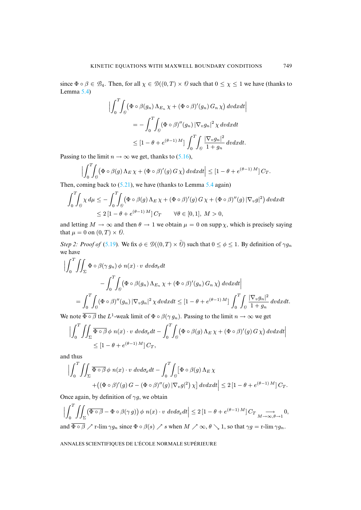since  $\Phi \circ \beta \in \mathcal{B}_4$ . Then, for all  $\chi \in \mathcal{D}((0,T) \times \mathcal{O})$  such that  $0 \leq \chi \leq 1$  we have (thanks to Lemma 5.4)

$$
\left| \int_0^T \int_{\theta} (\Phi \circ \beta(g_n) \Lambda_{E_n} \chi + (\Phi \circ \beta)'(g_n) G_n \chi) dv dx dt \right|
$$
  
= 
$$
- \int_0^T \int_{\theta} (\Phi \circ \beta)''(g_n) |\nabla_v g_n|^2 \chi dv dx dt
$$
  

$$
\leq [1 - \theta + e^{(\theta - 1)M}] \int_0^T \int_{\theta} \frac{|\nabla_v g_n|^2}{1 + g_n} dv dx dt.
$$

Passing to the limit  $n \to \infty$  we get, thanks to (5.16),

$$
\Big|\int_0^T\!\!\!\int_{\theta}\!\!\left(\Phi\circ\beta(g)\,\Lambda_E\,\chi+(\Phi\circ\beta)'(g)\,G\,\chi\right)d\nu dxdt\Big|\leq \left[1-\theta+e^{(\theta-1)\,M}\right]C_T.
$$

Then, coming back to  $(5.21)$ , we have (thanks to Lemma 5.4 again)

$$
\int_0^T \int_{\theta} \chi \, d\mu \le -\int_0^T \int_{\theta} \left( \Phi \circ \beta(g) \, \Lambda_E \, \chi + (\Phi \circ \beta)'(g) \, G \, \chi + (\Phi \circ \beta)''(g) \, |\nabla_v g|^2 \right) dv dx dt
$$
  

$$
\le 2 \left[ 1 - \theta + e^{(\theta - 1) M} \right] C_T \qquad \forall \theta \in [0, 1], \, M > 0,
$$

and letting  $M \to \infty$  and then  $\theta \to 1$  we obtain  $\mu = 0$  on supp  $\chi$ , which is precisely saying that  $\mu = 0$  on  $(0, T) \times \mathcal{O}$ .

*Step 2: Proof of* (5.19)*.* We fix  $\phi \in \mathcal{D}((0,T) \times \overline{\theta})$  such that  $0 \leq \phi \leq 1$ . By definition of  $\gamma g_n$ we have

$$
\begin{split}\n\left| \int_{0}^{T} \iint_{\Sigma} \Phi \circ \beta(\gamma g_{n}) \phi \; n(x) \cdot v \; dv d\sigma_{x} dt \right| \\
&- \int_{0}^{T} \int_{\theta} (\Phi \circ \beta(g_{n}) \Lambda_{E_{n}} \chi + (\Phi \circ \beta)'(g_{n}) G_{n} \chi) \; dv dx dt \right| \\
&= \int_{0}^{T} \int_{\theta} (\Phi \circ \beta)''(g_{n}) \left| \nabla_{v} g_{n} \right|^{2} \chi \; dv dx dt \leq \left[ 1 - \theta + e^{(\theta - 1)M} \right] \int_{0}^{T} \int_{\theta} \frac{\left| \nabla_{v} g_{n} \right|^{2}}{1 + g_{n}} \; dv dx dt.\n\end{split}
$$

We note  $\overline{\Phi \circ \beta}$  the L<sup>1</sup>-weak limit of  $\Phi \circ \beta(\gamma g_n)$ . Passing to the limit  $n \to \infty$  we get

$$
\Big| \int_0^T \iint_{\Sigma} \overline{\Phi \circ \beta} \, \phi \, n(x) \cdot v \, dv \, d\sigma_x \, dt - \int_0^T \int_{\partial} (\Phi \circ \beta(g) \, \Lambda_E \, \chi + (\Phi \circ \beta)'(g) \, G \, \chi) \, dv \, dx \, dt \Big|
$$
  
\$\leq [1 - \theta + e^{(\theta - 1) M}] \, C\_T\$,

and thus

$$
\Big|\int_0^T \iint_{\Sigma} \overline{\Phi \circ \beta} \phi \, n(x) \cdot v \, dv d\sigma_x dt - \int_0^T \int_{\partial} [\Phi \circ \beta(g) \Lambda_E \chi
$$
  
+ 
$$
+ ((\Phi \circ \beta)'(g) G - (\Phi \circ \beta)''(g) |\nabla_v g|^2) \chi \Big] dv dx dt \Big| \leq 2 [1 - \theta + e^{(\theta - 1) M}] C_T.
$$

Once again, by definition of  $\gamma g$ , we obtain

$$
\left| \int_0^T \iint_{\Sigma} (\overline{\Phi \circ \beta} - \Phi \circ \beta(\gamma g)) \phi \ n(x) \cdot v \ dvd\sigma_x dt \right| \leq 2 \left[ 1 - \theta + e^{(\theta - 1) M} \right] C_T \underset{M \to \infty, \theta \to 1}{\longrightarrow} 0,
$$
  
and  $\overline{\Phi \circ \beta} \nearrow$  r-lim  $\gamma g_n$  since  $\Phi \circ \beta(s) \nearrow s$  when  $M \nearrow \infty, \theta \searrow 1$ , so that  $\gamma g = \text{r-lim } \gamma g_n$ .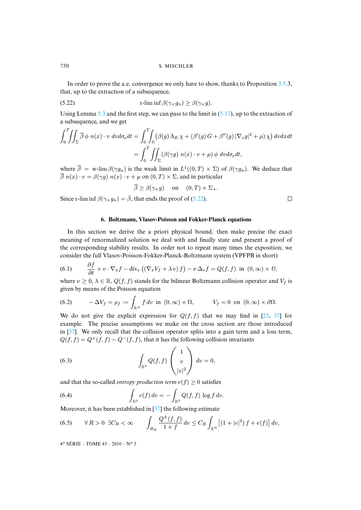In order to prove the a.e. convergence we only have to show[, than](#page-29-3)ks to Proposition 3.5.3, that, up to the [extr](#page-10-3)action of a subsequence,

(5.22) 
$$
\operatorname{r-lim} \inf \beta(\gamma_+ g_n) \geq \beta(\gamma_+ g).
$$

Using Lemma 5.3 and the first step, we can pass to the limit in  $(5.17)$ , up to the extraction of a subsequence, and we get

$$
\int_0^T \iint_{\Sigma} \overline{\beta} \phi \ n(x) \cdot v \ dv d\sigma_x dt = \int_0^T \int_{\partial} (\beta(g) \Lambda_E \chi + (\beta'(g) G + \beta''(g) |\nabla_v g|^2 + \mu) \chi) \ dv dx dt
$$

$$
= \int_0^T \iint_{\Sigma} (\beta(\gamma g) \ n(x) \cdot v + \mu) \phi \ dv d\sigma_x dt,
$$

where  $\overline{\beta}$  = w-lim  $\beta(\gamma g_n)$  is the weak limit in  $L^1((0,T) \times \Sigma)$  of  $\beta(\gamma g_n)$ . We deduce that  $\overline{\beta}$  n(x) · v =  $\beta(\gamma g)$  n(x) · v +  $\mu$  on (0, T) ×  $\Sigma$ , and [in par](#page-32-1)ticular

$$
\overline{\beta} \ge \beta(\gamma_+ g) \quad \text{on} \quad (0, T) \times \Sigma_+.
$$

<span id="page-32-0"></span>Since r-lim inf  $\beta(\gamma_+g_n) = \overline{\beta}$ , that ends the proof of (5.22).

#### <span id="page-32-2"></span>**6. Boltzmann, Vlasov-Poisson and Fokker-Planck equations**

In this section we derive the a priori physical bound, then make precise the exact meaning of renormalized solution we deal with and finally state and present a proof of the corresponding stability results. In order not to repeat many times the exposition, we consider the full Vlasov-Poisson-Fokker-Planck-Boltzmann system (VPFPB in short)

(6.1) 
$$
\frac{\partial f}{\partial t} + v \cdot \nabla_x f - \text{div}_v \left( (\nabla_x V_f + \lambda v) f \right) - \nu \Delta_v f = Q(f, f) \text{ in } (0, \infty) \times \theta,
$$

<span id="page-32-3"></span>where  $\nu \geq 0$ ,  $\lambda \in \mathbb{R}$ ,  $Q(f, f)$  stands for the bilinear Boltzmann collision operator and  $V_f$  is given by means of the Poisson equation

(6.2) 
$$
-\Delta V_f = \rho_f := \int_{\mathbb{R}^N} f \, dv \, \text{ in } (0, \infty) \times \Omega, \qquad V_f = 0 \, \text{ on } (0, \infty) \times \partial \Omega.
$$

We do not give the explicit expression for  $Q(f, f)$  that we may find in [25, 37] for example. The precise assumptions we make on the cross section are those introduced in [37]. We only recall that the collision operator splits into a gain term and a loss term,  $Q(f, f) = Q^+(f, f) - Q^-(f, f)$ , that it has the following collision invariants

<span id="page-32-4"></span>(6.3) 
$$
\int_{\mathbb{R}^3} Q(f, f) \begin{pmatrix} 1 \\ v \\ |v|^2 \end{pmatrix} dv = 0,
$$

<span id="page-32-5"></span>and that the so-called *entropy produc[tion](#page-40-11)* term  $e(f) \geq 0$  satisfies

(6.4) 
$$
\int_{\mathbb{R}^3} e(f) dv = - \int_{\mathbb{R}^3} Q(f, f) \log f dv.
$$

Moreover, it has been established in [37] the following estimate

(6.5) 
$$
\forall R > 0 \ \exists C_R < \infty \qquad \int_{B_R} \frac{Q^{\pm}(f, f)}{1 + f} dv \leq C_R \int_{\mathbb{R}^N} \left[ (1 + |v|^2) f + e(f) \right] dv,
$$

4 <sup>e</sup> SÉRIE – TOME 43 – 2010 – N<sup>o</sup> 5

<span id="page-32-1"></span>

 $\Box$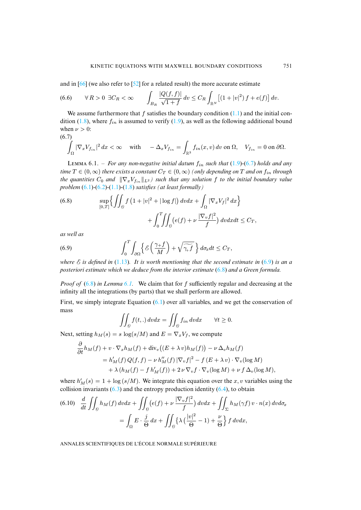<span id="page-33-2"></span>and in [66] (we also refer to [52] for a related result) the more accur[ate e](#page-2-0)stimate

(6.6) 
$$
\forall R > 0 \ \exists C_R < \infty \qquad \int_{B_R} \frac{|Q(f, f)|}{\sqrt{1 + f}} dv \leq C_R \int_{\mathbb{R}^N} \left[ (1 + |v|^2) f + e(f) \right] dv.
$$

We assume furthermore that f satisfies the boundary condition  $(1.1)$  and the initial condition (1.8), where  $f_{in}$  is assumed to verify (1.9), as well as the following additional bound when  $\nu > 0$ :

(6.7)  

$$
\int_{\Omega} |\nabla_x V_{f_{in}}|^2 dx < \infty \quad \text{with} \quad -\Delta_x V_{f_{in}} = \int_{\mathbb{R}^3} f_{in}(x, v) dv \text{ on } \Omega, \quad V_{f_{in}} = 0 \text{ on } \partial \Omega.
$$

LEMMA [6.](#page-32-2)1[. –](#page-32-3) *[For a](#page-2-0)n[y no](#page-3-2)n-negative initial datum*  $f_{in}$  *such that* (1.9)-(6.7) *holds and any time*  $T \in (0, \infty)$  *there exists a constant*  $C_T \in (0, \infty)$  *(only depending on* T *and on*  $f_{in}$  *through the quantities*  $C_0$  *and*  $\|\nabla_x V_{f_{in}}\|_{L^2}$  *such that any solution* f *to the initial boundary value problem* (6.1)*-*(6.2)*-*(1.1)*-*(1.8) *satisfies (at least formally)*

<span id="page-33-0"></span>(6.8) 
$$
\sup_{[0,T]} \left\{ \iint_{\Theta} f\left(1+|v|^2+|\log f|\right) dv dx + \int_{\Omega} |\nabla_x V_f|^2 dx \right\} + \int_0^T \iint_{\Theta} \left(e(f) + \nu \frac{|\nabla_v f|^2}{f}\right) dv dx dt \leq C_T,
$$

<span id="page-33-1"></span>*as well as*

(6.9) 
$$
\int_0^T \int_{\partial \Omega} \left\{ \mathcal{E} \left( \frac{\gamma_+ f}{M} \right) + \sqrt{\widetilde{\gamma_+ f}} \right\} d\sigma_x dt \leq C_T,
$$

*where*  $\mathcal E$  *i[s defi](#page-33-0)ned in* (1.[13\)](#page-3-4)*. It is worth mentioning that the second estimate in* (6.9) *is an a posteriori estimate which we deduce from the interior estimate* (6.8) *and a Green formula.*

*Proof of* (6.8) *in Lemma 6.1*. We cl[aim](#page-32-2) that for f sufficiently regular and decreasing at the infinity all the integrations (by parts) that we shall perform are allowed.

First, we simply integrate Equation (6.1) over all variables, and we get the conservation of mass

$$
\iint_{\Theta} f(t,.) \, dvdx = \iint_{\Theta} f_{in} \, dvdx \qquad \forall t \ge 0.
$$

Next, setting  $h_M(s) = s \log(s/M)$  and  $E = \nabla_x V_f$ , we compute

$$
\frac{\partial}{\partial t}h_M(f) + v \cdot \nabla_x h_M(f) + \text{div}_v \big( (E + \lambda v)h_M(f) \big) - \nu \Delta_v h_M(f) \n= h'_M(f) Q(f, f) - \nu h''_M(f) |\nabla_v f|^2 - f (E + \lambda v) \cdot \nabla_v (\log M) \n+ \lambda (h_M(f) - f h'_M(f)) + 2\nu \nabla_v f \cdot \nabla_v (\log M) + \nu f \Delta_v (\log M),
$$

where  $h'_M(s) = 1 + \log(s/M)$ . We integrate this equation over the x, v variables using the collision invariants  $(6.3)$  and the entropy production identity  $(6.4)$ , to obtain

$$
(6.10) \quad \frac{d}{dt} \iint_{\theta} h_M(f) \, dvdx + \iint_{\theta} \left( e(f) + \nu \, \frac{|\nabla_v f|^2}{f} \right) dvdx + \iint_{\Sigma} h_M(\gamma f) \, v \cdot n(x) \, dvd\sigma_x
$$

$$
= \int_{\Omega} E \cdot \frac{j}{\Theta} \, dx + \iint_{\theta} \left\{ \lambda \left( \frac{|v|^2}{\Theta} - 1 \right) + \frac{\nu}{\Theta} \right\} f \, dvdx,
$$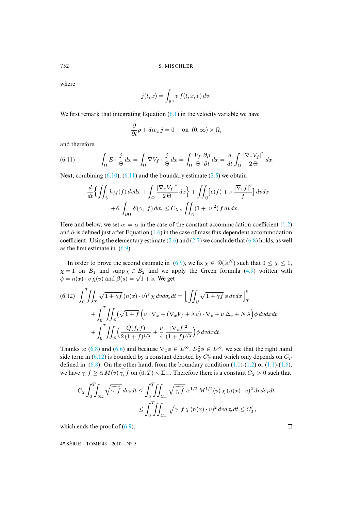where

$$
j(t,x) = \int_{\mathbb{R}^3} v f(t,x,v) dv.
$$

We first remark that integrating Equation  $(6.1)$  in the velocity variable we have

$$
\frac{\partial}{\partial t}\rho + div_x j = 0 \quad \text{on } (0, \infty) \times \Omega,
$$

and therefore

(6.11) 
$$
- \int_{\Omega} E \cdot \frac{j}{\Theta} dx = \int_{\Omega} \nabla V_f \cdot \frac{j}{\Theta} dx = \int_{\Omega} \frac{V_f}{\Theta} \frac{\partial \rho}{\partial t} dx = \frac{d}{dt} \int_{\Omega} \frac{|\nabla_x V_f|^2}{2\Theta} dx.
$$

Next, combining  $(6.10)$ ,  $(6.11)$  and the boundary estimate  $(2.5)$  we obtain

$$
\frac{d}{dt} \left\{ \iint_{\Theta} h_M(f) dv dx + \int_{\Omega} \frac{|\nabla_x V_f|^2}{2\Theta} dx \right\} + \iint_{\Theta} \left[ e(f) + \nu \frac{|\nabla_v f|^2}{f} \right] dv dx \n+ \bar{\alpha} \int_{\partial \Omega} \mathcal{E}(\gamma + f) d\sigma_x \le C_{\lambda, \nu} \iint_{\Theta} (1 + |v|^2) f dv dx.
$$

Here and below, we set  $\bar{\alpha} = \alpha$  in the case of the constant accommodation coefficient (1.2) and  $\bar{\alpha}$  is defined just after Equation (1.6) in the case of mass flux dependent accommodation coefficient. Using the elementary estimate (2.[6\) an](#page-33-1)d (2.7) we conclude that (6.8) holds, as well as the first estimate in  $(6.9)$ .

In order to prove the second estimate in (6.9), we fix  $\chi \in \mathcal{D}(\mathbb{R}^N)$  such that  $0 \leq \chi \leq 1$ ,  $\chi = 1$  on  $B_1$  and supp  $\chi \subset B_2$  and we apply the Green formula (4.9) written with  $\chi = 1$  on  $D_1$  and supp  $\chi \subset D_2$  and we a<br>  $\phi = n(x) \cdot v \chi(v)$  and  $\beta(s) = \sqrt{1+s}$ . We get

<span id="page-34-0"></span>
$$
(6.12) \quad \int_0^T \iint_{\Sigma} \sqrt{1+\gamma f} \left( n(x) \cdot v \right)^2 \chi \, dv \, d\sigma_x \, dt = \left[ \iint_{\partial} \sqrt{1+\gamma f} \, \phi \, dv \, dx \right]_T^0
$$

$$
+ \int_0^T \iint_{\partial} \left( \sqrt{1+f} \left( v \cdot \nabla_x + (\nabla_x V_f + \lambda v) \cdot \nabla_v + \nu \, \Delta_v + N \, \lambda \right) \phi \, dv \, dx \, dt
$$

$$
+ \int_0^T \iint_{\partial} \left( \frac{Q(f, f)}{2 \, (1+f)^{1/2}} + \frac{\nu}{4} \, \frac{|\nabla_v f|^2}{(1+f)^{3/2}} \right) \phi \, dv \, dx \, dt.
$$

Thanks to (6.8) and (6.6) and because  $\nabla_x \phi \in L^{\infty}$ ,  $D_v^2 \phi \in L^{\infty}$ , we see that the right hand side term in (6.12) is bounded by a constant denoted by  $C_T$  and which only depends on  $C_T$ defined in  $(6.8)$ . On the other hand, from the boundary condition  $(1.1)-(1.2)$  or  $(1.1)-(1.6)$ , we have  $\gamma_1 f \ge \bar{\alpha} M(v) \gamma_1 f$  on  $(0, T) \times \Sigma_-$ . Therefore there is a constant  $C_{\chi} > 0$  such that

$$
C_{\chi} \int_{0}^{T} \int_{\partial \Omega} \sqrt{\widetilde{\gamma_{+}f}} \, d\sigma_{x} dt \le \int_{0}^{T} \int_{\Sigma_{-}} \sqrt{\widetilde{\gamma_{+}f}} \, \bar{\alpha}^{1/2} \, M^{1/2}(v) \, \chi \, (n(x) \cdot v)^{2} \, dv d\sigma_{x} dt
$$

$$
\le \int_{0}^{T} \int_{\Sigma_{-}} \sqrt{\gamma_{-}f} \, \chi \, (n(x) \cdot v)^{2} \, dv d\sigma_{x} dt \le C_{T}',
$$

which ends the proof of  $(6.9)$ .

4 <sup>e</sup> SÉRIE – TOME 43 – 2010 – N<sup>o</sup> 5

 $\Box$ 

$$
752\\
$$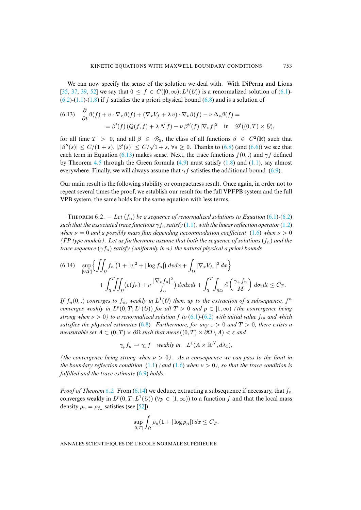<span id="page-35-0"></span>We can now specify the sense of the solution we deal with. With DiPerna and Lions [35, 37, 39, 52] we say that  $0 \le f \in C([0,\infty); L^1(\mathcal{O}))$  is a renormalized solution of (6.1)- $(6.2)$ - $(1.1)$ - $(1.8)$  if f satisfies the a priori physical bound  $(6.8)$  and is a solution of

(6.13) 
$$
\frac{\partial}{\partial t}\beta(f) + v \cdot \nabla_x \beta(f) + (\nabla_x V_f + \lambda v) \cdot \nabla_v \beta(f) - \nu \Delta_v \beta(f) =
$$

$$
= \beta'(f) (Q(f, f) + \lambda N f) - \nu \beta''(f) |\nabla_v f|^2 \text{ in } \mathcal{D}'((0, T) \times \mathcal{O}),
$$

for all time  $T > 0$  $T > 0$ , and all  $\beta \in \mathcal{B}_5$ , the [class](#page-22-2) of all functio[ns](#page-3-2)  $\beta \in C^2(\mathbb{R})$  $\beta \in C^2(\mathbb{R})$  $\beta \in C^2(\mathbb{R})$  such that  $|\beta''(s)| \le C/(1+s), |\beta'(s)| \le C/\sqrt{1+s}, \forall s \ge 0.$  Thanks to (6.8) (and (6.6)) w[e see](#page-33-1) that each term in Equation (6.13) makes sense. Next, the trace functions  $f(0,.)$  and  $\gamma f$  defined by Theorem 4.5 through the Green formula  $(4.9)$  must satisfy  $(1.8)$  and  $(1.1)$ , say almost everywhere. Finally, we will always assume that  $\gamma f$  satisfies the additional bound (6.9).

Our main result is the following stability or compactness result. Once again, in order not to repeat several times the proof, we establish our result for the full VPFPB system a[nd th](#page-32-2)[e full](#page-32-3) VPB system, the same holds for the same equati[on w](#page-2-0)ith less terms.

<span id="page-35-1"></span>**THEOREM** 6.2. – Let  $(f_n)$  be a sequence of renormalized solutions to Equation (6.1)-(6.2) *such that the associated trace functions*  $\gamma f_n$  *satisfy* (1.1)*, with the linear reflection operator* (1.2) *when*  $\nu = 0$  *and a* possibly mass flux depending accommodation coefficient (1.6) *when*  $\nu > 0$ *(FP type models). Let us furthermore assume that both the sequence of solutions*  $(f_n)$  *and the trace sequence*  $(\gamma f_n)$  *satisfy (uniformly in n) the natural physical a priori bounds* 

$$
(6.14) \quad \sup_{[0,T]} \left\{ \iint_{\theta} f_n \left( 1 + |v|^2 + |\log f_n| \right) dv dx + \int_{\Omega} |\nabla_x V_{f_n}|^2 dx \right\} + \int_0^T \iint_{\theta} \left( e(f_n) + \nu \frac{|\nabla_v f_n|^2}{f_n} \right) dv dx dt + \int_0^T \int_{\partial \Omega} \mathcal{E} \left( \frac{\gamma + f_n}{M} \right) d\sigma_x dt \leq C_T.
$$

If  $f_n(0,.)$  *converges to*  $f_{in}$  *wea[kly i](#page-33-0)n*  $L^1(\theta)$  *then, up to the extraction of a subsequence,*  $f^n$ *converges weakly in*  $L^p(0,T;L^1(\theta))$  *for all*  $T > 0$  *and*  $p \in [1,\infty)$  *(the convergence being strong when*  $\nu > 0$ *) to a renormalized solution* f *to* (6.1)-(6.2) *with initial value*  $f_{in}$  *and which satisfies the physical estimates* (6.8)*. Furthermore, for any*  $\varepsilon > 0$  *and*  $T > 0$ *, there exists a measurable set*  $A \subset (0,T) \times \partial\Omega$  *such that meas*  $((0,T) \times \partial\Omega \setminus A) < \varepsilon$  *and* 

$$
\gamma_+ f_n \rightharpoonup \gamma_+ f \quad weakly \ in \quad L^1(A \times \mathbb{R}^N, d\lambda_1),
$$

*(the convergence being strong when*  $\nu > 0$ *). As a consequence we can pass to the limit in the boundary refl[ectio](#page-4-0)n condi[tion](#page-35-1)*  $(1.1)$  *(and*  $(1.6)$  *when*  $\nu > 0$ *), so that the trace condition is fulfilled and the trace estimate* (6.9) *holds.*

*Proof of Theorem* 6.2. From (6.14) we deduce, extracting a subsequence if necessary, that  $f_n$ converges weakly in  $L^p(0,T;L^1(\theta))$  ( $\forall p \in [1,\infty)$ ) to a function f and that the local mass density  $\rho_n = \rho_{f_n}$  satisfies (see [52])

$$
\sup_{[0,T]} \int_{\Omega} \rho_n(1+|\log \rho_n|) dx \leq C_T.
$$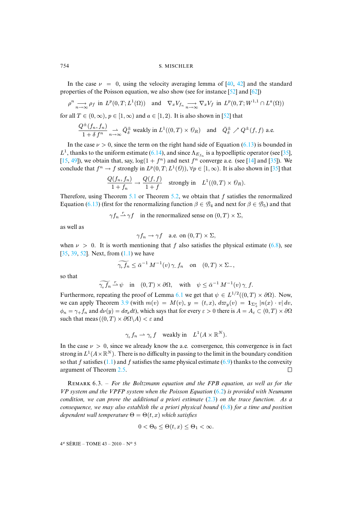In the case  $\nu = 0$ , using the velocity averaging lemma of [40, 42] and the standard properties of the Poisson equation, we also show (see for instan[ce \[5](#page-41-10)2] and [62])

$$
\rho^n \underset{n \to \infty}{\longrightarrow} \rho_f \text{ in } L^p(0,T;L^1(\Omega)) \quad \text{and} \quad \nabla_x V_{f_n} \underset{n \to \infty}{\longrightarrow} \nabla_x V_f \text{ in } L^p(0,T;W^{1,1} \cap L^a(\Omega))
$$

for all  $T \in (0, \infty)$  $T \in (0, \infty)$  $T \in (0, \infty)$ ,  $p \in [1, \infty)$  and  $a \in [1, 2)$ . It is also shown in [52] that

$$
\frac{Q^{\pm}(f_n, f_n)}{1+\delta\,f^n} \underset{n\to\infty}{\rightharpoonup} \bar{Q}^{\pm}_{\delta} \text{ weakly in } L^1((0,T)\times \mathcal O_R) \quad \text{and} \quad \bar{Q}^{\pm}_{\delta} \nearrow Q^{\pm}(f, f) \text{ a.e.}
$$

In the case  $\nu > 0$ , since the term on the right hand side of Equation (6.13) is bo[und](#page-40-10)ed in  $L^1$ , thanks to the uniform estimate (6.14), and since  $\Lambda_{E_{f_n}}$  is a hypoelliptic operator (see [35], [15, 49]), we obtain that, say,  $\log(1 + f^n)$  and next  $f^n$  converge a.e. (see [14] and [35]). We conclude that  $f^n \to f$  stro[ngly](#page-3-4) in  $L^p(0,T; L^1(\theta))$  $L^p(0,T; L^1(\theta))$  $L^p(0,T; L^1(\theta))$ ,  $\forall p \in [1,\infty)$ . It is also shown in [35] that

$$
\frac{Q(f_n, f_n)}{1 + f_n} \to \frac{Q(f, f)}{1 + f} \quad \text{strongly in} \quad L^1((0, T) \times \mathcal{O}_R).
$$

Therefore, using Theorem 5.1 or Theorem 5.2, we obtain that  $f$  satisfies the renormalized Equation (6.13) (first for the renormalizing function  $\beta \in \mathcal{B}_4$  and next for  $\beta \in \mathcal{B}_5$ ) and that

$$
\gamma f_n \stackrel{r}{\rightharpoonup} \gamma f
$$
 in the renormalized sense on  $(0, T) \times \Sigma$ ,

[as w](#page-40-10)[ell](#page-40-14) [as](#page-41-10)

$$
\gamma f_n \to \gamma f
$$
 a.e. on  $(0, T) \times \Sigma$ ,

when  $\nu > 0$ . It is worth mentioning that f also satisfies the physical estimate (6.8), see  $[35, 39, 52]$ . Next, from  $(1.1)$  we have

$$
\widetilde{\gamma_+ f_n} \le \bar{\alpha}^{-1} M^{-1}(v) \gamma_- f_n \quad \text{on} \quad (0, T) \times \Sigma_-,
$$

so that

$$
\widetilde{\gamma_+ f_n} \overset{r}{\rightharpoonup} \psi \quad \text{in} \quad (0, T) \times \partial \Omega, \quad \text{with} \quad \psi \le \bar{\alpha}^{-1} M^{-1}(v) \gamma_- f.
$$

Furthermore, repeating the proof of Lemma 6.1 we get that  $\psi \in L^{1/2}((0,T) \times \partial \Omega)$ . Now, we can apply Theorem 3.9 (with  $m(v) = M(v)$ ,  $y = (t, x)$ ,  $d\varpi_y(v) = \mathbf{1}_{\Sigma^x_+} |n(x) \cdot v| dv$ ,  $\phi_n = \gamma_+ f_n$  and  $d\nu(y) = d\sigma_x dt$ , which says that for every  $\varepsilon > 0$  there is  $A = A_\varepsilon \subset (0, T) \times \partial \Omega$ such that meas  $((0, T) \times \partial \Omega \backslash A) < \varepsilon$  and

$$
\gamma_+ f_n \rightharpoonup \gamma_+ f
$$
 weakly in  $L^1(A \times \mathbb{R}^N)$ .

In the case  $\nu > 0$ , si[nce w](#page-10-2)e already know the a.e. convergence, this convergence is in fact strong in  $L^1(A\times\mathbb{R}^N)$ . There is no difficulty in passing to the limit in the boundary condition so that f satisfies  $(1,1)$  and f satisfies the same physical estimate  $(6,9)$  thanks to the convexity argument of Theorem 2.5.  $\Box$ 

R 6.3. – *For the Boltzmann equation and the FPB [equa](#page-33-0)tion, as well as for the VP system and the VPFP system when the Poisson Equation* (6.2) *is provided with Neumann condition, we can prove the additional a priori estimate* (2.3) *on the trace function. As a consequence, we may also establish the a priori physical bound* (6.8) *for a time and position dependent wall temperature*  $\Theta = \Theta(t, x)$  *which satisfies* 

$$
0 < \Theta_0 \le \Theta(t, x) \le \Theta_1 < \infty.
$$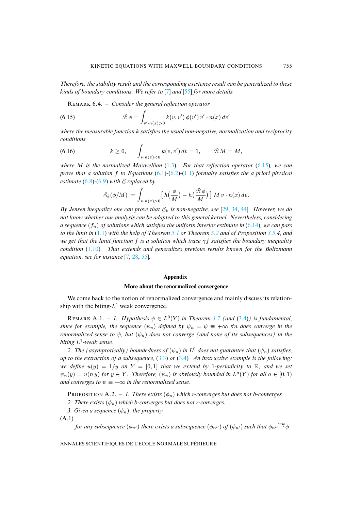*Therefore, the stability result and the corresponding existence result can be generalized to these kinds of boundary conditions. We refer to* [7] *and* [55] *for more details.*

REMARK 6.4. – *Consider the general reflection operator* 

(6.15) 
$$
\mathcal{R} \phi = \int_{v' \cdot n(x) > 0} k(v, v') \phi(v') v' \cdot n(x) dv'
$$

*where the measurable function* k *satisfies the usual non-negative, normalization and reciprocity conditions*

(6.16) 
$$
k \geq 0, \qquad \int_{v \cdot n(x) < 0} k(v, v') dv = 1, \qquad \mathcal{R} M = M,
$$

*where* M *is the normalized Maxwellian* (1.3)*. For that reflection operator* (6.15)*, we can prove that a solution* f *to Equations* (6.1)*-*(6.2)*-*(1.1) *formally satisfies the a priori physical estimate*  $(6.8)$ - $(6.9)$  *with*  $\mathcal E$  *replaced by* 

$$
\mathcal{E}_k(\phi/M) := \int_{v \cdot n(x) > 0} \left[ h\left(\frac{\phi}{M}\right) - h\left(\frac{\mathcal{R}\phi}{M}\right) \right] M v \cdot n(x) \, dv.
$$

*By Jensen ine[quali](#page-2-0)ty one can prove that*  $\mathcal{E}_k$  *[is n](#page-3-4)on-negative, [see](#page-4-0)* [29, 34, 44]*. How[ever,](#page-10-2) we do not know whether our analysis can be adapted to this general kernel. Nevertheless, considering a sequence*  $(f_n)$  $(f_n)$  $(f_n)$  *of solutions which satisfies the uniform interior estimate in*  $(6.14)$ *, we can pass to the limit in* (1.1) *with th[e](#page-39-3) [help](#page-40-3) [of T](#page-41-3)heorem 5.1 or Theorem 5.2 and of Proposition 3.5.4, and we get that the limit function* f *is a solution which trace* γf *satisfies the boundary inequality condition* (1.10)*. That extends and generalizes previous results known for the Boltzmann equation, see for instance* [7, 28, 55]*.*

#### **Appendix**

# **More about the renormalized convergence**

We come back to the notion of renormalized convergenc[e and](#page-12-1) main[ly di](#page-19-1)scuss its relationship with the biting- $L^1$  weak convergence.

REMARK A.1. - 1. Hypothesis  $\psi \in L^0(Y)$  in Theorem 3.7 (and (3.4)) is fundamental, *since for example, the sequence*  $(\psi_n)$  *defined by*  $\psi_n = \psi \equiv +\infty$   $\forall n$  *does converge in the renormalized sense to*  $\psi$ *, but*  $(\psi_n)$  *do[es no](#page-19-1)t c[onver](#page-19-1)ge (and none of its subsequences) in the biting* L 1 *-weak sense.*

2. The (asymptotically) boundedness of  $(\psi_n)$  in  $L^0$  does not guarantee that  $(\psi_n)$  satisfies, *up to the extraction of a subsequence,* (3.3) *or* (3.4)*. An instructive example is the following: we define*  $u(y) = 1/y$  *on*  $Y = [0, 1]$  *that we extend by* 1*-periodicity to* R, *and we set*  $\psi_n(y) = u(ny)$  for  $y \in Y$ . Therefore,  $(\psi_n)$  is obviously bounded in  $L^a(Y)$  for all  $a \in [0,1)$ *and converges to*  $\psi \equiv +\infty$  *in the renormalized sense.* 

PROPOSITION A.2. – 1. There exists  $(\phi_n)$  which r-converges but does not b-converges.

<span id="page-37-0"></span>*2. There exists*  $(\phi_n)$  *which b-converges but does not r-converges.* 

*3. Given a sequence*  $(\phi_n)$ *, the property* 

(A.1)

*for any subsequence*  $(\phi_{n'})$  *there exists a subsequence*  $(\phi_{n''})$  *of*  $(\phi_{n'})$  *such that*  $\phi_{n''}$   $\stackrel{ww}{\rightarrow} \phi$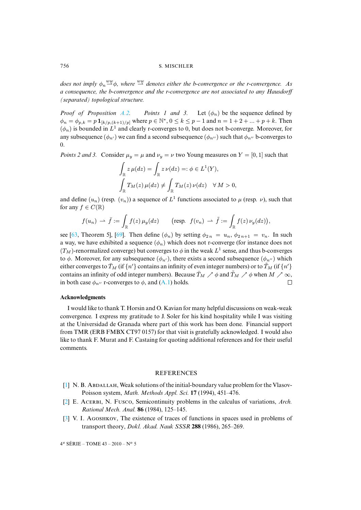does not imply  $\phi_n\overset{ww}{\rightharpoonup}\phi$ , where  $\overset{ww}{\rightharpoonup}$  denotes either the b-convergence or the r-convergence. As *a consequence, the b-co[nverg](#page-4-0)ence and the r-convergence are not associated to any Hausdorff (separated) topological structure.*

*Proof of Proposition A.2. Points 1 and 3.* Let  $(\phi_n)$  be the sequence defined by  $\phi_n = \phi_{p,k} = p \mathbf{1}_{[k/p,(k+1)/p]}$  where  $p \in \mathbb{N}^*, 0 \le k \le p-1$  and  $n = 1+2+\dots+p+k$ . Then  $(\phi_n)$  is bounded in  $L^1$  and clearly r-converges to 0, but does not b-converge. Moreover, for any subsequence ( $\phi_{n\ell}$ ) we can find a second subsequence ( $\phi_{n\ell}$ ) such that  $\phi_{n\ell}$  b-converges to 0.

*Points 2 and 3.* Consider  $\mu_y = \mu$  and  $\nu_y = \nu$  two Young measures on  $Y = [0, 1]$  such that

$$
\int_{\mathbb{R}} z \,\mu(dz) = \int_{\mathbb{R}} z \,\nu(dz) =: \phi \in L^1(Y),
$$
\n
$$
\int_{\mathbb{R}} T_M(z) \,\mu(dz) \neq \int_{\mathbb{R}} T_M(z) \,\nu(dz) \quad \forall \, M > 0,
$$

and define  $(u_n)$  (resp.  $(v_n)$ ) a sequence of  $L^1$  functions associated to  $\mu$  (resp.  $\nu$ ), such that for [any](#page-42-5)  $f \in C(\mathbb{R})$ 

$$
f(u_n) \rightharpoonup \bar{f} := \int_{\mathbb{R}} f(z) \,\mu_y(dz) \qquad \text{(resp. } f(v_n) \rightharpoonup \tilde{f} := \int_{\mathbb{R}} f(z) \,\nu_y(dz) \text{)},
$$

see [63, Theorem 5], [69]. Then define  $(\phi_n)$  by setting  $\phi_{2n} = u_n$ ,  $\phi_{2n+1} = v_n$ . In such a way, we have exhibited a sequence  $(\phi_n)$  which does not r-converge (for instance does not  $(T_M)$ -renormalized converge) but converges to  $\phi$  in the weak  $L^1$  sense, and thus b-converges to  $\phi$ . Moreover, for any subsequence  $(\phi_{n'})$  $(\phi_{n'})$ , there exists a second subsequence  $(\phi_{n''})$  which either converges to  $\bar{T}_M$  (if  $\{n'\}$  contains an infinity of even integer numbers) or to  $\tilde{T}_M$  (if  $\{n'\}$ contains an infinity of odd integer numbers). Because  $\bar{T}_M \nearrow \phi$  and  $\tilde{T}_M \nearrow \phi$  when  $M \nearrow \infty$ , in both case  $\phi_{n^{\prime\prime}}$  r-converges to  $\phi$ , and (A.1) holds.  $\Box$ 

#### **Acknowledgments**

I would like to thank T. Horsin and O. Kavian for many helpful discussions on weak-weak convergence. I express my gratitude to J. Soler for his kind hospitality while I was visiting at the Universidad de Granada where part of this work has been done. Financial support from TMR (ERB FMBX CT97 0157) for that visit is gratefully acknowledged. I would also like to thank F. Murat and F. Castaing for quoting additional references and for their useful comments.

## **REFERENCES**

- <span id="page-38-1"></span><span id="page-38-0"></span> $[1]$  N. B. ABDALLAH, Weak solutions of the initial-boundary value problem for the Vlasov-Poisson system, *Math. Methods Appl. Sci.* **17** (1994), 451–476.
- [2] E. ACERBI, N. FUSCO, Semicontinuity problems in the calculus of variations, *Arch. Rational Mech. Anal.* **86** (1984), 125–145.
- [3] V. I. AGOSHKOV, The existence of traces of functions in spaces used in problems of transport theory, *Dokl. Akad. Nauk SSSR* **288** (1986), 265–269.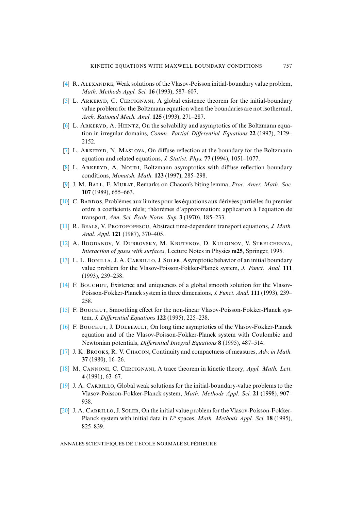- <span id="page-39-11"></span><span id="page-39-1"></span>[4] R. ALEXANDRE, Weak solutions of the Vlasov-Poisson initial-boundary value problem, *Math. Methods Appl. Sci.* **16** (1993), 587–607.
- <span id="page-39-2"></span> $[5]$  L. ARKERYD, C. CERCIGNANI, A global existence theorem for the initial-boundary value problem for the Boltzmann equation when the boundaries are not isothermal, *Arch. Rational Mech. Anal.* **125** (1993), 271–287.
- <span id="page-39-3"></span>[\[6\]](http://smf.emath.fr/Publications/AnnalesENS/4_43/html/ens_ann-sc_43_5.html#7) L. ARKERYD, A. HEINTZ. On the solvability and asymptotics of the Boltzmann equation in irregular domains, *Comm. Partial Differential Equations* **22** (1997), 2129– 2152.
- <span id="page-39-16"></span><span id="page-39-4"></span>[7] L. ARKERYD, N. MASLOVA, On diffuse reflection at the boundary for the Boltzmann equation and related equations, *J. Statist. Phys.* **77** (1994), 1051–1077.
- <span id="page-39-13"></span>[8] L. ARKERYD, A. NOURI, Boltzmann asymptotics with diffuse reflection boundary conditions, *Monatsh. Math.* **123** (1997), 285–298.
- [9] J. M. BALL, F. MURAT, Remarks on Chacon's biting lemma, Proc. Amer. Math. Soc. **107** (1989), 655–663.
- <span id="page-39-12"></span>[\[10\]](http://smf.emath.fr/Publications/AnnalesENS/4_43/html/ens_ann-sc_43_5.html#11) C. BARDOS, Problèmes aux limites pour les équations aux dérivées partielles du premier ordre à coefficients réels; théorèmes d'approximation; application à l'équation de transport, *Ann. Sci. École Norm. Sup.* **3** (1970), 185–233.
- <span id="page-39-9"></span><span id="page-39-0"></span>[11] R. BEALS, V. PROTOPOPESCU, Abstract time-dependent transport equations, *J. Math. Anal. Appl.* **121** (1987), 370–405.
- [12] A. BOGDANOV, V. DUBROVSKY, M. KRUTYKOV, D. KULGINOV, V. STRELCHENYA, *Interaction of gases with surfaces*, Lecture Notes in Physics **m25**, Springer, 1995.
- <span id="page-39-5"></span>[\[13\]](http://smf.emath.fr/Publications/AnnalesENS/4_43/html/ens_ann-sc_43_5.html#14) L. L. BONILLA, J. A. CARRILLO, J. SOLER, Asymptotic behavior of an initial boundary value problem for the Vlasov-Poisson-Fokker-Planck system, *J. Funct. Anal.* **111** (1993), 239–258.
- <span id="page-39-6"></span> $[14]$  F. Bouchur, Existence and uniqueness of a global smooth solution for the Vlasov-Poisson-Fokker-Planck system in three dimensions, *J. Funct. Anal.* **111** (1993), 239– 258.
- <span id="page-39-7"></span>[15] F. BOUCHUT, Smoothing effect for the non-linear Vlasov-Poisson-Fokker-Planck system, *J. Differential Equations* **122** (1995), 225–238.
- <span id="page-39-15"></span>[\[16\]](http://smf.emath.fr/Publications/AnnalesENS/4_43/html/ens_ann-sc_43_5.html#17) F. BOUCHUT, J. DOLBEAULT, On long time asymptotics of the Vlasov-Fokker-Planck equation and of the Vlasov-Poisson-Fokker-Planck system with Coulombic and Newtonian potentials, *Differential Integral Equations* **8** (1995), 487–514.
- <span id="page-39-14"></span><span id="page-39-10"></span>[17] J. K. BROOKS, R. V. CHACON, Continuity and compactness of measures, *Adv. in Math.* **37** (1980), 16–26.
- [18] M. CANNONE, C. CERCIGNANI, A trace theorem in kinetic theory, *Appl. Math. Lett.* **4** (1991), 63–67.
- <span id="page-39-8"></span>[\[19\]](http://smf.emath.fr/Publications/AnnalesENS/4_43/html/ens_ann-sc_43_5.html#20) J. A. CARRILLO, Global weak solutions for the initial-boundary-value problems to the Vlasov-Poisson-Fokker-Planck system, *Math. Methods Appl. Sci.* **21** (1998), 907– 938.
- $[20]$  J. A. CARRILLO, J. SOLER, On the initial value problem for the Vlasov-Poisson-Fokker-Planck system with initial data in  $L^p$  spaces, Math. Methods Appl. Sci. 18 (1995), 825–839.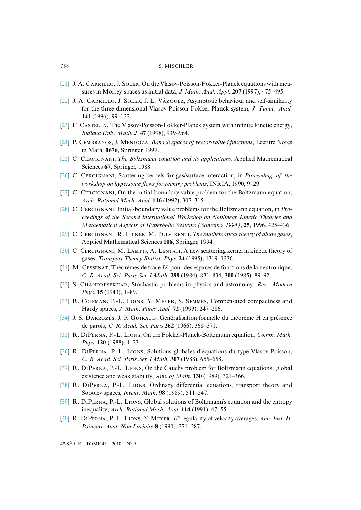- <span id="page-40-5"></span><span id="page-40-4"></span> $[21]$  J. A. CARRILLO, J. SOLER, On the Vlasov-Poisson-Fokker-Planck equations with measures in Morrey spaces as initial data, *J. Math. Anal. Appl.* **207** (1997), 475–495.
- <span id="page-40-6"></span>[\[22\]](http://smf.emath.fr/Publications/AnnalesENS/4_43/html/ens_ann-sc_43_5.html#23) J. A. CARRILLO, J. SOLER, J. L. VÁZQUEZ, Asymptotic behaviour and self-similarity for the three-dimensional Vlasov-Poisson-Fokker-Planck system, *J. Funct. Anal.* **141** (1996), 99–132.
- <span id="page-40-12"></span>[23] F. CASTELLA, The Vlasov-Poisson-Fokker-Planck system with infinite kinetic energy, *Indiana Univ. Math. J.* **47** (1998), 939–964.
- [24] P. CEMBRANOS, J. MENDOZA, *Banach spaces of vector-valued functions*, Lecture Notes in Math. **1676**, Springer, 1997.
- <span id="page-40-2"></span>[25] C. CERCIGNANI, *The Boltzmann equation and its applications*, Applied Mathematical Sciences **67**, Springer, 1988.
- [26] C. CERCIGNANI, Scattering kernels for gas/surface interaction, in *Proceeding of the workshop on hypersonic flows for reentry problems*, INRIA, 1990, 9–29.
- <span id="page-40-3"></span>[27] C. CERCIGNANI, On the initial-boundary value problem for the Boltzmann equation, *Arch. Rational Mech. Anal.* **116** (1992), 307–315.
- <span id="page-40-0"></span>[\[28\]](http://smf.emath.fr/Publications/AnnalesENS/4_43/html/ens_ann-sc_43_5.html#29) C. CERCIGNANI, Initial-boundary value problems for the Boltzmann equation, in *Proceedings of the Second International Workshop on Nonlinear Kinetic Theories and Mathematical Aspects of Hyperbolic Systems (Sanremo, 1994)*, **25**, 1996, 425–436.
- <span id="page-40-9"></span><span id="page-40-1"></span>[29] C. CERCIGNANI, R. ILLNER, M. PULVIRENTI, *The mathematical theory of dilute gases*, Applied Mathematical Sciences **106**, Springer, 1994.
- [30] C. CERCIGNANI, M. LAMPIS, A. LENTATI, A new scattering kernel in kinetic theory of gases, *Transport Theory Statist. Phys.* **24** (1995), 1319–1336.
- <span id="page-40-8"></span>[31] M. CESSENAT, Théorèmes de trace  $L^p$  pour des espaces de fonctions de la neutronique, *C. R. Acad. Sci. Paris Sér. I Math.* **299** (1984), 831–834, **300** (1985), 89–92.
- [32] S. CHANDRESEKHAR, Stochastic problems in physics and astronomy, *Rev. Modern Phys.* **15** (1943), 1–89.
- <span id="page-40-10"></span>[33] R. COIFMAN, P.-L. LIONS, Y. MEYER, S. SEMMES, Compensated compactness and Hardy spaces, *J. Math. Pures Appl.* **72** (1993), 247–286.
- <span id="page-40-7"></span>[34] J. S. DARROZÈS, J. P. GUIRAUD, Généralisation formelle du théorème H en présence de parois, *C. R. Acad. Sci. Paris* **262** (1966), 368–371.
- <span id="page-40-11"></span>[35] R. DIPERNA, P.-L. LIONS, On the Fokker-Planck-Boltzmann equation, *Comm. Math. Phys.* **120** (1988), 1–23.
- <span id="page-40-13"></span>[36] R. DIPERNA, P.-L. LIONS, Solutions globales d'équations du type Vlasov-Poisson, *C. R. Acad. Sci. Paris Sér. I Math.* **307** (1988), 655–658.
- [37] R. DIPERNA, P.-L. LIONS, On the Cauchy problem for Boltzmann equations: global existence and weak stability, *Ann. of Math.* **130** (1989), 321–366.
- <span id="page-40-14"></span>[38] R. DIPERNA, P.-L. LIONS, Ordinary differential equations, transport theory and Sobolev spaces, *Invent. Math.* **98** (1989), 511–547.
- [39] R. DIPERNA, P.-L. LIONS, Global solutions of Boltzmann's equation and the entropy inequality, *Arch. Rational Mech. Anal.* **114** (1991), 47–55.
- [40] R. DIPERNA, P.-L. LIONS, Y. MEYER,  $L^p$  regularity of velocity averages, *Ann. Inst. H. Poincaré Anal. Non Linéaire* **8** (1991), 271–287.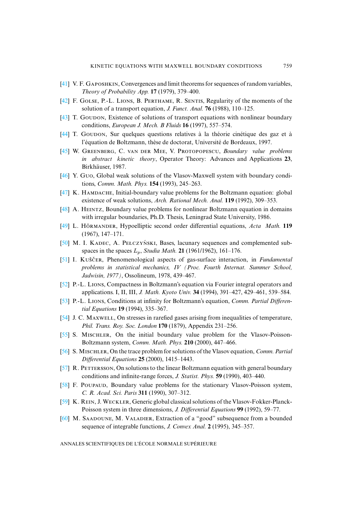- <span id="page-41-13"></span><span id="page-41-4"></span>[41] V. F. GAPOSHKIN, Convergences and limit theorems for sequences of random variables, *Theory of Probability App.* **17** (1979), 379–400.
- [42] F. GOLSE, P.-L. LIONS, B. PERTHAME, R. SENTIS, Regularity of the moments of the solution of a transport equation, *J. Funct. Anal.* **76** (1988), 110–125.
- <span id="page-41-8"></span><span id="page-41-1"></span>[43] T. GOUDON, Existence of solutions of transport equations with nonlinear boundary conditions, *European J. Mech. B Fluids* **16** (1997), 557–574.
- [44] T. G, Sur quelques questions relatives à la théorie cinétique des gaz et à l'équation de Boltzmann, thèse de doctorat, Université de Bordeaux, 1997.
- <span id="page-41-6"></span>[\[45\]](http://smf.emath.fr/Publications/AnnalesENS/4_43/html/ens_ann-sc_43_5.html#46) W. GREENBERG, C. VAN DER MEE, V. PROTOPOPESCU, *Boundary value problems in abstract kinetic theory*, Operator Theory: Advances and Applications **23**, Birkhäuser, 1987.
- <span id="page-41-2"></span><span id="page-41-0"></span>[46] Y. Guo, Global weak solutions of the Vlasov-Maxwell system with boundary conditions, *Comm. Math. Phys.* **154** (1993), 245–263.
- [47] K. HAMDACHE, Initial-boundary value problems for the Boltzmann equation: global existence of weak solutions, *Arch. Rational Mech. Anal.* **119** (1992), 309–353.
- <span id="page-41-12"></span>[48] A. HEINTZ, Boundary value problems for nonlinear Boltzmann equation in domains with irregular boundaries, Ph.D. Thesis, Leningrad State University, 1986.
- [49] L. H, Hypoelliptic second order differential equations, *Acta Math.* **119** (1967), 147–171.
- $[50]$  M. I. KADEC, A. PELCZYŃSKI, Bases, lacunary sequences and complemented subspaces in the spaces  $L_p$ , *Studia Math.* **21** (1961/1962), 161–176.
- <span id="page-41-10"></span>[\[51\]](http://smf.emath.fr/Publications/AnnalesENS/4_43/html/ens_ann-sc_43_5.html#52) I. K , Phenomenological aspects of gas-surface interaction, in *Fundamental problems in statistical mechanics, IV (Proc. Fourth Internat. Summer School, Jadwisin, 1977)*, Ossolineum, 1978, 439–467.
- [52] P.-L. LIONS, Compactness in Boltzmann's equation via Fourier integral operators and applications. I, II, III, *J. Math. Kyoto Univ.* **34** (1994), 391–427, 429–461, 539–584.
- <span id="page-41-3"></span>[53] P.-L. LIONS, Conditions at infinity for Boltzmann's equation, *Comm. Partial Differential Equations* **19** (1994), 335–367.
- <span id="page-41-11"></span>[54] J. C. MAXWELL, On stresses in rarefied gases arising from inequalities of temperature, *Phil. Trans. Roy. Soc. London* **170** (1879), Appendix 231–256.
- <span id="page-41-9"></span>[55] S. MISCHLER, On the initial boundary value problem for the Vlasov-Poisson-Boltzmann system, *Comm. Math. Phys.* **210** (2000), 447–466.
- <span id="page-41-7"></span>[56] S. Mischler, On the trace problem for solutions of the Vlasov equation, *Comm. Partial Differential Equations* **25** (2000), 1415–1443.
- $[57]$  R. PETTERSSON, On solutions to the linear Boltzmann equation with general boundary conditions and infinite-range forces, *J. Statist. Phys.* **59** (1990), 403–440.
- <span id="page-41-14"></span><span id="page-41-5"></span>[58] F. POUPAUD, Boundary value problems for the stationary Vlasov-Poisson system, *C. R. Acad. Sci. Paris* **311** (1990), 307–312.
- [59] K. REIN, J. WECKLER, Generic global classical solutions of the Vlasov-Fokker-Planck-Poisson system in three dimensions, *J. Differential Equations* **99** (1992), 59–77.
- [60] M. SAADOUNE, M. VALADIER, Extraction of a "good" subsequence from a bounded sequence of integrable functions, *J. Convex Anal.* **2** (1995), 345–357.